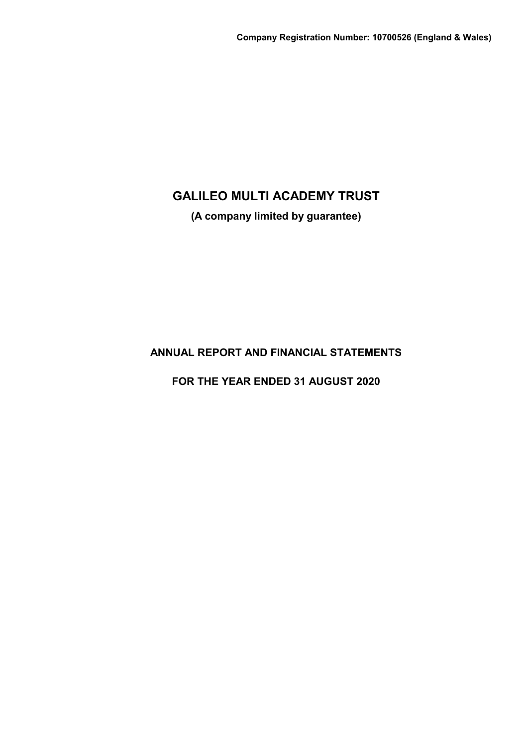**(A company limited by guarantee)**

**ANNUAL REPORT AND FINANCIAL STATEMENTS**

**FOR THE YEAR ENDED 31 AUGUST 2020**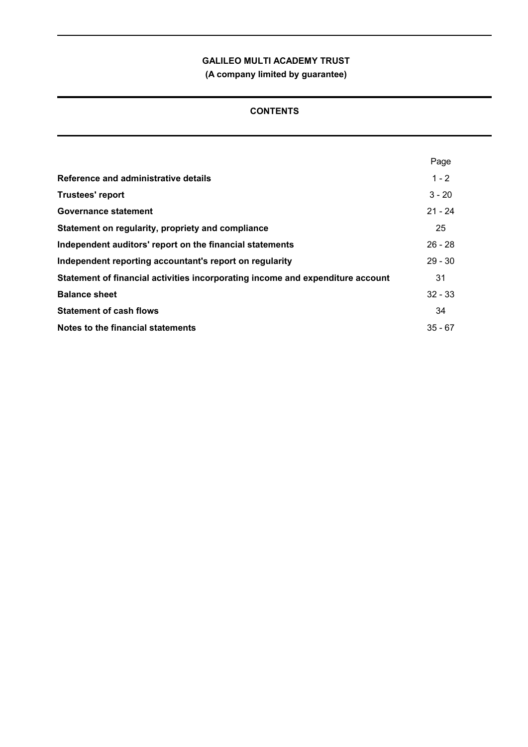**(A company limited by guarantee)**

# **CONTENTS**

|                                                                                | Page      |
|--------------------------------------------------------------------------------|-----------|
| Reference and administrative details                                           | $1 - 2$   |
| <b>Trustees' report</b>                                                        | $3 - 20$  |
| Governance statement                                                           | $21 - 24$ |
| Statement on regularity, propriety and compliance                              | 25        |
| Independent auditors' report on the financial statements                       | $26 - 28$ |
| Independent reporting accountant's report on regularity                        | $29 - 30$ |
| Statement of financial activities incorporating income and expenditure account | 31        |
| <b>Balance sheet</b>                                                           | $32 - 33$ |
| <b>Statement of cash flows</b>                                                 | 34        |
| Notes to the financial statements                                              | $35 - 67$ |
|                                                                                |           |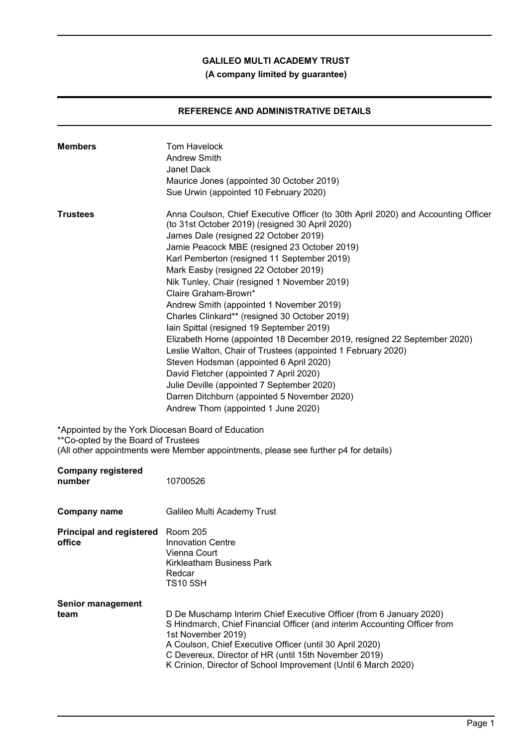# **(A company limited by guarantee)**

# **REFERENCE AND ADMINISTRATIVE DETAILS**

| <b>Members</b>                                                                            | <b>Tom Havelock</b><br><b>Andrew Smith</b><br>Janet Dack<br>Maurice Jones (appointed 30 October 2019)<br>Sue Urwin (appointed 10 February 2020)                                                                                                                                                                                                                                                                                                                                                                                                                                                                                                                                                                                                                                                                                                                                                                |
|-------------------------------------------------------------------------------------------|----------------------------------------------------------------------------------------------------------------------------------------------------------------------------------------------------------------------------------------------------------------------------------------------------------------------------------------------------------------------------------------------------------------------------------------------------------------------------------------------------------------------------------------------------------------------------------------------------------------------------------------------------------------------------------------------------------------------------------------------------------------------------------------------------------------------------------------------------------------------------------------------------------------|
| <b>Trustees</b>                                                                           | Anna Coulson, Chief Executive Officer (to 30th April 2020) and Accounting Officer<br>(to 31st October 2019) (resigned 30 April 2020)<br>James Dale (resigned 22 October 2019)<br>Jamie Peacock MBE (resigned 23 October 2019)<br>Karl Pemberton (resigned 11 September 2019)<br>Mark Easby (resigned 22 October 2019)<br>Nik Tunley, Chair (resigned 1 November 2019)<br>Claire Graham-Brown*<br>Andrew Smith (appointed 1 November 2019)<br>Charles Clinkard** (resigned 30 October 2019)<br>Iain Spittal (resigned 19 September 2019)<br>Elizabeth Horne (appointed 18 December 2019, resigned 22 September 2020)<br>Leslie Walton, Chair of Trustees (appointed 1 February 2020)<br>Steven Hodsman (appointed 6 April 2020)<br>David Fletcher (appointed 7 April 2020)<br>Julie Deville (appointed 7 September 2020)<br>Darren Ditchburn (appointed 5 November 2020)<br>Andrew Thom (appointed 1 June 2020) |
| *Appointed by the York Diocesan Board of Education<br>**Co-opted by the Board of Trustees | (All other appointments were Member appointments, please see further p4 for details)                                                                                                                                                                                                                                                                                                                                                                                                                                                                                                                                                                                                                                                                                                                                                                                                                           |
| <b>Company registered</b><br>number                                                       | 10700526                                                                                                                                                                                                                                                                                                                                                                                                                                                                                                                                                                                                                                                                                                                                                                                                                                                                                                       |
| <b>Company name</b>                                                                       | Galileo Multi Academy Trust                                                                                                                                                                                                                                                                                                                                                                                                                                                                                                                                                                                                                                                                                                                                                                                                                                                                                    |
| Principal and registered Room 205<br>office                                               | <b>Innovation Centre</b><br>Vienna Court<br><b>Kirkleatham Business Park</b><br>Redcar<br><b>TS10 5SH</b>                                                                                                                                                                                                                                                                                                                                                                                                                                                                                                                                                                                                                                                                                                                                                                                                      |
| <b>Senior management</b><br>team                                                          | D De Muschamp Interim Chief Executive Officer (from 6 January 2020)<br>S Hindmarch, Chief Financial Officer (and interim Accounting Officer from<br>1st November 2019)<br>A Coulson, Chief Executive Officer (until 30 April 2020)<br>C Devereux, Director of HR (until 15th November 2019)<br>K Crinion, Director of School Improvement (Until 6 March 2020)                                                                                                                                                                                                                                                                                                                                                                                                                                                                                                                                                  |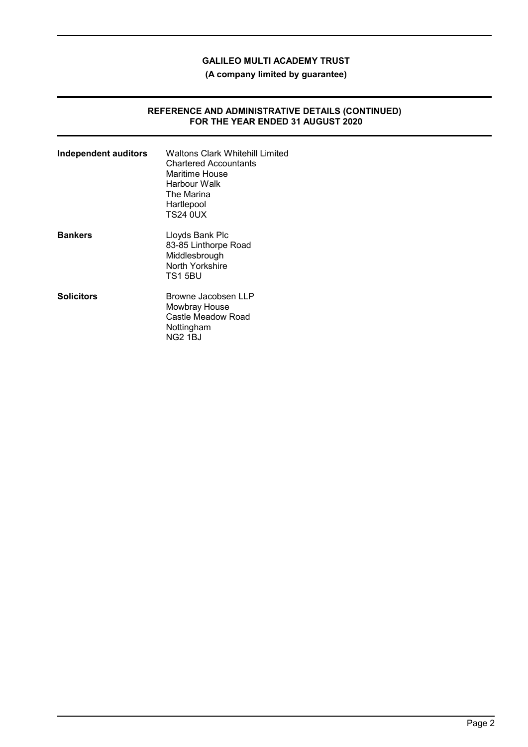**(A company limited by guarantee)**

### **REFERENCE AND ADMINISTRATIVE DETAILS (CONTINUED) FOR THE YEAR ENDED 31 AUGUST 2020**

| <b>Independent auditors</b> | <b>Waltons Clark Whitehill Limited</b><br><b>Chartered Accountants</b><br>Maritime House<br>Harbour Walk<br>The Marina<br>Hartlepool<br>TS24 0UX |
|-----------------------------|--------------------------------------------------------------------------------------------------------------------------------------------------|
| <b>Bankers</b>              | Lloyds Bank Plc<br>83-85 Linthorpe Road<br>Middlesbrough<br>North Yorkshire<br>TS155BU                                                           |
| <b>Solicitors</b>           | Browne Jacobsen LLP<br>Mowbray House<br>Castle Meadow Road<br>Nottingham<br><b>NG2 1BJ</b>                                                       |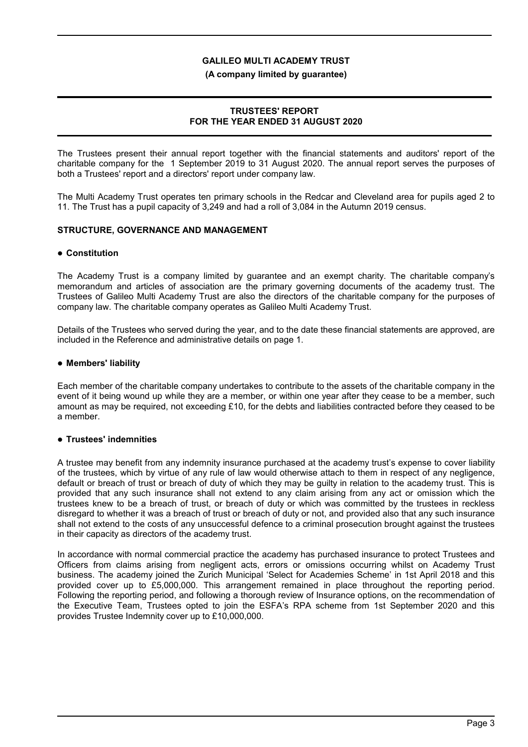#### **(A company limited by guarantee)**

### **TRUSTEES' REPORT FOR THE YEAR ENDED 31 AUGUST 2020**

The Trustees present their annual report together with the financial statements and auditors' report of the charitable company for the 1 September 2019 to 31 August 2020. The annual report serves the purposes of both a Trustees' report and a directors' report under company law.

The Multi Academy Trust operates ten primary schools in the Redcar and Cleveland area for pupils aged 2 to 11. The Trust has a pupil capacity of 3,249 and had a roll of 3,084 in the Autumn 2019 census.

### **STRUCTURE, GOVERNANCE AND MANAGEMENT**

#### **Constitution**

The Academy Trust is a company limited by guarantee and an exempt charity. The charitable company's memorandum and articles of association are the primary governing documents of the academy trust. The Trustees of Galileo Multi Academy Trust are also the directors of the charitable company for the purposes of company law. The charitable company operates as Galileo Multi Academy Trust.

Details of the Trustees who served during the year, and to the date these financial statements are approved, are included in the Reference and administrative details on page 1.

### **Members' liability**

Each member of the charitable company undertakes to contribute to the assets of the charitable company in the event of it being wound up while they are a member, or within one year after they cease to be a member, such amount as may be required, not exceeding £10, for the debts and liabilities contracted before they ceased to be a member.

#### **Trustees' indemnities**

A trustee may benefit from any indemnity insurance purchased at the academy trust's expense to cover liability of the trustees, which by virtue of any rule of law would otherwise attach to them in respect of any negligence, default or breach of trust or breach of duty of which they may be guilty in relation to the academy trust. This is provided that any such insurance shall not extend to any claim arising from any act or omission which the trustees knew to be a breach of trust, or breach of duty or which was committed by the trustees in reckless disregard to whether it was a breach of trust or breach of duty or not, and provided also that any such insurance shall not extend to the costs of any unsuccessful defence to a criminal prosecution brought against the trustees in their capacity as directors of the academy trust.

In accordance with normal commercial practice the academy has purchased insurance to protect Trustees and Officers from claims arising from negligent acts, errors or omissions occurring whilst on Academy Trust business. The academy joined the Zurich Municipal 'Select for Academies Scheme' in 1st April 2018 and this provided cover up to £5,000,000. This arrangement remained in place throughout the reporting period. Following the reporting period, and following a thorough review of Insurance options, on the recommendation of the Executive Team, Trustees opted to join the ESFA's RPA scheme from 1st September 2020 and this provides Trustee Indemnity cover up to £10,000,000.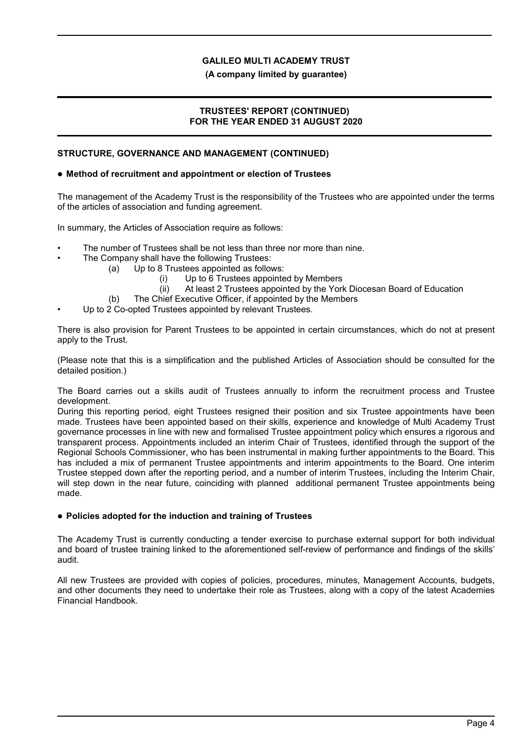**(A company limited by guarantee)**

### **TRUSTEES' REPORT (CONTINUED) FOR THE YEAR ENDED 31 AUGUST 2020**

### **STRUCTURE, GOVERNANCE AND MANAGEMENT (CONTINUED)**

### **Method of recruitment and appointment or election of Trustees**

The management of the Academy Trust is the responsibility of the Trustees who are appointed under the terms of the articles of association and funding agreement.

In summary, the Articles of Association require as follows:

- The number of Trustees shall be not less than three nor more than nine.
- The Company shall have the following Trustees:
	- (a) Up to 8 Trustees appointed as follows:
		- (i) Up to 6 Trustees appointed by Members
		- (ii) At least 2 Trustees appointed by the York Diocesan Board of Education
	- (b) The Chief Executive Officer, if appointed by the Members
- Up to 2 Co-opted Trustees appointed by relevant Trustees.

There is also provision for Parent Trustees to be appointed in certain circumstances, which do not at present apply to the Trust.

(Please note that this is a simplification and the published Articles of Association should be consulted for the detailed position.)

The Board carries out a skills audit of Trustees annually to inform the recruitment process and Trustee development.

During this reporting period, eight Trustees resigned their position and six Trustee appointments have been made. Trustees have been appointed based on their skills, experience and knowledge of Multi Academy Trust governance processes in line with new and formalised Trustee appointment policy which ensures a rigorous and transparent process. Appointments included an interim Chair of Trustees, identified through the support of the Regional Schools Commissioner, who has been instrumental in making further appointments to the Board. This has included a mix of permanent Trustee appointments and interim appointments to the Board. One interim Trustee stepped down after the reporting period, and a number of interim Trustees, including the Interim Chair, will step down in the near future, coinciding with planned additional permanent Trustee appointments being made.

#### **Policies adopted for the induction and training of Trustees**

The Academy Trust is currently conducting a tender exercise to purchase external support for both individual and board of trustee training linked to the aforementioned self-review of performance and findings of the skills' audit.

All new Trustees are provided with copies of policies, procedures, minutes, Management Accounts, budgets, and other documents they need to undertake their role as Trustees, along with a copy of the latest Academies Financial Handbook.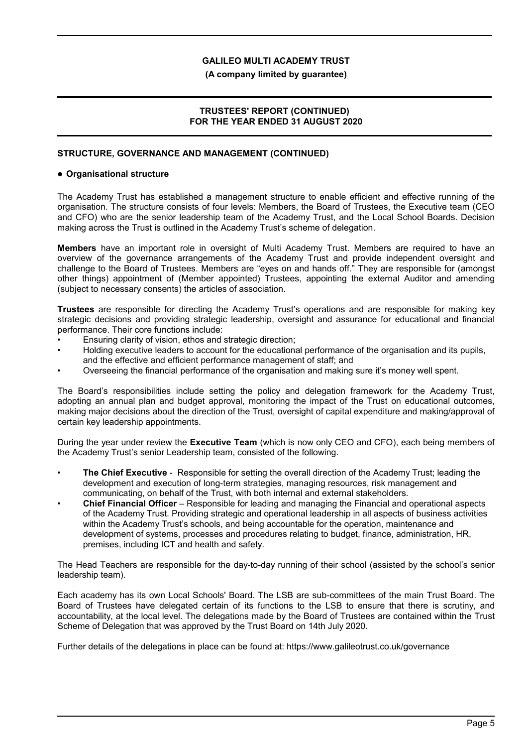### **(A company limited by guarantee)**

### **TRUSTEES' REPORT (CONTINUED) FOR THE YEAR ENDED 31 AUGUST 2020**

### **STRUCTURE, GOVERNANCE AND MANAGEMENT (CONTINUED)**

#### **Organisational structure**

The Academy Trust has established a management structure to enable efficient and effective running of the organisation. The structure consists of four levels: Members, the Board of Trustees, the Executive team (CEO and CFO) who are the senior leadership team of the Academy Trust, and the Local School Boards. Decision making across the Trust is outlined in the Academy Trust's scheme of delegation.

**Members** have an important role in oversight of Multi Academy Trust. Members are required to have an overview of the governance arrangements of the Academy Trust and provide independent oversight and challenge to the Board of Trustees. Members are "eyes on and hands off." They are responsible for (amongst other things) appointment of (Member appointed) Trustees, appointing the external Auditor and amending (subject to necessary consents) the articles of association.

**Trustees** are responsible for directing the Academy Trust's operations and are responsible for making key strategic decisions and providing strategic leadership, oversight and assurance for educational and financial performance. Their core functions include:

- Ensuring clarity of vision, ethos and strategic direction;
- Holding executive leaders to account for the educational performance of the organisation and its pupils, and the effective and efficient performance management of staff; and
- Overseeing the financial performance of the organisation and making sure it's money well spent.

The Board's responsibilities include setting the policy and delegation framework for the Academy Trust, adopting an annual plan and budget approval, monitoring the impact of the Trust on educational outcomes, making major decisions about the direction of the Trust, oversight of capital expenditure and making/approval of certain key leadership appointments.

During the year under review the **Executive Team** (which is now only CEO and CFO), each being members of the Academy Trust's senior Leadership team, consisted of the following.

- **The Chief Executive** Responsible for setting the overall direction of the Academy Trust; leading the development and execution of long-term strategies, managing resources, risk management and communicating, on behalf of the Trust, with both internal and external stakeholders.
- **Chief Financial Officer** Responsible for leading and managing the Financial and operational aspects of the Academy Trust. Providing strategic and operational leadership in all aspects of business activities within the Academy Trust's schools, and being accountable for the operation, maintenance and development of systems, processes and procedures relating to budget, finance, administration, HR, premises, including ICT and health and safety.

The Head Teachers are responsible for the day-to-day running of their school (assisted by the school's senior leadership team).

Each academy has its own Local Schools' Board. The LSB are sub-committees of the main Trust Board. The Board of Trustees have delegated certain of its functions to the LSB to ensure that there is scrutiny, and accountability, at the local level. The delegations made by the Board of Trustees are contained within the Trust Scheme of Delegation that was approved by the Trust Board on 14th July 2020.

Further details of the delegations in place can be found at: https://www.galileotrust.co.uk/governance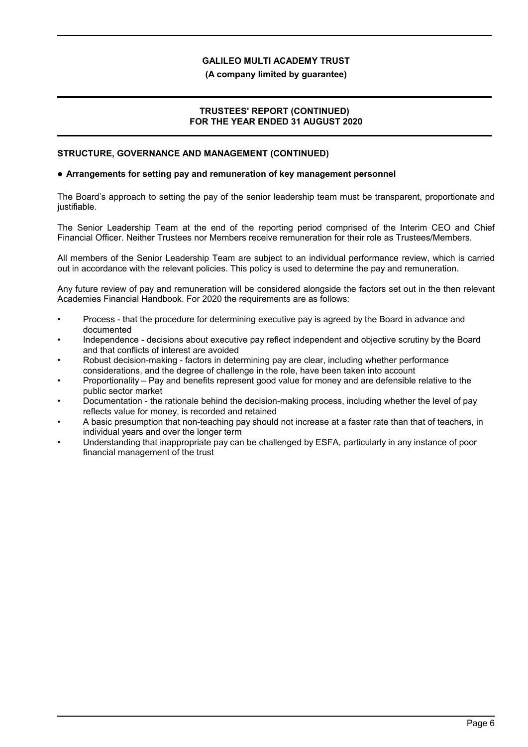### **(A company limited by guarantee)**

### **TRUSTEES' REPORT (CONTINUED) FOR THE YEAR ENDED 31 AUGUST 2020**

### **STRUCTURE, GOVERNANCE AND MANAGEMENT (CONTINUED)**

#### **Arrangements for setting pay and remuneration of key management personnel**

The Board's approach to setting the pay of the senior leadership team must be transparent, proportionate and justifiable.

The Senior Leadership Team at the end of the reporting period comprised of the Interim CEO and Chief Financial Officer. Neither Trustees nor Members receive remuneration for their role as Trustees/Members.

All members of the Senior Leadership Team are subject to an individual performance review, which is carried out in accordance with the relevant policies. This policy is used to determine the pay and remuneration.

Any future review of pay and remuneration will be considered alongside the factors set out in the then relevant Academies Financial Handbook. For 2020 the requirements are as follows:

- Process that the procedure for determining executive pay is agreed by the Board in advance and documented
- Independence decisions about executive pay reflect independent and objective scrutiny by the Board and that conflicts of interest are avoided
- Robust decision-making factors in determining pay are clear, including whether performance considerations, and the degree of challenge in the role, have been taken into account
- Proportionality Pay and benefits represent good value for money and are defensible relative to the public sector market
- Documentation the rationale behind the decision-making process, including whether the level of pay reflects value for money, is recorded and retained
- A basic presumption that non-teaching pay should not increase at a faster rate than that of teachers, in individual years and over the longer term
- Understanding that inappropriate pay can be challenged by ESFA, particularly in any instance of poor financial management of the trust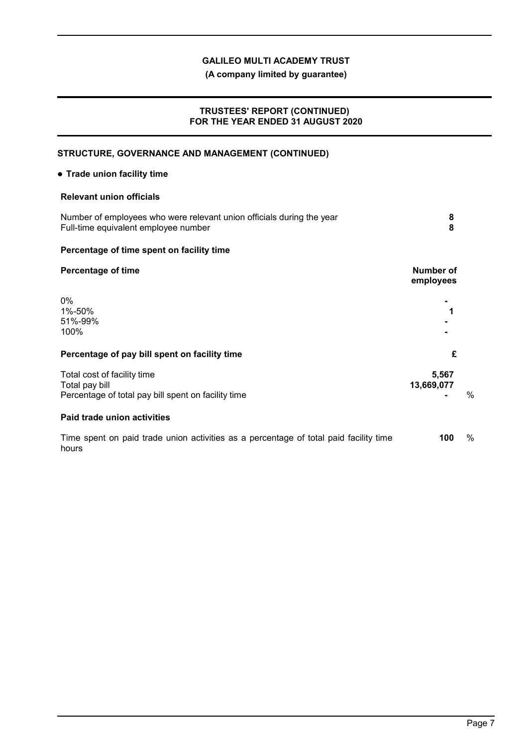**(A company limited by guarantee)**

### **TRUSTEES' REPORT (CONTINUED) FOR THE YEAR ENDED 31 AUGUST 2020**

# **STRUCTURE, GOVERNANCE AND MANAGEMENT (CONTINUED)**

### **Trade union facility time**

### **Relevant union officials**

| Number of employees who were relevant union officials during the year<br>Full-time equivalent employee number |  |
|---------------------------------------------------------------------------------------------------------------|--|
|                                                                                                               |  |

# **Percentage of time spent on facility time**

# **Percentage of time Number of Number of Number of**

|                                                                                                      | employees           |               |
|------------------------------------------------------------------------------------------------------|---------------------|---------------|
| $0\%$<br>1%-50%<br>51%-99%<br>100%                                                                   | 1                   |               |
| Percentage of pay bill spent on facility time                                                        | £                   |               |
| Total cost of facility time<br>Total pay bill<br>Percentage of total pay bill spent on facility time | 5,567<br>13,669,077 | $\frac{0}{c}$ |
| Paid trade union activities                                                                          |                     |               |

Time spent on paid trade union activities as a percentage of total paid facility time hours **100** %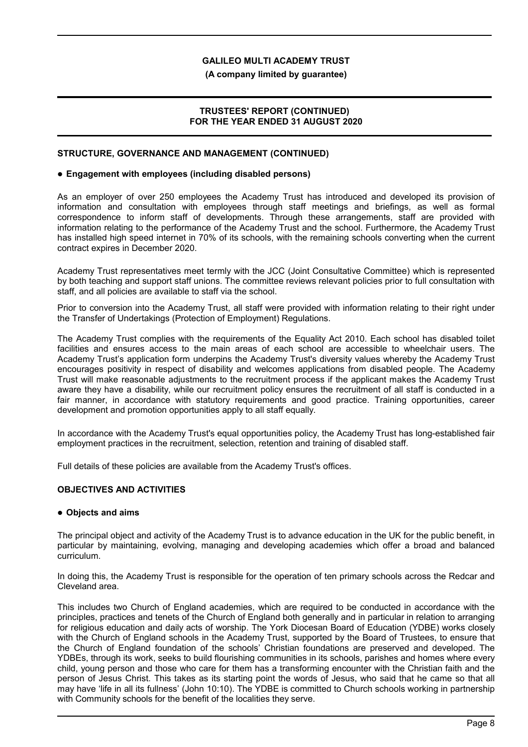**(A company limited by guarantee)**

### **TRUSTEES' REPORT (CONTINUED) FOR THE YEAR ENDED 31 AUGUST 2020**

### **STRUCTURE, GOVERNANCE AND MANAGEMENT (CONTINUED)**

### **Engagement with employees (including disabled persons)**

As an employer of over 250 employees the Academy Trust has introduced and developed its provision of information and consultation with employees through staff meetings and briefings, as well as formal correspondence to inform staff of developments. Through these arrangements, staff are provided with information relating to the performance of the Academy Trust and the school. Furthermore, the Academy Trust has installed high speed internet in 70% of its schools, with the remaining schools converting when the current contract expires in December 2020.

Academy Trust representatives meet termly with the JCC (Joint Consultative Committee) which is represented by both teaching and support staff unions. The committee reviews relevant policies prior to full consultation with staff, and all policies are available to staff via the school.

Prior to conversion into the Academy Trust, all staff were provided with information relating to their right under the Transfer of Undertakings (Protection of Employment) Regulations.

The Academy Trust complies with the requirements of the Equality Act 2010. Each school has disabled toilet facilities and ensures access to the main areas of each school are accessible to wheelchair users. The Academy Trust's application form underpins the Academy Trust's diversity values whereby the Academy Trust encourages positivity in respect of disability and welcomes applications from disabled people. The Academy Trust will make reasonable adjustments to the recruitment process if the applicant makes the Academy Trust aware they have a disability, while our recruitment policy ensures the recruitment of all staff is conducted in a fair manner, in accordance with statutory requirements and good practice. Training opportunities, career development and promotion opportunities apply to all staff equally.

In accordance with the Academy Trust's equal opportunities policy, the Academy Trust has long-established fair employment practices in the recruitment, selection, retention and training of disabled staff.

Full details of these policies are available from the Academy Trust's offices.

### **OBJECTIVES AND ACTIVITIES**

### **Objects and aims**

The principal object and activity of the Academy Trust is to advance education in the UK for the public benefit, in particular by maintaining, evolving, managing and developing academies which offer a broad and balanced curriculum.

In doing this, the Academy Trust is responsible for the operation of ten primary schools across the Redcar and Cleveland area.

This includes two Church of England academies, which are required to be conducted in accordance with the principles, practices and tenets of the Church of England both generally and in particular in relation to arranging for religious education and daily acts of worship. The York Diocesan Board of Education (YDBE) works closely with the Church of England schools in the Academy Trust, supported by the Board of Trustees, to ensure that the Church of England foundation of the schools' Christian foundations are preserved and developed. The YDBEs, through its work, seeks to build flourishing communities in its schools, parishes and homes where every child, young person and those who care for them has a transforming encounter with the Christian faith and the person of Jesus Christ. This takes as its starting point the words of Jesus, who said that he came so that all may have 'life in all its fullness' (John 10:10). The YDBE is committed to Church schools working in partnership with Community schools for the benefit of the localities they serve.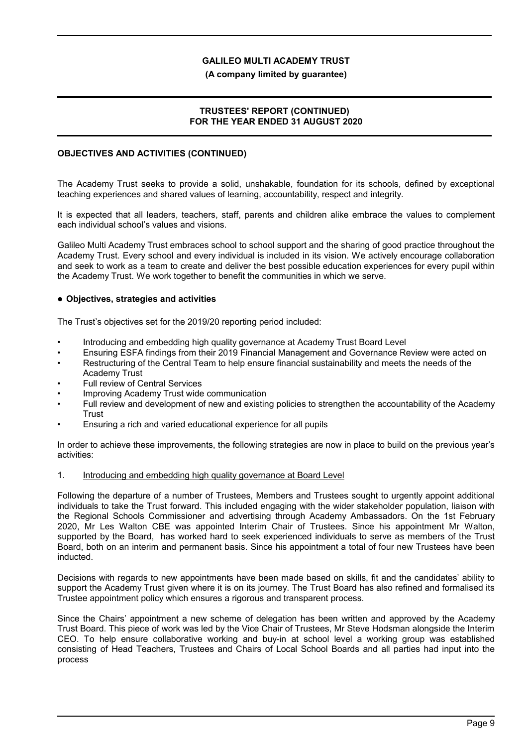### **(A company limited by guarantee)**

### **TRUSTEES' REPORT (CONTINUED) FOR THE YEAR ENDED 31 AUGUST 2020**

## **OBJECTIVES AND ACTIVITIES (CONTINUED)**

The Academy Trust seeks to provide a solid, unshakable, foundation for its schools, defined by exceptional teaching experiences and shared values of learning, accountability, respect and integrity.

It is expected that all leaders, teachers, staff, parents and children alike embrace the values to complement each individual school's values and visions.

Galileo Multi Academy Trust embraces school to school support and the sharing of good practice throughout the Academy Trust. Every school and every individual is included in its vision. We actively encourage collaboration and seek to work as a team to create and deliver the best possible education experiences for every pupil within the Academy Trust. We work together to benefit the communities in which we serve.

### **Objectives, strategies and activities**

The Trust's objectives set for the 2019/20 reporting period included:

- Introducing and embedding high quality governance at Academy Trust Board Level
- Ensuring ESFA findings from their 2019 Financial Management and Governance Review were acted on
- Restructuring of the Central Team to help ensure financial sustainability and meets the needs of the Academy Trust
- Full review of Central Services
- Improving Academy Trust wide communication
- Full review and development of new and existing policies to strengthen the accountability of the Academy **Trust**
- Ensuring a rich and varied educational experience for all pupils

In order to achieve these improvements, the following strategies are now in place to build on the previous year's activities:

#### 1. Introducing and embedding high quality governance at Board Level

Following the departure of a number of Trustees, Members and Trustees sought to urgently appoint additional individuals to take the Trust forward. This included engaging with the wider stakeholder population, liaison with the Regional Schools Commissioner and advertising through Academy Ambassadors. On the 1st February 2020, Mr Les Walton CBE was appointed Interim Chair of Trustees. Since his appointment Mr Walton, supported by the Board, has worked hard to seek experienced individuals to serve as members of the Trust Board, both on an interim and permanent basis. Since his appointment a total of four new Trustees have been inducted.

Decisions with regards to new appointments have been made based on skills, fit and the candidates' ability to support the Academy Trust given where it is on its journey. The Trust Board has also refined and formalised its Trustee appointment policy which ensures a rigorous and transparent process.

Since the Chairs' appointment a new scheme of delegation has been written and approved by the Academy Trust Board. This piece of work was led by the Vice Chair of Trustees, Mr Steve Hodsman alongside the Interim CEO. To help ensure collaborative working and buy-in at school level a working group was established consisting of Head Teachers, Trustees and Chairs of Local School Boards and all parties had input into the process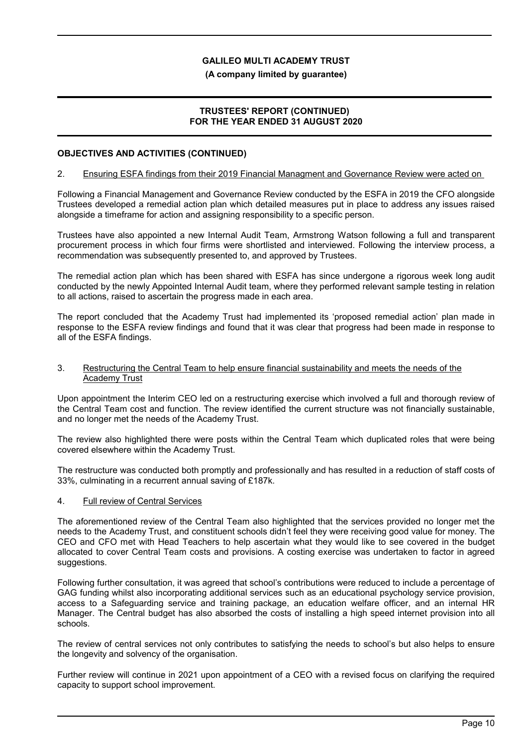#### **(A company limited by guarantee)**

### **TRUSTEES' REPORT (CONTINUED) FOR THE YEAR ENDED 31 AUGUST 2020**

### **OBJECTIVES AND ACTIVITIES (CONTINUED)**

### 2. Ensuring ESFA findings from their 2019 Financial Managment and Governance Review were acted on

Following a Financial Management and Governance Review conducted by the ESFA in 2019 the CFO alongside Trustees developed a remedial action plan which detailed measures put in place to address any issues raised alongside a timeframe for action and assigning responsibility to a specific person.

Trustees have also appointed a new Internal Audit Team, Armstrong Watson following a full and transparent procurement process in which four firms were shortlisted and interviewed. Following the interview process, a recommendation was subsequently presented to, and approved by Trustees.

The remedial action plan which has been shared with ESFA has since undergone a rigorous week long audit conducted by the newly Appointed Internal Audit team, where they performed relevant sample testing in relation to all actions, raised to ascertain the progress made in each area.

The report concluded that the Academy Trust had implemented its 'proposed remedial action' plan made in response to the ESFA review findings and found that it was clear that progress had been made in response to all of the ESFA findings.

#### 3. Restructuring the Central Team to help ensure financial sustainability and meets the needs of the Academy Trust

Upon appointment the Interim CEO led on a restructuring exercise which involved a full and thorough review of the Central Team cost and function. The review identified the current structure was not financially sustainable, and no longer met the needs of the Academy Trust.

The review also highlighted there were posts within the Central Team which duplicated roles that were being covered elsewhere within the Academy Trust.

The restructure was conducted both promptly and professionally and has resulted in a reduction of staff costs of 33%, culminating in a recurrent annual saving of £187k.

### 4. Full review of Central Services

The aforementioned review of the Central Team also highlighted that the services provided no longer met the needs to the Academy Trust, and constituent schools didn't feel they were receiving good value for money. The CEO and CFO met with Head Teachers to help ascertain what they would like to see covered in the budget allocated to cover Central Team costs and provisions. A costing exercise was undertaken to factor in agreed suggestions.

Following further consultation, it was agreed that school's contributions were reduced to include a percentage of GAG funding whilst also incorporating additional services such as an educational psychology service provision, access to a Safeguarding service and training package, an education welfare officer, and an internal HR Manager. The Central budget has also absorbed the costs of installing a high speed internet provision into all schools.

The review of central services not only contributes to satisfying the needs to school's but also helps to ensure the longevity and solvency of the organisation.

Further review will continue in 2021 upon appointment of a CEO with a revised focus on clarifying the required capacity to support school improvement.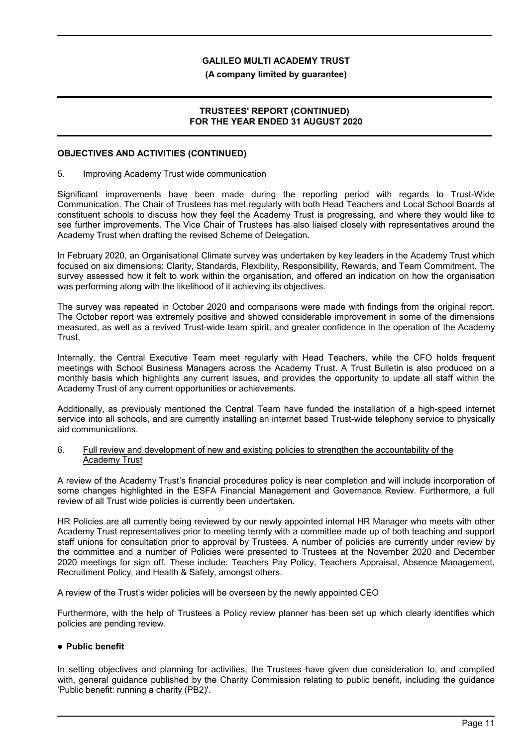#### **(A company limited by guarantee)**

### **TRUSTEES' REPORT (CONTINUED) FOR THE YEAR ENDED 31 AUGUST 2020**

### **OBJECTIVES AND ACTIVITIES (CONTINUED)**

#### 5. Improving Academy Trust wide communication

Significant improvements have been made during the reporting period with regards to Trust-Wide Communication. The Chair of Trustees has met regularly with both Head Teachers and Local School Boards at constituent schools to discuss how they feel the Academy Trust is progressing, and where they would like to see further improvements. The Vice Chair of Trustees has also liaised closely with representatives around the Academy Trust when drafting the revised Scheme of Delegation.

In February 2020, an Organisational Climate survey was undertaken by key leaders in the Academy Trust which focused on six dimensions: Clarity, Standards, Flexibility, Responsibility, Rewards, and Team Commitment. The survey assessed how it felt to work within the organisation, and offered an indication on how the organisation was performing along with the likelihood of it achieving its objectives.

The survey was repeated in October 2020 and comparisons were made with findings from the original report. The October report was extremely positive and showed considerable improvement in some of the dimensions measured, as well as a revived Trust-wide team spirit, and greater confidence in the operation of the Academy Trust.

Internally, the Central Executive Team meet regularly with Head Teachers, while the CFO holds frequent meetings with School Business Managers across the Academy Trust. A Trust Bulletin is also produced on a monthly basis which highlights any current issues, and provides the opportunity to update all staff within the Academy Trust of any current opportunities or achievements.

Additionally, as previously mentioned the Central Team have funded the installation of a high-speed internet service into all schools, and are currently installing an internet based Trust-wide telephony service to physically aid communications.

#### 6. Full review and development of new and existing policies to strengthen the accountability of the Academy Trust

A review of the Academy Trust's financial procedures policy is near completion and will include incorporation of some changes highlighted in the ESFA Financial Management and Governance Review. Furthermore, a full review of all Trust wide policies is currently been undertaken.

HR Policies are all currently being reviewed by our newly appointed internal HR Manager who meets with other Academy Trust representatives prior to meeting termly with a committee made up of both teaching and support staff unions for consultation prior to approval by Trustees. A number of policies are currently under review by the committee and a number of Policies were presented to Trustees at the November 2020 and December 2020 meetings for sign off. These include: Teachers Pay Policy, Teachers Appraisal, Absence Management, Recruitment Policy, and Health & Safety, amongst others.

A review of the Trust's wider policies will be overseen by the newly appointed CEO

Furthermore, with the help of Trustees a Policy review planner has been set up which clearly identifies which policies are pending review.

### **Public benefit**

In setting objectives and planning for activities, the Trustees have given due consideration to, and complied with, general guidance published by the Charity Commission relating to public benefit, including the guidance 'Public benefit: running a charity (PB2)'.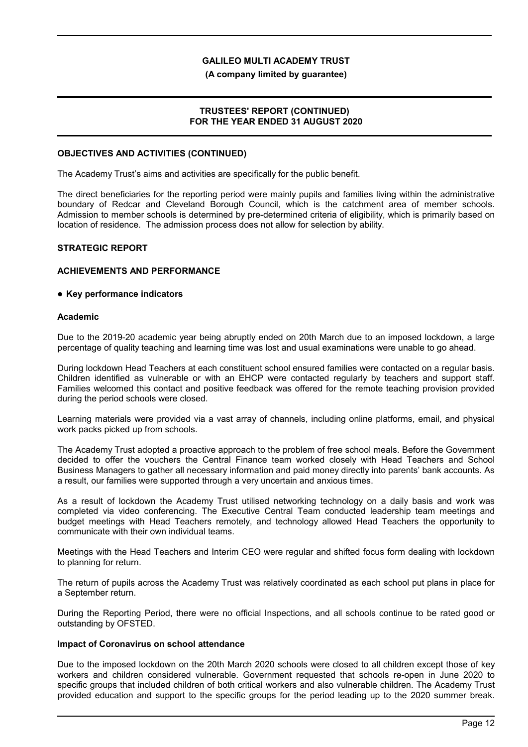#### **(A company limited by guarantee)**

### **TRUSTEES' REPORT (CONTINUED) FOR THE YEAR ENDED 31 AUGUST 2020**

### **OBJECTIVES AND ACTIVITIES (CONTINUED)**

The Academy Trust's aims and activities are specifically for the public benefit.

The direct beneficiaries for the reporting period were mainly pupils and families living within the administrative boundary of Redcar and Cleveland Borough Council, which is the catchment area of member schools. Admission to member schools is determined by pre-determined criteria of eligibility, which is primarily based on location of residence. The admission process does not allow for selection by ability.

### **STRATEGIC REPORT**

### **ACHIEVEMENTS AND PERFORMANCE**

### **Key performance indicators**

#### **Academic**

Due to the 2019-20 academic year being abruptly ended on 20th March due to an imposed lockdown, a large percentage of quality teaching and learning time was lost and usual examinations were unable to go ahead.

During lockdown Head Teachers at each constituent school ensured families were contacted on a regular basis. Children identified as vulnerable or with an EHCP were contacted regularly by teachers and support staff. Families welcomed this contact and positive feedback was offered for the remote teaching provision provided during the period schools were closed.

Learning materials were provided via a vast array of channels, including online platforms, email, and physical work packs picked up from schools.

The Academy Trust adopted a proactive approach to the problem of free school meals. Before the Government decided to offer the vouchers the Central Finance team worked closely with Head Teachers and School Business Managers to gather all necessary information and paid money directly into parents' bank accounts. As a result, our families were supported through a very uncertain and anxious times.

As a result of lockdown the Academy Trust utilised networking technology on a daily basis and work was completed via video conferencing. The Executive Central Team conducted leadership team meetings and budget meetings with Head Teachers remotely, and technology allowed Head Teachers the opportunity to communicate with their own individual teams.

Meetings with the Head Teachers and Interim CEO were regular and shifted focus form dealing with lockdown to planning for return.

The return of pupils across the Academy Trust was relatively coordinated as each school put plans in place for a September return.

During the Reporting Period, there were no official Inspections, and all schools continue to be rated good or outstanding by OFSTED.

#### **Impact of Coronavirus on school attendance**

Due to the imposed lockdown on the 20th March 2020 schools were closed to all children except those of key workers and children considered vulnerable. Government requested that schools re-open in June 2020 to specific groups that included children of both critical workers and also vulnerable children. The Academy Trust provided education and support to the specific groups for the period leading up to the 2020 summer break.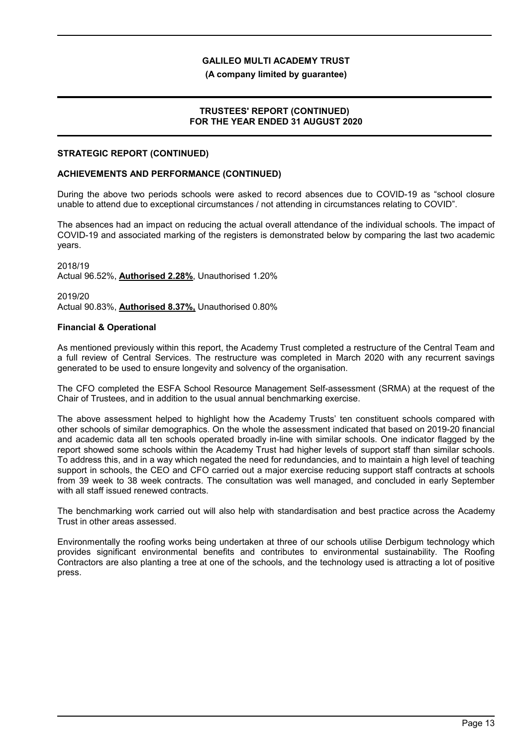**(A company limited by guarantee)**

### **TRUSTEES' REPORT (CONTINUED) FOR THE YEAR ENDED 31 AUGUST 2020**

### **STRATEGIC REPORT (CONTINUED)**

### **ACHIEVEMENTS AND PERFORMANCE (CONTINUED)**

During the above two periods schools were asked to record absences due to COVID-19 as "school closure unable to attend due to exceptional circumstances / not attending in circumstances relating to COVID".

The absences had an impact on reducing the actual overall attendance of the individual schools. The impact of COVID-19 and associated marking of the registers is demonstrated below by comparing the last two academic years.

2018/19 Actual 96.52%, **Authorised 2.28%**, Unauthorised 1.20%

2019/20 Actual 90.83%, **Authorised 8.37%,** Unauthorised 0.80%

### **Financial & Operational**

As mentioned previously within this report, the Academy Trust completed a restructure of the Central Team and a full review of Central Services. The restructure was completed in March 2020 with any recurrent savings generated to be used to ensure longevity and solvency of the organisation.

The CFO completed the ESFA School Resource Management Self-assessment (SRMA) at the request of the Chair of Trustees, and in addition to the usual annual benchmarking exercise.

The above assessment helped to highlight how the Academy Trusts' ten constituent schools compared with other schools of similar demographics. On the whole the assessment indicated that based on 2019-20 financial and academic data all ten schools operated broadly in-line with similar schools. One indicator flagged by the report showed some schools within the Academy Trust had higher levels of support staff than similar schools. To address this, and in a way which negated the need for redundancies, and to maintain a high level of teaching support in schools, the CEO and CFO carried out a major exercise reducing support staff contracts at schools from 39 week to 38 week contracts. The consultation was well managed, and concluded in early September with all staff issued renewed contracts.

The benchmarking work carried out will also help with standardisation and best practice across the Academy Trust in other areas assessed.

Environmentally the roofing works being undertaken at three of our schools utilise Derbigum technology which provides significant environmental benefits and contributes to environmental sustainability. The Roofing Contractors are also planting a tree at one of the schools, and the technology used is attracting a lot of positive press.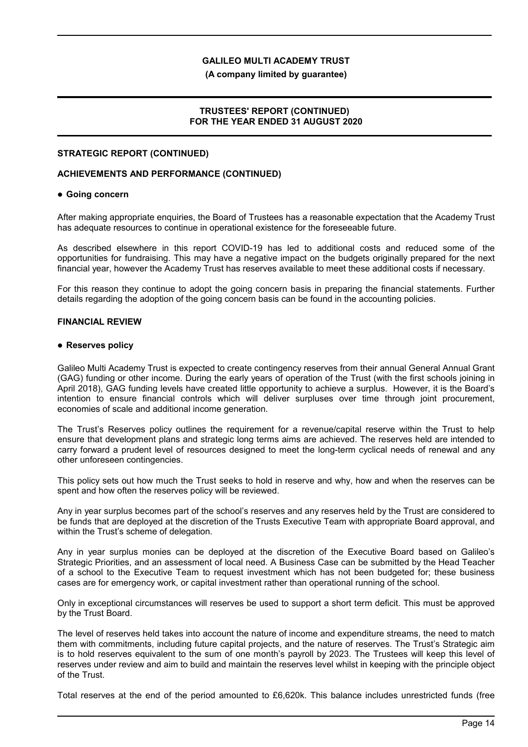**(A company limited by guarantee)**

### **TRUSTEES' REPORT (CONTINUED) FOR THE YEAR ENDED 31 AUGUST 2020**

### **STRATEGIC REPORT (CONTINUED)**

#### **ACHIEVEMENTS AND PERFORMANCE (CONTINUED)**

#### **Going concern**

After making appropriate enquiries, the Board of Trustees has a reasonable expectation that the Academy Trust has adequate resources to continue in operational existence for the foreseeable future.

As described elsewhere in this report COVID-19 has led to additional costs and reduced some of the opportunities for fundraising. This may have a negative impact on the budgets originally prepared for the next financial year, however the Academy Trust has reserves available to meet these additional costs if necessary.

For this reason they continue to adopt the going concern basis in preparing the financial statements. Further details regarding the adoption of the going concern basis can be found in the accounting policies.

#### **FINANCIAL REVIEW**

#### **Reserves policy**

Galileo Multi Academy Trust is expected to create contingency reserves from their annual General Annual Grant (GAG) funding or other income. During the early years of operation of the Trust (with the first schools joining in April 2018), GAG funding levels have created little opportunity to achieve a surplus. However, it is the Board's intention to ensure financial controls which will deliver surpluses over time through joint procurement, economies of scale and additional income generation.

The Trust's Reserves policy outlines the requirement for a revenue/capital reserve within the Trust to help ensure that development plans and strategic long terms aims are achieved. The reserves held are intended to carry forward a prudent level of resources designed to meet the long-term cyclical needs of renewal and any other unforeseen contingencies.

This policy sets out how much the Trust seeks to hold in reserve and why, how and when the reserves can be spent and how often the reserves policy will be reviewed.

Any in year surplus becomes part of the school's reserves and any reserves held by the Trust are considered to be funds that are deployed at the discretion of the Trusts Executive Team with appropriate Board approval, and within the Trust's scheme of delegation.

Any in year surplus monies can be deployed at the discretion of the Executive Board based on Galileo's Strategic Priorities, and an assessment of local need. A Business Case can be submitted by the Head Teacher of a school to the Executive Team to request investment which has not been budgeted for; these business cases are for emergency work, or capital investment rather than operational running of the school.

Only in exceptional circumstances will reserves be used to support a short term deficit. This must be approved by the Trust Board.

The level of reserves held takes into account the nature of income and expenditure streams, the need to match them with commitments, including future capital projects, and the nature of reserves. The Trust's Strategic aim is to hold reserves equivalent to the sum of one month's payroll by 2023. The Trustees will keep this level of reserves under review and aim to build and maintain the reserves level whilst in keeping with the principle object of the Trust.

Total reserves at the end of the period amounted to £6,620k. This balance includes unrestricted funds (free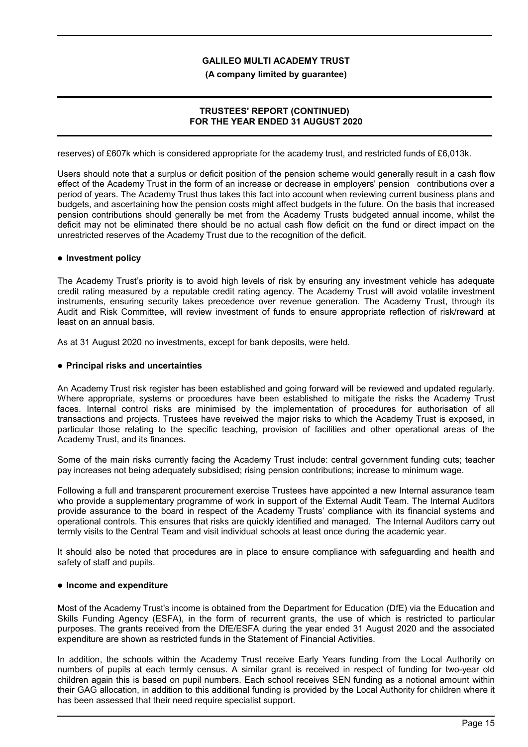**(A company limited by guarantee)**

# **TRUSTEES' REPORT (CONTINUED) FOR THE YEAR ENDED 31 AUGUST 2020**

reserves) of £607k which is considered appropriate for the academy trust, and restricted funds of £6,013k.

Users should note that a surplus or deficit position of the pension scheme would generally result in a cash flow effect of the Academy Trust in the form of an increase or decrease in employers' pension contributions over a period of years. The Academy Trust thus takes this fact into account when reviewing current business plans and budgets, and ascertaining how the pension costs might affect budgets in the future. On the basis that increased pension contributions should generally be met from the Academy Trusts budgeted annual income, whilst the deficit may not be eliminated there should be no actual cash flow deficit on the fund or direct impact on the unrestricted reserves of the Academy Trust due to the recognition of the deficit.

### **Investment policy**

The Academy Trust's priority is to avoid high levels of risk by ensuring any investment vehicle has adequate credit rating measured by a reputable credit rating agency. The Academy Trust will avoid volatile investment instruments, ensuring security takes precedence over revenue generation. The Academy Trust, through its Audit and Risk Committee, will review investment of funds to ensure appropriate reflection of risk/reward at least on an annual basis.

As at 31 August 2020 no investments, except for bank deposits, were held.

### **Principal risks and uncertainties**

An Academy Trust risk register has been established and going forward will be reviewed and updated regularly. Where appropriate, systems or procedures have been established to mitigate the risks the Academy Trust faces. Internal control risks are minimised by the implementation of procedures for authorisation of all transactions and projects. Trustees have reveiwed the major risks to which the Academy Trust is exposed, in particular those relating to the specific teaching, provision of facilities and other operational areas of the Academy Trust, and its finances.

Some of the main risks currently facing the Academy Trust include: central government funding cuts; teacher pay increases not being adequately subsidised; rising pension contributions; increase to minimum wage.

Following a full and transparent procurement exercise Trustees have appointed a new Internal assurance team who provide a supplementary programme of work in support of the External Audit Team. The Internal Auditors provide assurance to the board in respect of the Academy Trusts' compliance with its financial systems and operational controls. This ensures that risks are quickly identified and managed. The Internal Auditors carry out termly visits to the Central Team and visit individual schools at least once during the academic year.

It should also be noted that procedures are in place to ensure compliance with safeguarding and health and safety of staff and pupils.

#### **Income and expenditure**

Most of the Academy Trust's income is obtained from the Department for Education (DfE) via the Education and Skills Funding Agency (ESFA), in the form of recurrent grants, the use of which is restricted to particular purposes. The grants received from the DfE/ESFA during the year ended 31 August 2020 and the associated expenditure are shown as restricted funds in the Statement of Financial Activities.

In addition, the schools within the Academy Trust receive Early Years funding from the Local Authority on numbers of pupils at each termly census. A similar grant is received in respect of funding for two-year old children again this is based on pupil numbers. Each school receives SEN funding as a notional amount within their GAG allocation, in addition to this additional funding is provided by the Local Authority for children where it has been assessed that their need require specialist support.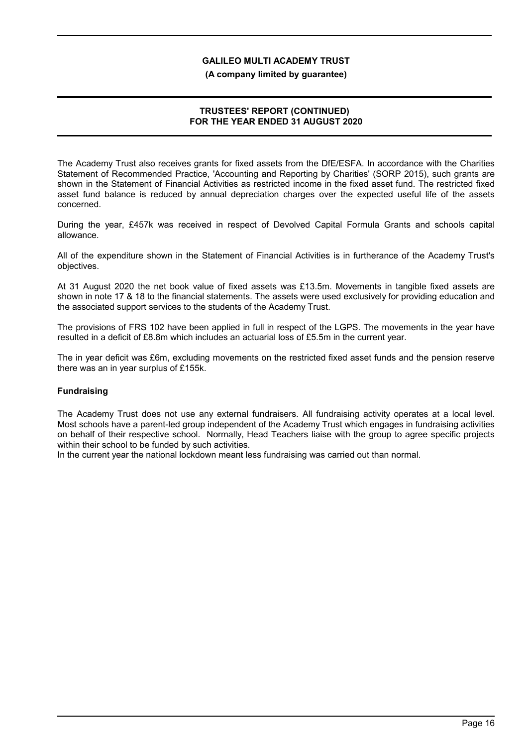#### **(A company limited by guarantee)**

### **TRUSTEES' REPORT (CONTINUED) FOR THE YEAR ENDED 31 AUGUST 2020**

The Academy Trust also receives grants for fixed assets from the DfE/ESFA. In accordance with the Charities Statement of Recommended Practice, 'Accounting and Reporting by Charities' (SORP 2015), such grants are shown in the Statement of Financial Activities as restricted income in the fixed asset fund. The restricted fixed asset fund balance is reduced by annual depreciation charges over the expected useful life of the assets concerned.

During the year, £457k was received in respect of Devolved Capital Formula Grants and schools capital allowance.

All of the expenditure shown in the Statement of Financial Activities is in furtherance of the Academy Trust's objectives.

At 31 August 2020 the net book value of fixed assets was £13.5m. Movements in tangible fixed assets are shown in note 17 & 18 to the financial statements. The assets were used exclusively for providing education and the associated support services to the students of the Academy Trust.

The provisions of FRS 102 have been applied in full in respect of the LGPS. The movements in the year have resulted in a deficit of £8.8m which includes an actuarial loss of £5.5m in the current year.

The in year deficit was £6m, excluding movements on the restricted fixed asset funds and the pension reserve there was an in year surplus of £155k.

### **Fundraising**

The Academy Trust does not use any external fundraisers. All fundraising activity operates at a local level. Most schools have a parent-led group independent of the Academy Trust which engages in fundraising activities on behalf of their respective school. Normally, Head Teachers liaise with the group to agree specific projects within their school to be funded by such activities.

In the current year the national lockdown meant less fundraising was carried out than normal.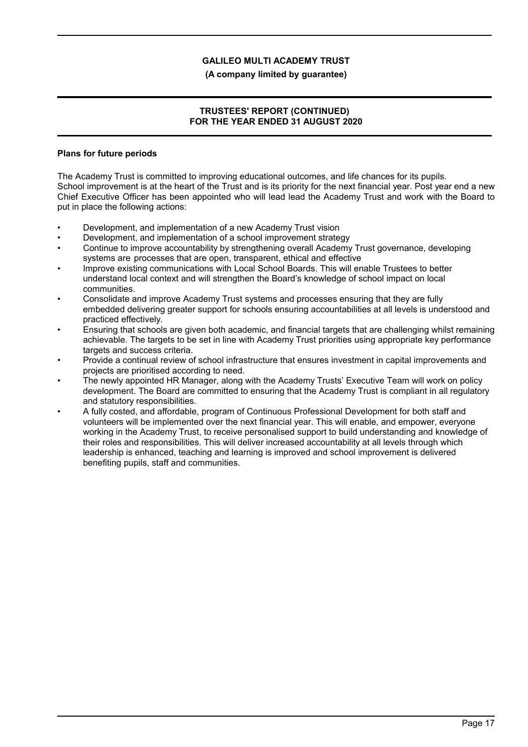### **(A company limited by guarantee)**

### **TRUSTEES' REPORT (CONTINUED) FOR THE YEAR ENDED 31 AUGUST 2020**

### **Plans for future periods**

The Academy Trust is committed to improving educational outcomes, and life chances for its pupils. School improvement is at the heart of the Trust and is its priority for the next financial year. Post year end a new Chief Executive Officer has been appointed who will lead lead the Academy Trust and work with the Board to put in place the following actions:

- Development, and implementation of a new Academy Trust vision
- Development, and implementation of a school improvement strategy
- Continue to improve accountability by strengthening overall Academy Trust governance, developing systems are processes that are open, transparent, ethical and effective
- Improve existing communications with Local School Boards. This will enable Trustees to better understand local context and will strengthen the Board's knowledge of school impact on local communities.
- Consolidate and improve Academy Trust systems and processes ensuring that they are fully embedded delivering greater support for schools ensuring accountabilities at all levels is understood and practiced effectively.
- Ensuring that schools are given both academic, and financial targets that are challenging whilst remaining achievable. The targets to be set in line with Academy Trust priorities using appropriate key performance targets and success criteria.
- Provide a continual review of school infrastructure that ensures investment in capital improvements and projects are prioritised according to need.
- The newly appointed HR Manager, along with the Academy Trusts' Executive Team will work on policy development. The Board are committed to ensuring that the Academy Trust is compliant in all regulatory and statutory responsibilities.
- A fully costed, and affordable, program of Continuous Professional Development for both staff and volunteers will be implemented over the next financial year. This will enable, and empower, everyone working in the Academy Trust, to receive personalised support to build understanding and knowledge of their roles and responsibilities. This will deliver increased accountability at all levels through which leadership is enhanced, teaching and learning is improved and school improvement is delivered benefiting pupils, staff and communities.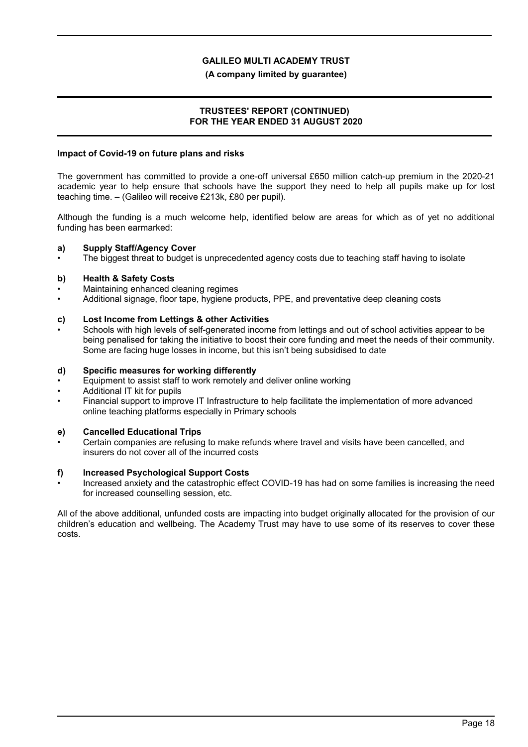### **(A company limited by guarantee)**

### **TRUSTEES' REPORT (CONTINUED) FOR THE YEAR ENDED 31 AUGUST 2020**

#### **Impact of Covid-19 on future plans and risks**

The government has committed to provide a one-off universal £650 million catch-up premium in the 2020-21 academic year to help ensure that schools have the support they need to help all pupils make up for lost teaching time. – (Galileo will receive £213k, £80 per pupil).

Although the funding is a much welcome help, identified below are areas for which as of yet no additional funding has been earmarked:

### **a) Supply Staff/Agency Cover**

The biggest threat to budget is unprecedented agency costs due to teaching staff having to isolate

### **b) Health & Safety Costs**

- Maintaining enhanced cleaning regimes
- Additional signage, floor tape, hygiene products, PPE, and preventative deep cleaning costs

### **c) Lost Income from Lettings & other Activities**

• Schools with high levels of self-generated income from lettings and out of school activities appear to be being penalised for taking the initiative to boost their core funding and meet the needs of their community. Some are facing huge losses in income, but this isn't being subsidised to date

#### **d) Specific measures for working differently**

- Equipment to assist staff to work remotely and deliver online working
- Additional IT kit for pupils
- Financial support to improve IT Infrastructure to help facilitate the implementation of more advanced online teaching platforms especially in Primary schools

### **e) Cancelled Educational Trips**

• Certain companies are refusing to make refunds where travel and visits have been cancelled, and insurers do not cover all of the incurred costs

#### **f) Increased Psychological Support Costs**

• Increased anxiety and the catastrophic effect COVID-19 has had on some families is increasing the need for increased counselling session, etc.

All of the above additional, unfunded costs are impacting into budget originally allocated for the provision of our children's education and wellbeing. The Academy Trust may have to use some of its reserves to cover these costs.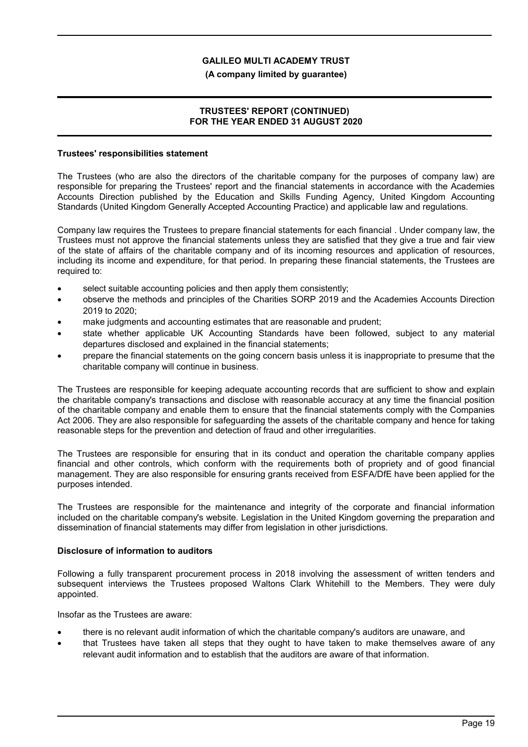### **(A company limited by guarantee)**

### **TRUSTEES' REPORT (CONTINUED) FOR THE YEAR ENDED 31 AUGUST 2020**

#### **Trustees' responsibilities statement**

The Trustees (who are also the directors of the charitable company for the purposes of company law) are responsible for preparing the Trustees' report and the financial statements in accordance with the Academies Accounts Direction published by the Education and Skills Funding Agency, United Kingdom Accounting Standards (United Kingdom Generally Accepted Accounting Practice) and applicable law and regulations.

Company law requires the Trustees to prepare financial statements for each financial . Under company law, the Trustees must not approve the financial statements unless they are satisfied that they give a true and fair view of the state of affairs of the charitable company and of its incoming resources and application of resources, including its income and expenditure, for that period. In preparing these financial statements, the Trustees are required to:

- select suitable accounting policies and then apply them consistently;
- observe the methods and principles of the Charities SORP 2019 and the Academies Accounts Direction 2019 to 2020;
- make judgments and accounting estimates that are reasonable and prudent;
- state whether applicable UK Accounting Standards have been followed, subject to any material departures disclosed and explained in the financial statements;
- prepare the financial statements on the going concern basis unless it is inappropriate to presume that the charitable company will continue in business.

The Trustees are responsible for keeping adequate accounting records that are sufficient to show and explain the charitable company's transactions and disclose with reasonable accuracy at any time the financial position of the charitable company and enable them to ensure that the financial statements comply with the Companies Act 2006. They are also responsible for safeguarding the assets of the charitable company and hence for taking reasonable steps for the prevention and detection of fraud and other irregularities.

The Trustees are responsible for ensuring that in its conduct and operation the charitable company applies financial and other controls, which conform with the requirements both of propriety and of good financial management. They are also responsible for ensuring grants received from ESFA/DfE have been applied for the purposes intended.

The Trustees are responsible for the maintenance and integrity of the corporate and financial information included on the charitable company's website. Legislation in the United Kingdom governing the preparation and dissemination of financial statements may differ from legislation in other jurisdictions.

#### **Disclosure of information to auditors**

Following a fully transparent procurement process in 2018 involving the assessment of written tenders and subsequent interviews the Trustees proposed Waltons Clark Whitehill to the Members. They were duly appointed.

Insofar as the Trustees are aware:

- there is no relevant audit information of which the charitable company's auditors are unaware, and
- that Trustees have taken all steps that they ought to have taken to make themselves aware of any relevant audit information and to establish that the auditors are aware of that information.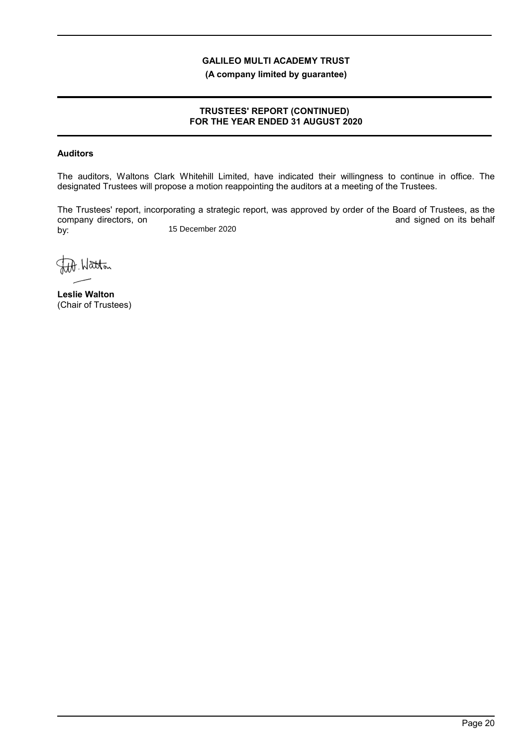**(A company limited by guarantee)**

### **TRUSTEES' REPORT (CONTINUED) FOR THE YEAR ENDED 31 AUGUST 2020**

# **Auditors**

The auditors, Waltons Clark Whitehill Limited, have indicated their willingness to continue in office. The designated Trustees will propose a motion reappointing the auditors at a meeting of the Trustees.

The Trustees' report, incorporating a strategic report, was approved by order of the Board of Trustees, as the company directors, on and signed on its behalf by: 15 December 2020

Watton

**Leslie Walton** (Chair of Trustees)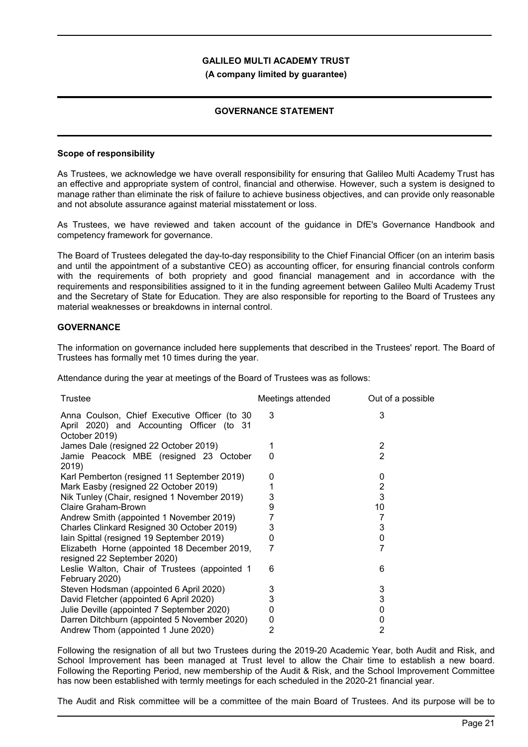#### **(A company limited by guarantee)**

### **GOVERNANCE STATEMENT**

### **Scope of responsibility**

As Trustees, we acknowledge we have overall responsibility for ensuring that Galileo Multi Academy Trust has an effective and appropriate system of control, financial and otherwise. However, such a system is designed to manage rather than eliminate the risk of failure to achieve business objectives, and can provide only reasonable and not absolute assurance against material misstatement or loss.

As Trustees, we have reviewed and taken account of the guidance in DfE's Governance Handbook and competency framework for governance.

The Board of Trustees delegated the day-to-day responsibility to the Chief Financial Officer (on an interim basis and until the appointment of a substantive CEO) as accounting officer, for ensuring financial controls conform with the requirements of both propriety and good financial management and in accordance with the requirements and responsibilities assigned to it in the funding agreement between Galileo Multi Academy Trust and the Secretary of State for Education. They are also responsible for reporting to the Board of Trustees any material weaknesses or breakdowns in internal control.

### **GOVERNANCE**

The information on governance included here supplements that described in the Trustees' report. The Board of Trustees has formally met 10 times during the year.

Attendance during the year at meetings of the Board of Trustees was as follows:

| <b>Trustee</b>                                                                                             | Meetings attended | Out of a possible |
|------------------------------------------------------------------------------------------------------------|-------------------|-------------------|
| Anna Coulson, Chief Executive Officer (to 30<br>April 2020) and Accounting Officer (to 31<br>October 2019) | 3                 | 3                 |
| James Dale (resigned 22 October 2019)                                                                      |                   | $\overline{2}$    |
| Jamie Peacock MBE (resigned 23 October<br>2019)                                                            | 0                 | $\overline{2}$    |
| Karl Pemberton (resigned 11 September 2019)                                                                | 0                 | 0                 |
| Mark Easby (resigned 22 October 2019)                                                                      |                   | $\overline{2}$    |
| Nik Tunley (Chair, resigned 1 November 2019)                                                               | 3                 | 3                 |
| <b>Claire Graham-Brown</b>                                                                                 | 9                 | 10                |
| Andrew Smith (appointed 1 November 2019)                                                                   |                   | 7                 |
| Charles Clinkard Resigned 30 October 2019)                                                                 | 3                 | 3                 |
| Iain Spittal (resigned 19 September 2019)                                                                  | 0                 | 0                 |
| Elizabeth Horne (appointed 18 December 2019,<br>resigned 22 September 2020)                                | 7                 | 7                 |
| Leslie Walton, Chair of Trustees (appointed 1<br>February 2020)                                            | 6                 | 6                 |
| Steven Hodsman (appointed 6 April 2020)                                                                    | 3                 | 3                 |
| David Fletcher (appointed 6 April 2020)                                                                    | 3                 | 3                 |
| Julie Deville (appointed 7 September 2020)                                                                 | 0                 | 0                 |
| Darren Ditchburn (appointed 5 November 2020)                                                               | 0                 | 0                 |
| Andrew Thom (appointed 1 June 2020)                                                                        | 2                 | 2                 |

Following the resignation of all but two Trustees during the 2019-20 Academic Year, both Audit and Risk, and School Improvement has been managed at Trust level to allow the Chair time to establish a new board. Following the Reporting Period, new membership of the Audit & Risk, and the School Improvement Committee has now been established with termly meetings for each scheduled in the 2020-21 financial year.

The Audit and Risk committee will be a committee of the main Board of Trustees. And its purpose will be to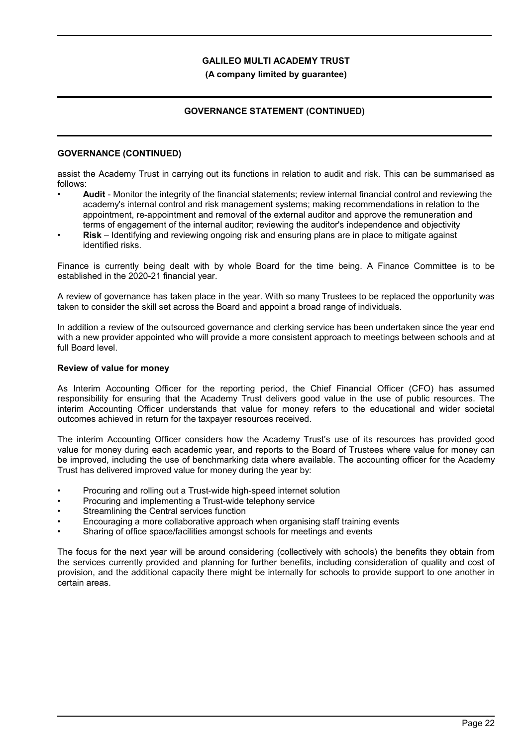### **(A company limited by guarantee)**

# **GOVERNANCE STATEMENT (CONTINUED)**

### **GOVERNANCE (CONTINUED)**

assist the Academy Trust in carrying out its functions in relation to audit and risk. This can be summarised as follows:

- **Audit** Monitor the integrity of the financial statements; review internal financial control and reviewing the academy's internal control and risk management systems; making recommendations in relation to the appointment, re-appointment and removal of the external auditor and approve the remuneration and terms of engagement of the internal auditor; reviewing the auditor's independence and objectivity
- **Risk** Identifying and reviewing ongoing risk and ensuring plans are in place to mitigate against identified risks.

Finance is currently being dealt with by whole Board for the time being. A Finance Committee is to be established in the 2020-21 financial year.

A review of governance has taken place in the year. With so many Trustees to be replaced the opportunity was taken to consider the skill set across the Board and appoint a broad range of individuals.

In addition a review of the outsourced governance and clerking service has been undertaken since the year end with a new provider appointed who will provide a more consistent approach to meetings between schools and at full Board level.

#### **Review of value for money**

As Interim Accounting Officer for the reporting period, the Chief Financial Officer (CFO) has assumed responsibility for ensuring that the Academy Trust delivers good value in the use of public resources. The interim Accounting Officer understands that value for money refers to the educational and wider societal outcomes achieved in return for the taxpayer resources received.

The interim Accounting Officer considers how the Academy Trust's use of its resources has provided good value for money during each academic year, and reports to the Board of Trustees where value for money can be improved, including the use of benchmarking data where available. The accounting officer for the Academy Trust has delivered improved value for money during the year by:

- Procuring and rolling out a Trust-wide high-speed internet solution
- Procuring and implementing a Trust-wide telephony service
- Streamlining the Central services function
- Encouraging a more collaborative approach when organising staff training events
- Sharing of office space/facilities amongst schools for meetings and events

The focus for the next year will be around considering (collectively with schools) the benefits they obtain from the services currently provided and planning for further benefits, including consideration of quality and cost of provision, and the additional capacity there might be internally for schools to provide support to one another in certain areas.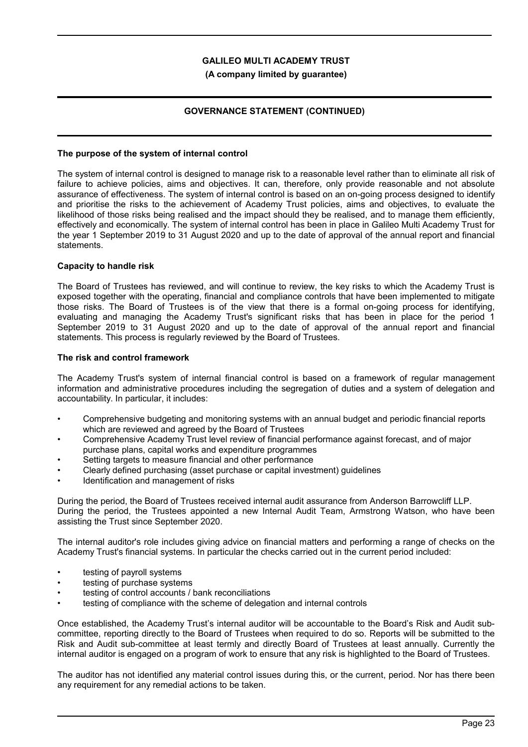### **(A company limited by guarantee)**

### **GOVERNANCE STATEMENT (CONTINUED)**

#### **The purpose of the system of internal control**

The system of internal control is designed to manage risk to a reasonable level rather than to eliminate all risk of failure to achieve policies, aims and objectives. It can, therefore, only provide reasonable and not absolute assurance of effectiveness. The system of internal control is based on an on-going process designed to identify and prioritise the risks to the achievement of Academy Trust policies, aims and objectives, to evaluate the likelihood of those risks being realised and the impact should they be realised, and to manage them efficiently, effectively and economically. The system of internal control has been in place in Galileo Multi Academy Trust for the year 1 September 2019 to 31 August 2020 and up to the date of approval of the annual report and financial statements.

### **Capacity to handle risk**

The Board of Trustees has reviewed, and will continue to review, the key risks to which the Academy Trust is exposed together with the operating, financial and compliance controls that have been implemented to mitigate those risks. The Board of Trustees is of the view that there is a formal on-going process for identifying, evaluating and managing the Academy Trust's significant risks that has been in place for the period 1 September 2019 to 31 August 2020 and up to the date of approval of the annual report and financial statements. This process is regularly reviewed by the Board of Trustees.

### **The risk and control framework**

The Academy Trust's system of internal financial control is based on a framework of regular management information and administrative procedures including the segregation of duties and a system of delegation and accountability. In particular, it includes:

- Comprehensive budgeting and monitoring systems with an annual budget and periodic financial reports which are reviewed and agreed by the Board of Trustees
- Comprehensive Academy Trust level review of financial performance against forecast, and of major purchase plans, capital works and expenditure programmes
- Setting targets to measure financial and other performance
- Clearly defined purchasing (asset purchase or capital investment) guidelines
- Identification and management of risks

During the period, the Board of Trustees received internal audit assurance from Anderson Barrowcliff LLP. During the period, the Trustees appointed a new Internal Audit Team, Armstrong Watson, who have been assisting the Trust since September 2020.

The internal auditor's role includes giving advice on financial matters and performing a range of checks on the Academy Trust's financial systems. In particular the checks carried out in the current period included:

- testing of payroll systems
- testing of purchase systems
- testing of control accounts / bank reconciliations
- testing of compliance with the scheme of delegation and internal controls

Once established, the Academy Trust's internal auditor will be accountable to the Board's Risk and Audit subcommittee, reporting directly to the Board of Trustees when required to do so. Reports will be submitted to the Risk and Audit sub-committee at least termly and directly Board of Trustees at least annually. Currently the internal auditor is engaged on a program of work to ensure that any risk is highlighted to the Board of Trustees.

The auditor has not identified any material control issues during this, or the current, period. Nor has there been any requirement for any remedial actions to be taken.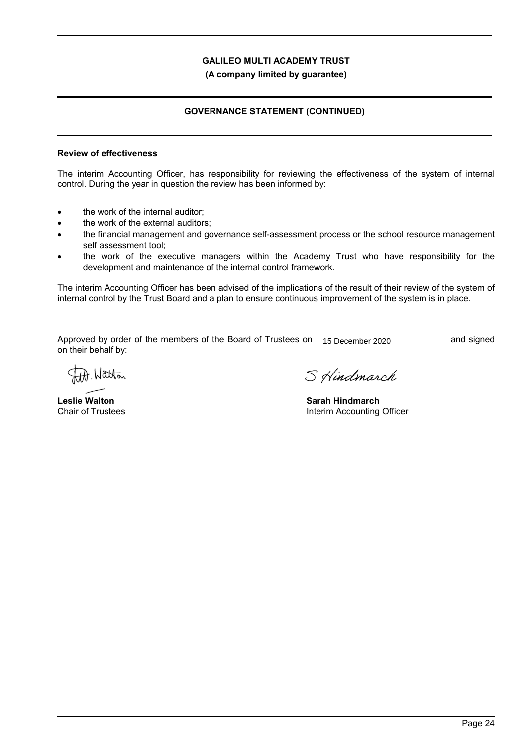**(A company limited by guarantee)**

# **GOVERNANCE STATEMENT (CONTINUED)**

### **Review of effectiveness**

The interim Accounting Officer, has responsibility for reviewing the effectiveness of the system of internal control. During the year in question the review has been informed by:

- the work of the internal auditor;
- the work of the external auditors;
- the financial management and governance self-assessment process or the school resource management self assessment tool;
- the work of the executive managers within the Academy Trust who have responsibility for the development and maintenance of the internal control framework.

The interim Accounting Officer has been advised of the implications of the result of their review of the system of internal control by the Trust Board and a plan to ensure continuous improvement of the system is in place.

Approved by order of the members of the Board of Trustees on \_\_\_\_\_\_\_\_\_\_\_\_\_\_\_\_\_\_\_\_\_\_\_\_\_\_\_ and signed 15 December 2020on their behalf by:

A. Watton

**Leslie Walton** Chair of Trustees

S Hindmarch

**Sarah Hindmarch** Interim Accounting Officer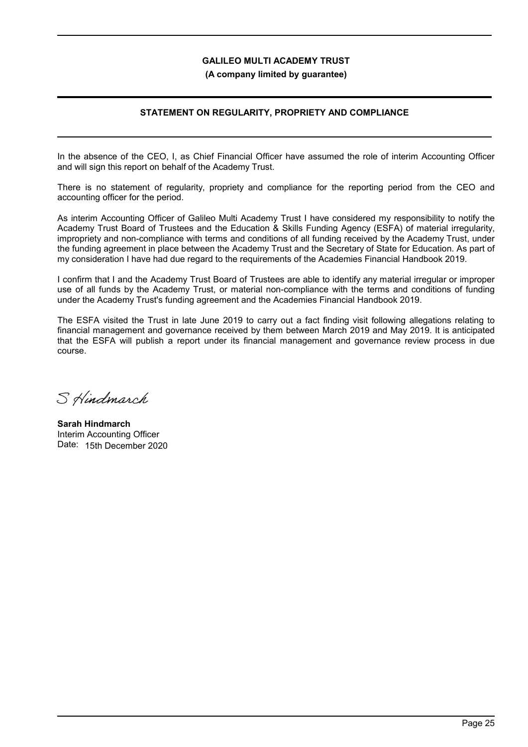**(A company limited by guarantee)**

## **STATEMENT ON REGULARITY, PROPRIETY AND COMPLIANCE**

In the absence of the CEO, I, as Chief Financial Officer have assumed the role of interim Accounting Officer and will sign this report on behalf of the Academy Trust.

There is no statement of regularity, propriety and compliance for the reporting period from the CEO and accounting officer for the period.

As interim Accounting Officer of Galileo Multi Academy Trust I have considered my responsibility to notify the Academy Trust Board of Trustees and the Education & Skills Funding Agency (ESFA) of material irregularity, impropriety and non-compliance with terms and conditions of all funding received by the Academy Trust, under the funding agreement in place between the Academy Trust and the Secretary of State for Education. As part of my consideration I have had due regard to the requirements of the Academies Financial Handbook 2019.

I confirm that I and the Academy Trust Board of Trustees are able to identify any material irregular or improper use of all funds by the Academy Trust, or material non-compliance with the terms and conditions of funding under the Academy Trust's funding agreement and the Academies Financial Handbook 2019.

The ESFA visited the Trust in late June 2019 to carry out a fact finding visit following allegations relating to financial management and governance received by them between March 2019 and May 2019. It is anticipated that the ESFA will publish a report under its financial management and governance review process in due course.

S Hindmarch

**Sarah Hindmarch** Interim Accounting Officer Date: 15th December 2020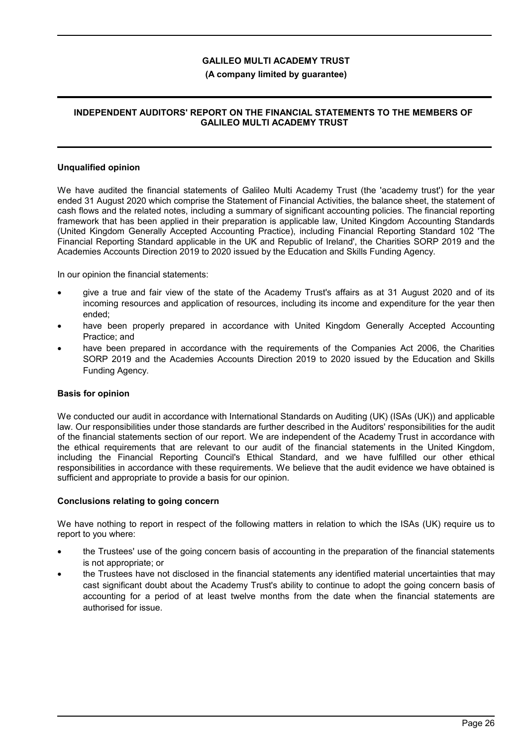### **(A company limited by guarantee)**

### **INDEPENDENT AUDITORS' REPORT ON THE FINANCIAL STATEMENTS TO THE MEMBERS OF GALILEO MULTI ACADEMY TRUST**

#### **Unqualified opinion**

We have audited the financial statements of Galileo Multi Academy Trust (the 'academy trust') for the year ended 31 August 2020 which comprise the Statement of Financial Activities, the balance sheet, the statement of cash flows and the related notes, including a summary of significant accounting policies. The financial reporting framework that has been applied in their preparation is applicable law, United Kingdom Accounting Standards (United Kingdom Generally Accepted Accounting Practice), including Financial Reporting Standard 102 'The Financial Reporting Standard applicable in the UK and Republic of Ireland', the Charities SORP 2019 and the Academies Accounts Direction 2019 to 2020 issued by the Education and Skills Funding Agency.

In our opinion the financial statements:

- give a true and fair view of the state of the Academy Trust's affairs as at 31 August 2020 and of its incoming resources and application of resources, including its income and expenditure for the year then ended;
- have been properly prepared in accordance with United Kingdom Generally Accepted Accounting Practice; and
- have been prepared in accordance with the requirements of the Companies Act 2006, the Charities SORP 2019 and the Academies Accounts Direction 2019 to 2020 issued by the Education and Skills Funding Agency.

#### **Basis for opinion**

We conducted our audit in accordance with International Standards on Auditing (UK) (ISAs (UK)) and applicable law. Our responsibilities under those standards are further described in the Auditors' responsibilities for the audit of the financial statements section of our report. We are independent of the Academy Trust in accordance with the ethical requirements that are relevant to our audit of the financial statements in the United Kingdom, including the Financial Reporting Council's Ethical Standard, and we have fulfilled our other ethical responsibilities in accordance with these requirements. We believe that the audit evidence we have obtained is sufficient and appropriate to provide a basis for our opinion.

#### **Conclusions relating to going concern**

We have nothing to report in respect of the following matters in relation to which the ISAs (UK) require us to report to you where:

- the Trustees' use of the going concern basis of accounting in the preparation of the financial statements is not appropriate; or
- the Trustees have not disclosed in the financial statements any identified material uncertainties that may cast significant doubt about the Academy Trust's ability to continue to adopt the going concern basis of accounting for a period of at least twelve months from the date when the financial statements are authorised for issue.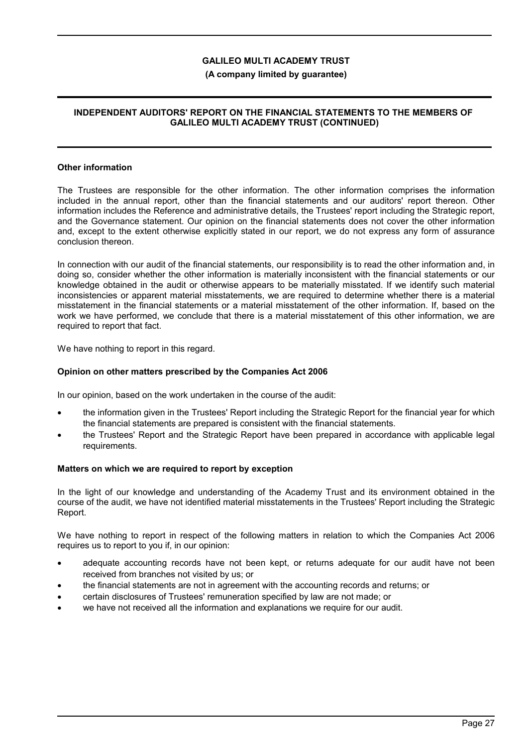### **(A company limited by guarantee)**

### **INDEPENDENT AUDITORS' REPORT ON THE FINANCIAL STATEMENTS TO THE MEMBERS OF GALILEO MULTI ACADEMY TRUST (CONTINUED)**

#### **Other information**

The Trustees are responsible for the other information. The other information comprises the information included in the annual report, other than the financial statements and our auditors' report thereon. Other information includes the Reference and administrative details, the Trustees' report including the Strategic report, and the Governance statement. Our opinion on the financial statements does not cover the other information and, except to the extent otherwise explicitly stated in our report, we do not express any form of assurance conclusion thereon.

In connection with our audit of the financial statements, our responsibility is to read the other information and, in doing so, consider whether the other information is materially inconsistent with the financial statements or our knowledge obtained in the audit or otherwise appears to be materially misstated. If we identify such material inconsistencies or apparent material misstatements, we are required to determine whether there is a material misstatement in the financial statements or a material misstatement of the other information. If, based on the work we have performed, we conclude that there is a material misstatement of this other information, we are required to report that fact.

We have nothing to report in this regard.

### **Opinion on other matters prescribed by the Companies Act 2006**

In our opinion, based on the work undertaken in the course of the audit:

- the information given in the Trustees' Report including the Strategic Report for the financial year for which the financial statements are prepared is consistent with the financial statements.
- the Trustees' Report and the Strategic Report have been prepared in accordance with applicable legal requirements.

#### **Matters on which we are required to report by exception**

In the light of our knowledge and understanding of the Academy Trust and its environment obtained in the course of the audit, we have not identified material misstatements in the Trustees' Report including the Strategic Report.

We have nothing to report in respect of the following matters in relation to which the Companies Act 2006 requires us to report to you if, in our opinion:

- adequate accounting records have not been kept, or returns adequate for our audit have not been received from branches not visited by us; or
- the financial statements are not in agreement with the accounting records and returns; or
- certain disclosures of Trustees' remuneration specified by law are not made; or
- we have not received all the information and explanations we require for our audit.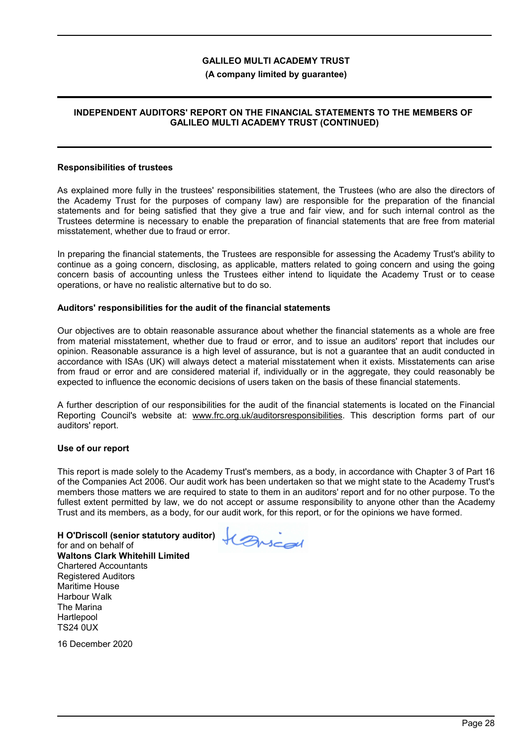### **(A company limited by guarantee)**

### **INDEPENDENT AUDITORS' REPORT ON THE FINANCIAL STATEMENTS TO THE MEMBERS OF GALILEO MULTI ACADEMY TRUST (CONTINUED)**

#### **Responsibilities of trustees**

As explained more fully in the trustees' responsibilities statement, the Trustees (who are also the directors of the Academy Trust for the purposes of company law) are responsible for the preparation of the financial statements and for being satisfied that they give a true and fair view, and for such internal control as the Trustees determine is necessary to enable the preparation of financial statements that are free from material misstatement, whether due to fraud or error.

In preparing the financial statements, the Trustees are responsible for assessing the Academy Trust's ability to continue as a going concern, disclosing, as applicable, matters related to going concern and using the going concern basis of accounting unless the Trustees either intend to liquidate the Academy Trust or to cease operations, or have no realistic alternative but to do so.

#### **Auditors' responsibilities for the audit of the financial statements**

Our objectives are to obtain reasonable assurance about whether the financial statements as a whole are free from material misstatement, whether due to fraud or error, and to issue an auditors' report that includes our opinion. Reasonable assurance is a high level of assurance, but is not a guarantee that an audit conducted in accordance with ISAs (UK) will always detect a material misstatement when it exists. Misstatements can arise from fraud or error and are considered material if, individually or in the aggregate, they could reasonably be expected to influence the economic decisions of users taken on the basis of these financial statements.

A further description of our responsibilities for the audit of the financial statements is located on the Financial Reporting Council's website at: www.frc.org.uk/auditorsresponsibilities. This description forms part of our auditors' report.

#### **Use of our report**

This report is made solely to the Academy Trust's members, as a body, in accordance with Chapter 3 of Part 16 of the Companies Act 2006. Our audit work has been undertaken so that we might state to the Academy Trust's members those matters we are required to state to them in an auditors' report and for no other purpose. To the fullest extent permitted by law, we do not accept or assume responsibility to anyone other than the Academy Trust and its members, as a body, for our audit work, for this report, or for the opinions we have formed.

**H O'Driscoll (senior statutory auditor)** for and on behalf of **Waltons Clark Whitehill Limited** Chartered Accountants Registered Auditors Maritime House Harbour Walk The Marina **Hartlepool** TS24 0UX

16 December 2020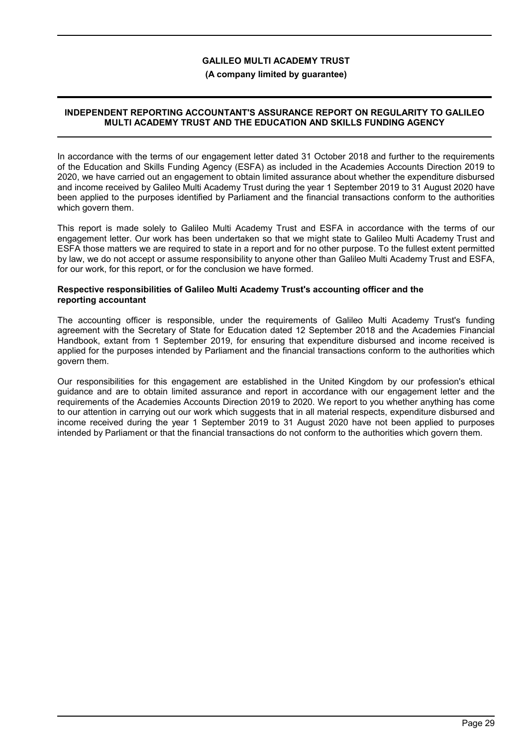#### **(A company limited by guarantee)**

### **INDEPENDENT REPORTING ACCOUNTANT'S ASSURANCE REPORT ON REGULARITY TO GALILEO MULTI ACADEMY TRUST AND THE EDUCATION AND SKILLS FUNDING AGENCY**

In accordance with the terms of our engagement letter dated 31 October 2018 and further to the requirements of the Education and Skills Funding Agency (ESFA) as included in the Academies Accounts Direction 2019 to 2020, we have carried out an engagement to obtain limited assurance about whether the expenditure disbursed and income received by Galileo Multi Academy Trust during the year 1 September 2019 to 31 August 2020 have been applied to the purposes identified by Parliament and the financial transactions conform to the authorities which govern them.

This report is made solely to Galileo Multi Academy Trust and ESFA in accordance with the terms of our engagement letter. Our work has been undertaken so that we might state to Galileo Multi Academy Trust and ESFA those matters we are required to state in a report and for no other purpose. To the fullest extent permitted by law, we do not accept or assume responsibility to anyone other than Galileo Multi Academy Trust and ESFA, for our work, for this report, or for the conclusion we have formed.

#### **Respective responsibilities of Galileo Multi Academy Trust's accounting officer and the reporting accountant**

The accounting officer is responsible, under the requirements of Galileo Multi Academy Trust's funding agreement with the Secretary of State for Education dated 12 September 2018 and the Academies Financial Handbook, extant from 1 September 2019, for ensuring that expenditure disbursed and income received is applied for the purposes intended by Parliament and the financial transactions conform to the authorities which govern them.

Our responsibilities for this engagement are established in the United Kingdom by our profession's ethical guidance and are to obtain limited assurance and report in accordance with our engagement letter and the requirements of the Academies Accounts Direction 2019 to 2020. We report to you whether anything has come to our attention in carrying out our work which suggests that in all material respects, expenditure disbursed and income received during the year 1 September 2019 to 31 August 2020 have not been applied to purposes intended by Parliament or that the financial transactions do not conform to the authorities which govern them.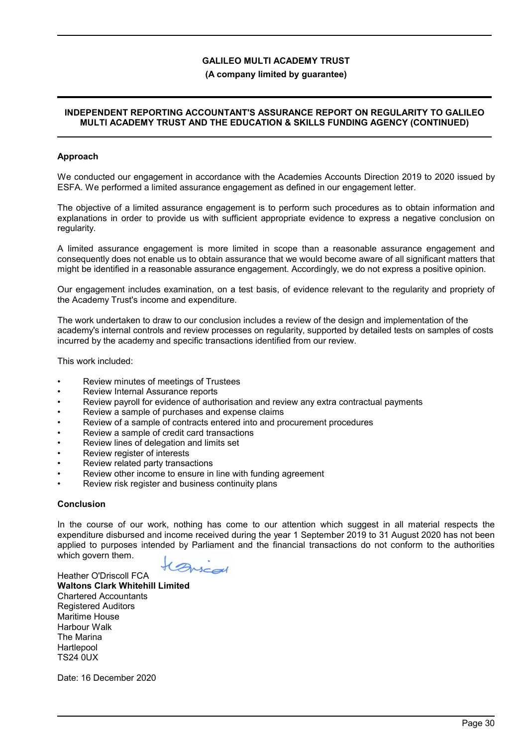### **(A company limited by guarantee)**

### **INDEPENDENT REPORTING ACCOUNTANT'S ASSURANCE REPORT ON REGULARITY TO GALILEO MULTI ACADEMY TRUST AND THE EDUCATION & SKILLS FUNDING AGENCY (CONTINUED)**

### **Approach**

We conducted our engagement in accordance with the Academies Accounts Direction 2019 to 2020 issued by ESFA. We performed a limited assurance engagement as defined in our engagement letter.

The objective of a limited assurance engagement is to perform such procedures as to obtain information and explanations in order to provide us with sufficient appropriate evidence to express a negative conclusion on regularity.

A limited assurance engagement is more limited in scope than a reasonable assurance engagement and consequently does not enable us to obtain assurance that we would become aware of all significant matters that might be identified in a reasonable assurance engagement. Accordingly, we do not express a positive opinion.

Our engagement includes examination, on a test basis, of evidence relevant to the regularity and propriety of the Academy Trust's income and expenditure.

The work undertaken to draw to our conclusion includes a review of the design and implementation of the academy's internal controls and review processes on regularity, supported by detailed tests on samples of costs incurred by the academy and specific transactions identified from our review.

This work included:

- Review minutes of meetings of Trustees
- Review Internal Assurance reports
- Review payroll for evidence of authorisation and review any extra contractual payments
- Review a sample of purchases and expense claims
- Review of a sample of contracts entered into and procurement procedures
- Review a sample of credit card transactions
- Review lines of delegation and limits set
- Review register of interests
- Review related party transactions
- Review other income to ensure in line with funding agreement
- Review risk register and business continuity plans

### **Conclusion**

In the course of our work, nothing has come to our attention which suggest in all material respects the expenditure disbursed and income received during the year 1 September 2019 to 31 August 2020 has not been applied to purposes intended by Parliament and the financial transactions do not conform to the authorities which govern them.

Arscal

Heather O'Driscoll FCA **Waltons Clark Whitehill Limited** Chartered Accountants Registered Auditors Maritime House Harbour Walk The Marina Hartlepool TS24 0UX

Date: 16 December 2020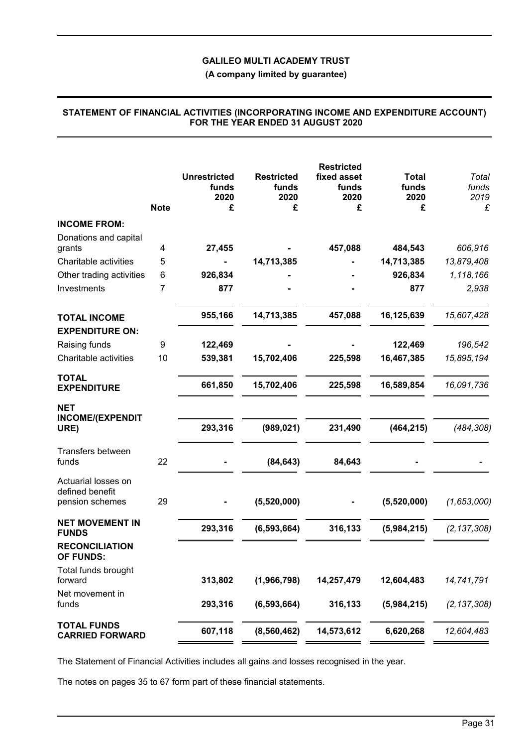**(A company limited by guarantee)**

|                                                           | <b>Note</b> | <b>Unrestricted</b><br>funds<br>2020<br>£ | <b>Restricted</b><br>funds<br>2020<br>£ | <b>Restricted</b><br>fixed asset<br>funds<br>2020<br>£ | <b>Total</b><br>funds<br>2020<br>£ | Total<br>funds<br>2019<br>£ |
|-----------------------------------------------------------|-------------|-------------------------------------------|-----------------------------------------|--------------------------------------------------------|------------------------------------|-----------------------------|
| <b>INCOME FROM:</b>                                       |             |                                           |                                         |                                                        |                                    |                             |
| Donations and capital<br>grants                           | 4           | 27,455                                    |                                         | 457,088                                                | 484,543                            | 606,916                     |
| Charitable activities                                     | 5           |                                           | 14,713,385                              |                                                        | 14,713,385                         | 13,879,408                  |
| Other trading activities                                  | 6           | 926,834                                   |                                         |                                                        | 926,834                            | 1,118,166                   |
| Investments                                               | 7           | 877                                       |                                         |                                                        | 877                                | 2,938                       |
| <b>TOTAL INCOME</b><br><b>EXPENDITURE ON:</b>             |             | 955,166                                   | 14,713,385                              | 457,088                                                | 16,125,639                         | 15,607,428                  |
| Raising funds                                             | 9           | 122,469                                   |                                         |                                                        | 122,469                            | 196,542                     |
| Charitable activities                                     | 10          | 539,381                                   | 15,702,406                              | 225,598                                                | 16,467,385                         | 15,895,194                  |
| <b>TOTAL</b><br><b>EXPENDITURE</b>                        |             | 661,850                                   | 15,702,406                              | 225,598                                                | 16,589,854                         | 16,091,736                  |
| <b>NET</b>                                                |             |                                           |                                         |                                                        |                                    |                             |
| <b>INCOME/(EXPENDIT</b><br>URE)                           |             | 293,316                                   | (989, 021)                              | 231,490                                                | (464, 215)                         | (484, 308)                  |
| Transfers between<br>funds                                | 22          |                                           | (84, 643)                               | 84,643                                                 |                                    |                             |
| Actuarial losses on<br>defined benefit<br>pension schemes | 29          |                                           | (5,520,000)                             |                                                        | (5,520,000)                        | (1,653,000)                 |
| <b>NET MOVEMENT IN</b>                                    |             | 293,316                                   | (6, 593, 664)                           | 316,133                                                | (5,984,215)                        | (2, 137, 308)               |
| <b>FUNDS</b><br><b>RECONCILIATION</b><br><b>OF FUNDS:</b> |             |                                           |                                         |                                                        |                                    |                             |
| Total funds brought<br>forward                            |             | 313,802                                   | (1,966,798)                             | 14,257,479                                             | 12,604,483                         | 14,741,791                  |
| Net movement in<br>funds                                  |             | 293,316                                   | (6, 593, 664)                           | 316,133                                                | (5,984,215)                        | (2, 137, 308)               |
| <b>TOTAL FUNDS</b><br><b>CARRIED FORWARD</b>              |             | 607,118                                   | (8, 560, 462)                           | 14,573,612                                             | 6,620,268                          | 12,604,483                  |

### **STATEMENT OF FINANCIAL ACTIVITIES (INCORPORATING INCOME AND EXPENDITURE ACCOUNT) FOR THE YEAR ENDED 31 AUGUST 2020**

The Statement of Financial Activities includes all gains and losses recognised in the year.

The notes on pages 35 to 67 form part of these financial statements.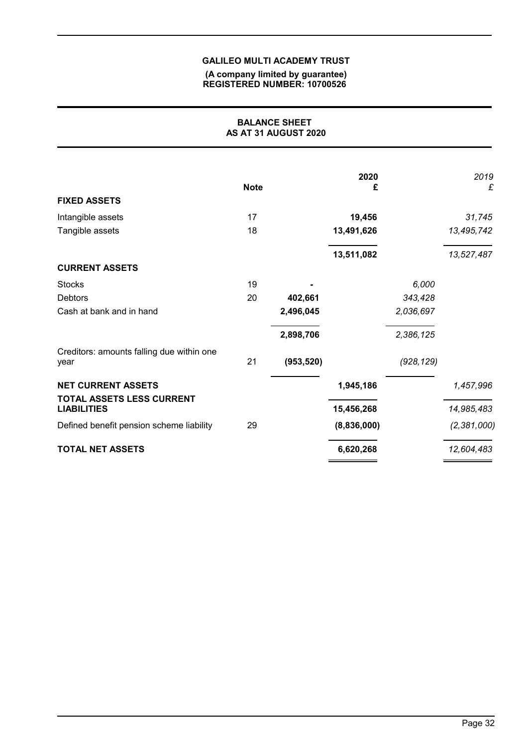#### **(A company limited by guarantee) REGISTERED NUMBER: 10700526**

|                                                        |             | <b>BALANCE SHEET</b><br>AS AT 31 AUGUST 2020 |             |            |               |
|--------------------------------------------------------|-------------|----------------------------------------------|-------------|------------|---------------|
|                                                        | <b>Note</b> |                                              | 2020<br>£   |            | 2019<br>£     |
| <b>FIXED ASSETS</b>                                    |             |                                              |             |            |               |
| Intangible assets                                      | 17          |                                              | 19,456      |            | 31,745        |
| Tangible assets                                        | 18          |                                              | 13,491,626  |            | 13,495,742    |
|                                                        |             |                                              | 13,511,082  |            | 13,527,487    |
| <b>CURRENT ASSETS</b>                                  |             |                                              |             |            |               |
| <b>Stocks</b>                                          | 19          |                                              |             | 6,000      |               |
| <b>Debtors</b>                                         | 20          | 402,661                                      |             | 343,428    |               |
| Cash at bank and in hand                               |             | 2,496,045                                    |             | 2,036,697  |               |
|                                                        |             | 2,898,706                                    |             | 2,386,125  |               |
| Creditors: amounts falling due within one<br>year      | 21          | (953, 520)                                   |             | (928, 129) |               |
| <b>NET CURRENT ASSETS</b><br>TOTAL ASSETS LESS CURRENT |             |                                              | 1,945,186   |            | 1,457,996     |
| <b>LIABILITIES</b>                                     |             |                                              | 15,456,268  |            | 14,985,483    |
| Defined benefit pension scheme liability               | 29          |                                              | (8,836,000) |            | (2, 381, 000) |
| <b>TOTAL NET ASSETS</b>                                |             |                                              | 6,620,268   |            | 12,604,483    |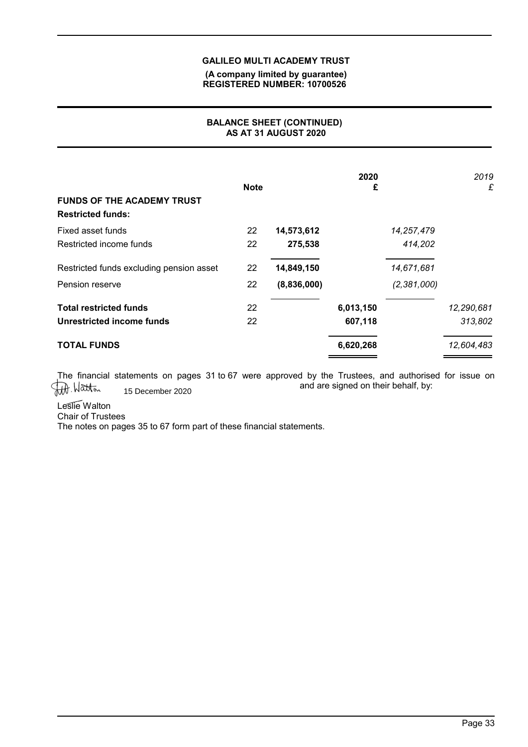### **(A company limited by guarantee) REGISTERED NUMBER: 10700526**

# **BALANCE SHEET (CONTINUED) AS AT 31 AUGUST 2020**

| <b>FUNDS OF THE ACADEMY TRUST</b><br><b>Restricted funds:</b> | <b>Note</b> |             | 2020<br>£ |             | 2019<br>£  |
|---------------------------------------------------------------|-------------|-------------|-----------|-------------|------------|
| Fixed asset funds                                             | 22          | 14,573,612  |           | 14,257,479  |            |
| Restricted income funds                                       | 22          | 275,538     |           | 414,202     |            |
| Restricted funds excluding pension asset                      | 22          | 14,849,150  |           | 14,671,681  |            |
| Pension reserve                                               | 22          | (8,836,000) |           | (2,381,000) |            |
| <b>Total restricted funds</b>                                 | 22          |             | 6,013,150 |             | 12,290,681 |
| Unrestricted income funds                                     | 22          |             | 607,118   |             | 313,802    |
| <b>TOTAL FUNDS</b>                                            |             |             | 6,620,268 |             | 12,604,483 |

The financial statements on pages 31 to 67 were approved by the Trustees, and authorised for issue on and are signed on their behalf, by:<br>15 December 2020 and are signed on their behalf, by: 15 December 2020

Leslie Walton

Chair of Trustees

The notes on pages 35 to 67 form part of these financial statements.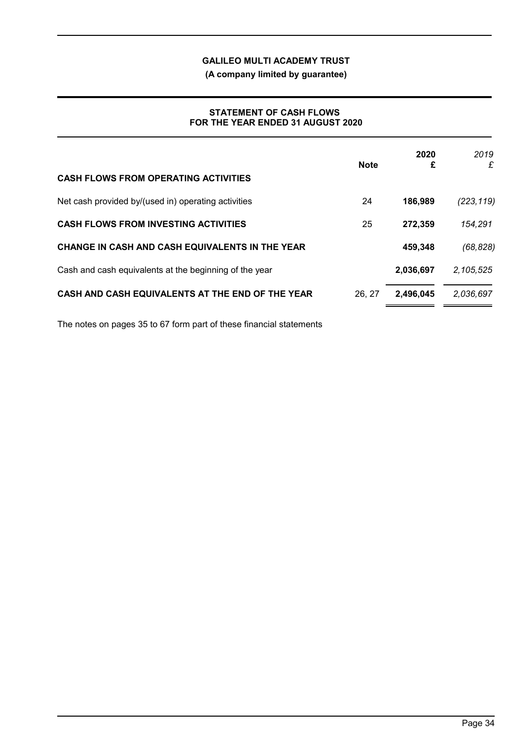**(A company limited by guarantee)**

### **STATEMENT OF CASH FLOWS FOR THE YEAR ENDED 31 AUGUST 2020**

| <b>CASH FLOWS FROM OPERATING ACTIVITIES</b>            | <b>Note</b> | 2020<br>£ | 2019<br>£  |
|--------------------------------------------------------|-------------|-----------|------------|
| Net cash provided by/(used in) operating activities    | 24          | 186,989   | (223, 119) |
| <b>CASH FLOWS FROM INVESTING ACTIVITIES</b>            | 25          | 272,359   | 154,291    |
| CHANGE IN CASH AND CASH EQUIVALENTS IN THE YEAR        |             | 459,348   | (68, 828)  |
| Cash and cash equivalents at the beginning of the year |             | 2,036,697 | 2,105,525  |
| CASH AND CASH EQUIVALENTS AT THE END OF THE YEAR       | 26, 27      | 2,496,045 | 2,036,697  |

The notes on pages 35 to 67 form part of these financial statements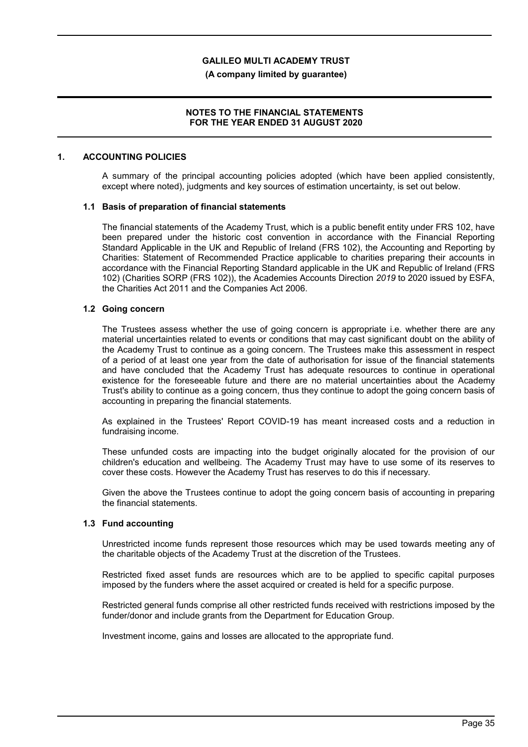**(A company limited by guarantee)**

### **NOTES TO THE FINANCIAL STATEMENTS FOR THE YEAR ENDED 31 AUGUST 2020**

### **1. ACCOUNTING POLICIES**

A summary of the principal accounting policies adopted (which have been applied consistently, except where noted), judgments and key sources of estimation uncertainty, is set out below.

#### **1.1 Basis of preparation of financial statements**

The financial statements of the Academy Trust, which is a public benefit entity under FRS 102, have been prepared under the historic cost convention in accordance with the Financial Reporting Standard Applicable in the UK and Republic of Ireland (FRS 102), the Accounting and Reporting by Charities: Statement of Recommended Practice applicable to charities preparing their accounts in accordance with the Financial Reporting Standard applicable in the UK and Republic of Ireland (FRS 102) (Charities SORP (FRS 102)), the Academies Accounts Direction *2019* to 2020 issued by ESFA, the Charities Act 2011 and the Companies Act 2006.

### **1.2 Going concern**

The Trustees assess whether the use of going concern is appropriate i.e. whether there are any material uncertainties related to events or conditions that may cast significant doubt on the ability of the Academy Trust to continue as a going concern. The Trustees make this assessment in respect of a period of at least one year from the date of authorisation for issue of the financial statements and have concluded that the Academy Trust has adequate resources to continue in operational existence for the foreseeable future and there are no material uncertainties about the Academy Trust's ability to continue as a going concern, thus they continue to adopt the going concern basis of accounting in preparing the financial statements.

As explained in the Trustees' Report COVID-19 has meant increased costs and a reduction in fundraising income.

These unfunded costs are impacting into the budget originally alocated for the provision of our children's education and wellbeing. The Academy Trust may have to use some of its reserves to cover these costs. However the Academy Trust has reserves to do this if necessary.

Given the above the Trustees continue to adopt the going concern basis of accounting in preparing the financial statements.

#### **1.3 Fund accounting**

Unrestricted income funds represent those resources which may be used towards meeting any of the charitable objects of the Academy Trust at the discretion of the Trustees.

Restricted fixed asset funds are resources which are to be applied to specific capital purposes imposed by the funders where the asset acquired or created is held for a specific purpose.

Restricted general funds comprise all other restricted funds received with restrictions imposed by the funder/donor and include grants from the Department for Education Group.

Investment income, gains and losses are allocated to the appropriate fund.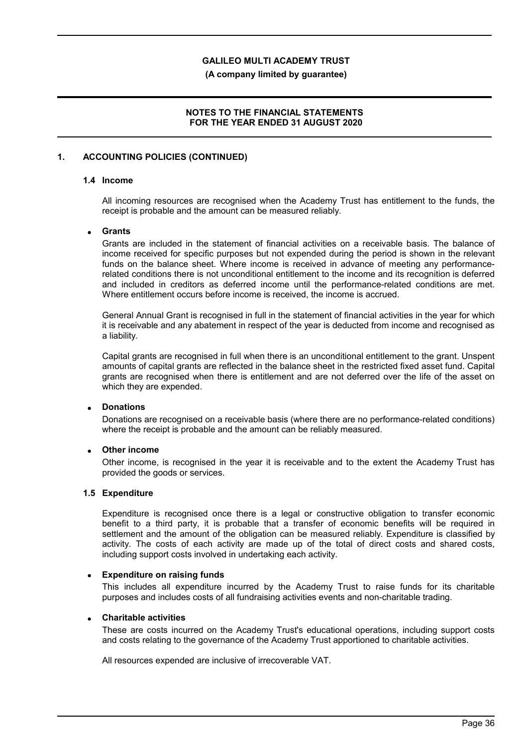**(A company limited by guarantee)**

### **NOTES TO THE FINANCIAL STATEMENTS FOR THE YEAR ENDED 31 AUGUST 2020**

### **1. ACCOUNTING POLICIES (CONTINUED)**

## **1.4 Income**

All incoming resources are recognised when the Academy Trust has entitlement to the funds, the receipt is probable and the amount can be measured reliably.

### **Grants**

Grants are included in the statement of financial activities on a receivable basis. The balance of income received for specific purposes but not expended during the period is shown in the relevant funds on the balance sheet. Where income is received in advance of meeting any performancerelated conditions there is not unconditional entitlement to the income and its recognition is deferred and included in creditors as deferred income until the performance-related conditions are met. Where entitlement occurs before income is received, the income is accrued.

General Annual Grant is recognised in full in the statement of financial activities in the year for which it is receivable and any abatement in respect of the year is deducted from income and recognised as a liability.

Capital grants are recognised in full when there is an unconditional entitlement to the grant. Unspent amounts of capital grants are reflected in the balance sheet in the restricted fixed asset fund. Capital grants are recognised when there is entitlement and are not deferred over the life of the asset on which they are expended.

### **Donations**

Donations are recognised on a receivable basis (where there are no performance-related conditions) where the receipt is probable and the amount can be reliably measured.

### **Other income**

Other income, is recognised in the year it is receivable and to the extent the Academy Trust has provided the goods or services.

#### **1.5 Expenditure**

Expenditure is recognised once there is a legal or constructive obligation to transfer economic benefit to a third party, it is probable that a transfer of economic benefits will be required in settlement and the amount of the obligation can be measured reliably. Expenditure is classified by activity. The costs of each activity are made up of the total of direct costs and shared costs, including support costs involved in undertaking each activity.

### **Expenditure on raising funds**

This includes all expenditure incurred by the Academy Trust to raise funds for its charitable purposes and includes costs of all fundraising activities events and non-charitable trading.

#### **Charitable activities**

These are costs incurred on the Academy Trust's educational operations, including support costs and costs relating to the governance of the Academy Trust apportioned to charitable activities.

All resources expended are inclusive of irrecoverable VAT.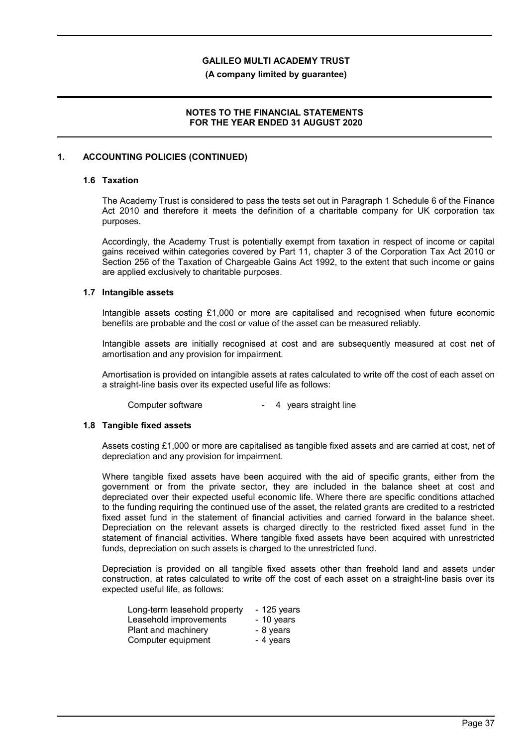**(A company limited by guarantee)**

### **NOTES TO THE FINANCIAL STATEMENTS FOR THE YEAR ENDED 31 AUGUST 2020**

### **1. ACCOUNTING POLICIES (CONTINUED)**

### **1.6 Taxation**

The Academy Trust is considered to pass the tests set out in Paragraph 1 Schedule 6 of the Finance Act 2010 and therefore it meets the definition of a charitable company for UK corporation tax purposes.

Accordingly, the Academy Trust is potentially exempt from taxation in respect of income or capital gains received within categories covered by Part 11, chapter 3 of the Corporation Tax Act 2010 or Section 256 of the Taxation of Chargeable Gains Act 1992, to the extent that such income or gains are applied exclusively to charitable purposes.

### **1.7 Intangible assets**

Intangible assets costing £1,000 or more are capitalised and recognised when future economic benefits are probable and the cost or value of the asset can be measured reliably.

Intangible assets are initially recognised at cost and are subsequently measured at cost net of amortisation and any provision for impairment.

Amortisation is provided on intangible assets at rates calculated to write off the cost of each asset on a straight-line basis over its expected useful life as follows:

Computer software **- 4** years straight line

#### **1.8 Tangible fixed assets**

Assets costing £1,000 or more are capitalised as tangible fixed assets and are carried at cost, net of depreciation and any provision for impairment.

Where tangible fixed assets have been acquired with the aid of specific grants, either from the government or from the private sector, they are included in the balance sheet at cost and depreciated over their expected useful economic life. Where there are specific conditions attached to the funding requiring the continued use of the asset, the related grants are credited to a restricted fixed asset fund in the statement of financial activities and carried forward in the balance sheet. Depreciation on the relevant assets is charged directly to the restricted fixed asset fund in the statement of financial activities. Where tangible fixed assets have been acquired with unrestricted funds, depreciation on such assets is charged to the unrestricted fund.

Depreciation is provided on all tangible fixed assets other than freehold land and assets under construction, at rates calculated to write off the cost of each asset on a straight-line basis over its expected useful life, as follows:

| Long-term leasehold property | $-125$ years |
|------------------------------|--------------|
| Leasehold improvements       | - 10 years   |
| Plant and machinery          | - 8 years    |
| Computer equipment           | - 4 years    |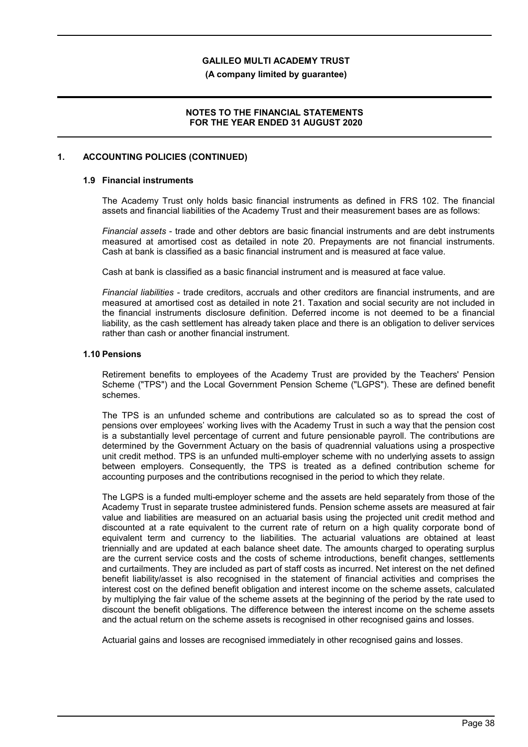**(A company limited by guarantee)**

### **NOTES TO THE FINANCIAL STATEMENTS FOR THE YEAR ENDED 31 AUGUST 2020**

### **1. ACCOUNTING POLICIES (CONTINUED)**

## **1.9 Financial instruments**

The Academy Trust only holds basic financial instruments as defined in FRS 102. The financial assets and financial liabilities of the Academy Trust and their measurement bases are as follows:

*Financial assets* - trade and other debtors are basic financial instruments and are debt instruments measured at amortised cost as detailed in note 20. Prepayments are not financial instruments. Cash at bank is classified as a basic financial instrument and is measured at face value.

Cash at bank is classified as a basic financial instrument and is measured at face value.

*Financial liabilities* - trade creditors, accruals and other creditors are financial instruments, and are measured at amortised cost as detailed in note 21. Taxation and social security are not included in the financial instruments disclosure definition. Deferred income is not deemed to be a financial liability, as the cash settlement has already taken place and there is an obligation to deliver services rather than cash or another financial instrument.

### **1.10 Pensions**

Retirement benefits to employees of the Academy Trust are provided by the Teachers' Pension Scheme ("TPS") and the Local Government Pension Scheme ("LGPS"). These are defined benefit schemes.

The TPS is an unfunded scheme and contributions are calculated so as to spread the cost of pensions over employees' working lives with the Academy Trust in such a way that the pension cost is a substantially level percentage of current and future pensionable payroll. The contributions are determined by the Government Actuary on the basis of quadrennial valuations using a prospective unit credit method. TPS is an unfunded multi-employer scheme with no underlying assets to assign between employers. Consequently, the TPS is treated as a defined contribution scheme for accounting purposes and the contributions recognised in the period to which they relate.

The LGPS is a funded multi-employer scheme and the assets are held separately from those of the Academy Trust in separate trustee administered funds. Pension scheme assets are measured at fair value and liabilities are measured on an actuarial basis using the projected unit credit method and discounted at a rate equivalent to the current rate of return on a high quality corporate bond of equivalent term and currency to the liabilities. The actuarial valuations are obtained at least triennially and are updated at each balance sheet date. The amounts charged to operating surplus are the current service costs and the costs of scheme introductions, benefit changes, settlements and curtailments. They are included as part of staff costs as incurred. Net interest on the net defined benefit liability/asset is also recognised in the statement of financial activities and comprises the interest cost on the defined benefit obligation and interest income on the scheme assets, calculated by multiplying the fair value of the scheme assets at the beginning of the period by the rate used to discount the benefit obligations. The difference between the interest income on the scheme assets and the actual return on the scheme assets is recognised in other recognised gains and losses.

Actuarial gains and losses are recognised immediately in other recognised gains and losses.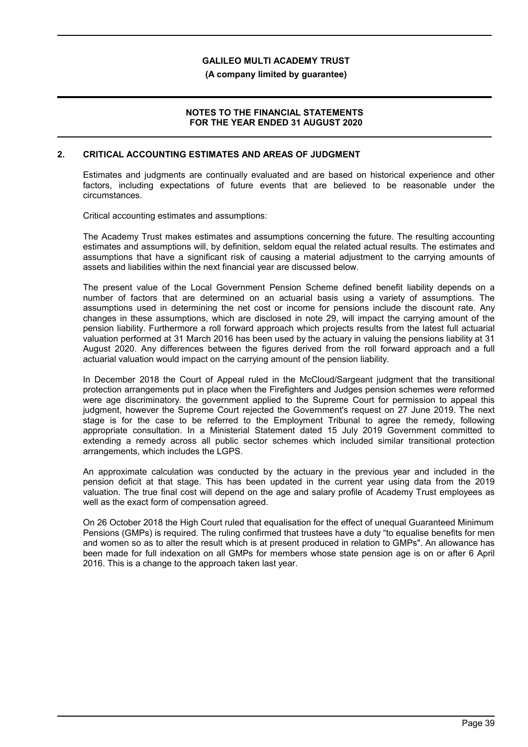**(A company limited by guarantee)**

### **NOTES TO THE FINANCIAL STATEMENTS FOR THE YEAR ENDED 31 AUGUST 2020**

### **2. CRITICAL ACCOUNTING ESTIMATES AND AREAS OF JUDGMENT**

Estimates and judgments are continually evaluated and are based on historical experience and other factors, including expectations of future events that are believed to be reasonable under the circumstances.

Critical accounting estimates and assumptions:

The Academy Trust makes estimates and assumptions concerning the future. The resulting accounting estimates and assumptions will, by definition, seldom equal the related actual results. The estimates and assumptions that have a significant risk of causing a material adjustment to the carrying amounts of assets and liabilities within the next financial year are discussed below.

The present value of the Local Government Pension Scheme defined benefit liability depends on a number of factors that are determined on an actuarial basis using a variety of assumptions. The assumptions used in determining the net cost or income for pensions include the discount rate. Any changes in these assumptions, which are disclosed in note 29, will impact the carrying amount of the pension liability. Furthermore a roll forward approach which projects results from the latest full actuarial valuation performed at 31 March 2016 has been used by the actuary in valuing the pensions liability at 31 August 2020. Any differences between the figures derived from the roll forward approach and a full actuarial valuation would impact on the carrying amount of the pension liability.

In December 2018 the Court of Appeal ruled in the McCloud/Sargeant judgment that the transitional protection arrangements put in place when the Firefighters and Judges pension schemes were reformed were age discriminatory. the government applied to the Supreme Court for permission to appeal this judgment, however the Supreme Court rejected the Government's request on 27 June 2019. The next stage is for the case to be referred to the Employment Tribunal to agree the remedy, following appropriate consultation. In a Ministerial Statement dated 15 July 2019 Government committed to extending a remedy across all public sector schemes which included similar transitional protection arrangements, which includes the LGPS.

An approximate calculation was conducted by the actuary in the previous year and included in the pension deficit at that stage. This has been updated in the current year using data from the 2019 valuation. The true final cost will depend on the age and salary profile of Academy Trust employees as well as the exact form of compensation agreed.

On 26 October 2018 the High Court ruled that equalisation for the effect of unequal Guaranteed Minimum Pensions (GMPs) is required. The ruling confirmed that trustees have a duty "to equalise benefits for men and women so as to alter the result which is at present produced in relation to GMPs". An allowance has been made for full indexation on all GMPs for members whose state pension age is on or after 6 April 2016. This is a change to the approach taken last year.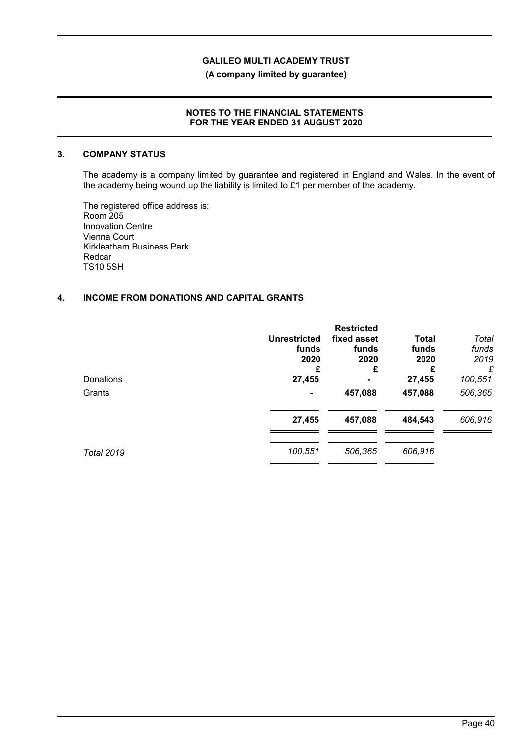**(A company limited by guarantee)**

### **NOTES TO THE FINANCIAL STATEMENTS FOR THE YEAR ENDED 31 AUGUST 2020**

#### **3. COMPANY STATUS**

The academy is a company limited by guarantee and registered in England and Wales. In the event of the academy being wound up the liability is limited to £1 per member of the academy.

The registered office address is: Room 205 Innovation Centre Vienna Court Kirkleatham Business Park Redcar TS10 5SH

# **4. INCOME FROM DONATIONS AND CAPITAL GRANTS**

|                   | <b>Unrestricted</b><br>funds<br>2020<br>£ | <b>Restricted</b><br>fixed asset<br>funds<br>2020<br>£ | <b>Total</b><br>funds<br>2020<br>£ | Total<br>funds<br>2019<br>£ |
|-------------------|-------------------------------------------|--------------------------------------------------------|------------------------------------|-----------------------------|
| Donations         | 27,455                                    | ۰                                                      | 27,455                             | 100,551                     |
| Grants            | $\overline{\phantom{0}}$                  | 457,088                                                | 457,088                            | 506,365                     |
|                   | 27,455                                    | 457,088                                                | 484,543                            | 606,916                     |
| <b>Total 2019</b> | 100,551                                   | 506,365                                                | 606,916                            |                             |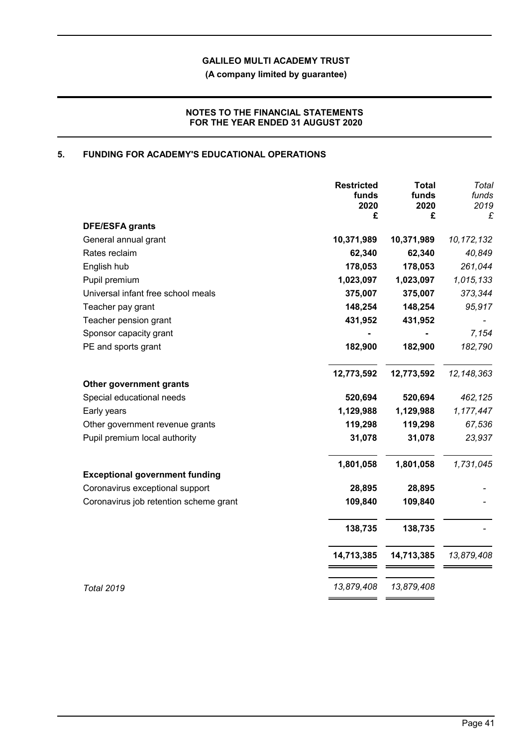**(A company limited by guarantee)**

# **NOTES TO THE FINANCIAL STATEMENTS FOR THE YEAR ENDED 31 AUGUST 2020**

# **5. FUNDING FOR ACADEMY'S EDUCATIONAL OPERATIONS**

|                                        | <b>Restricted</b><br>funds<br>2020 | <b>Total</b><br>funds<br>2020 | Total<br>funds<br>2019 |
|----------------------------------------|------------------------------------|-------------------------------|------------------------|
| <b>DFE/ESFA grants</b>                 | £                                  | £                             | £                      |
| General annual grant                   | 10,371,989                         | 10,371,989                    | 10, 172, 132           |
| Rates reclaim                          | 62,340                             | 62,340                        | 40,849                 |
| English hub                            | 178,053                            | 178,053                       | 261,044                |
| Pupil premium                          | 1,023,097                          | 1,023,097                     | 1,015,133              |
| Universal infant free school meals     | 375,007                            | 375,007                       | 373,344                |
| Teacher pay grant                      | 148,254                            | 148,254                       | 95,917                 |
| Teacher pension grant                  | 431,952                            | 431,952                       |                        |
| Sponsor capacity grant                 |                                    |                               | 7,154                  |
| PE and sports grant                    | 182,900                            | 182,900                       | 182,790                |
|                                        | 12,773,592                         | 12,773,592                    | 12, 148, 363           |
| Other government grants                |                                    |                               |                        |
| Special educational needs              | 520,694                            | 520,694                       | 462,125                |
| Early years                            | 1,129,988                          | 1,129,988                     | 1,177,447              |
| Other government revenue grants        | 119,298                            | 119,298                       | 67,536                 |
| Pupil premium local authority          | 31,078                             | 31,078                        | 23,937                 |
|                                        | 1,801,058                          | 1,801,058                     | 1,731,045              |
| <b>Exceptional government funding</b>  |                                    |                               |                        |
| Coronavirus exceptional support        | 28,895                             | 28,895                        |                        |
| Coronavirus job retention scheme grant | 109,840                            | 109,840                       |                        |
|                                        | 138,735                            | 138,735                       |                        |
|                                        | 14,713,385                         | 14,713,385                    | 13,879,408             |
| <b>Total 2019</b>                      | 13,879,408                         | 13,879,408                    |                        |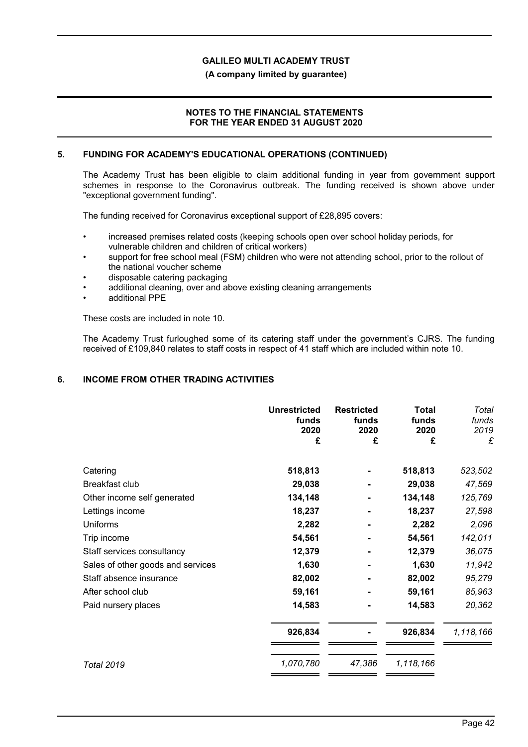### **(A company limited by guarantee)**

### **NOTES TO THE FINANCIAL STATEMENTS FOR THE YEAR ENDED 31 AUGUST 2020**

### **5. FUNDING FOR ACADEMY'S EDUCATIONAL OPERATIONS (CONTINUED)**

The Academy Trust has been eligible to claim additional funding in year from government support schemes in response to the Coronavirus outbreak. The funding received is shown above under "exceptional government funding".

The funding received for Coronavirus exceptional support of £28,895 covers:

- increased premises related costs (keeping schools open over school holiday periods, for vulnerable children and children of critical workers)
- support for free school meal (FSM) children who were not attending school, prior to the rollout of the national voucher scheme
- disposable catering packaging
- additional cleaning, over and above existing cleaning arrangements
- additional PPE

These costs are included in note 10.

The Academy Trust furloughed some of its catering staff under the government's CJRS. The funding received of £109,840 relates to staff costs in respect of 41 staff which are included within note 10.

### **6. INCOME FROM OTHER TRADING ACTIVITIES**

|                                   | <b>Unrestricted</b><br>funds<br>2020<br>£ | <b>Restricted</b><br>funds<br>2020<br>£ | Total<br>funds<br>2020<br>£ | Total<br>funds<br>2019<br>£ |
|-----------------------------------|-------------------------------------------|-----------------------------------------|-----------------------------|-----------------------------|
| Catering                          | 518,813                                   |                                         | 518,813                     | 523,502                     |
| Breakfast club                    | 29,038                                    |                                         | 29,038                      | 47,569                      |
| Other income self generated       | 134,148                                   |                                         | 134,148                     | 125,769                     |
| Lettings income                   | 18,237                                    |                                         | 18,237                      | 27,598                      |
| <b>Uniforms</b>                   | 2,282                                     |                                         | 2,282                       | 2,096                       |
| Trip income                       | 54,561                                    |                                         | 54,561                      | 142,011                     |
| Staff services consultancy        | 12,379                                    |                                         | 12,379                      | 36,075                      |
| Sales of other goods and services | 1,630                                     |                                         | 1,630                       | 11,942                      |
| Staff absence insurance           | 82,002                                    |                                         | 82,002                      | 95,279                      |
| After school club                 | 59,161                                    |                                         | 59,161                      | 85,963                      |
| Paid nursery places               | 14,583                                    |                                         | 14,583                      | 20,362                      |
|                                   | 926,834                                   |                                         | 926,834                     | 1,118,166                   |
| <b>Total 2019</b>                 | 1,070,780                                 | 47,386                                  | 1,118,166                   |                             |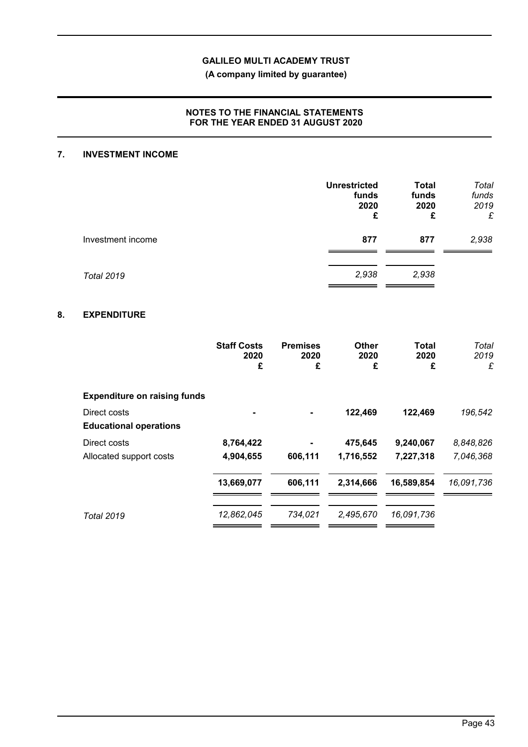**(A company limited by guarantee)**

### **NOTES TO THE FINANCIAL STATEMENTS FOR THE YEAR ENDED 31 AUGUST 2020**

### **7. INVESTMENT INCOME**

|                   | <b>Unrestricted</b><br>funds<br>2020<br>£ | <b>Total</b><br>funds<br>2020<br>£ | Total<br>funds<br>2019<br>£ |
|-------------------|-------------------------------------------|------------------------------------|-----------------------------|
| Investment income | 877                                       | 877                                | 2,938                       |
| <b>Total 2019</b> | 2,938                                     | 2,938                              |                             |

# **8. EXPENDITURE**

|                                               | <b>Staff Costs</b><br>2020<br>£ | <b>Premises</b><br>2020<br>£ | Other<br>2020<br>£ | Total<br>2020<br>£ | Total<br>2019<br>£ |
|-----------------------------------------------|---------------------------------|------------------------------|--------------------|--------------------|--------------------|
| <b>Expenditure on raising funds</b>           |                                 |                              |                    |                    |                    |
| Direct costs<br><b>Educational operations</b> |                                 |                              | 122,469            | 122,469            | 196,542            |
| Direct costs                                  | 8,764,422                       |                              | 475,645            | 9,240,067          | 8,848,826          |
| Allocated support costs                       | 4,904,655                       | 606,111                      | 1,716,552          | 7,227,318          | 7,046,368          |
|                                               | 13,669,077                      | 606,111                      | 2,314,666          | 16,589,854         | 16,091,736         |
| <b>Total 2019</b>                             | 12,862,045                      | 734,021                      | 2,495,670          | 16,091,736         |                    |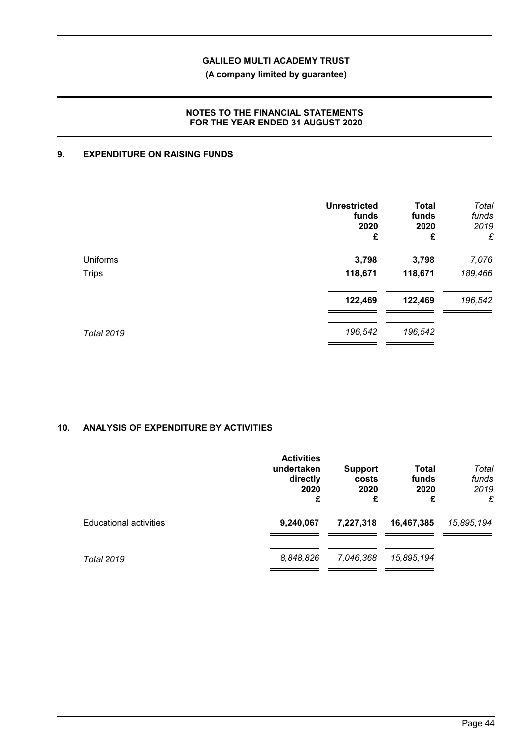**(A company limited by guarantee)**

# **NOTES TO THE FINANCIAL STATEMENTS FOR THE YEAR ENDED 31 AUGUST 2020**

# **9. EXPENDITURE ON RAISING FUNDS**

|                   | <b>Unrestricted</b><br>funds<br>2020<br>£ | <b>Total</b><br>funds<br>2020<br>£ | Total<br>funds<br>2019<br>£ |
|-------------------|-------------------------------------------|------------------------------------|-----------------------------|
| Uniforms          | 3,798                                     | 3,798                              | 7,076                       |
| <b>Trips</b>      | 118,671                                   | 118,671                            | 189,466                     |
|                   | 122,469                                   | 122,469                            | 196,542                     |
| <b>Total 2019</b> | 196,542                                   | 196,542                            |                             |

# **10. ANALYSIS OF EXPENDITURE BY ACTIVITIES**

|                               | <b>Activities</b><br>undertaken<br>directly<br>2020<br>£ | <b>Support</b><br>costs<br>2020<br>£ | Total<br>funds<br>2020<br>£ | Total<br>funds<br>2019<br>£ |
|-------------------------------|----------------------------------------------------------|--------------------------------------|-----------------------------|-----------------------------|
| <b>Educational activities</b> | 9,240,067                                                | 7,227,318                            | 16,467,385                  | 15,895,194                  |
| <b>Total 2019</b>             | 8,848,826                                                | 7,046,368                            | 15,895,194                  |                             |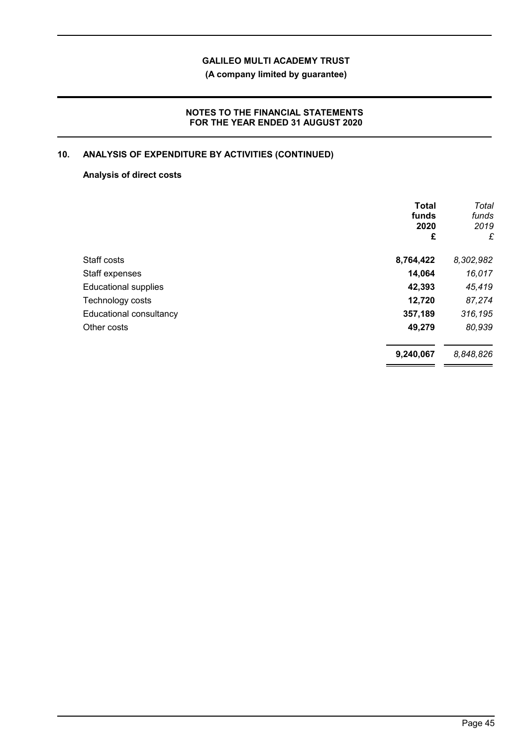**(A company limited by guarantee)**

# **NOTES TO THE FINANCIAL STATEMENTS FOR THE YEAR ENDED 31 AUGUST 2020**

# **10. ANALYSIS OF EXPENDITURE BY ACTIVITIES (CONTINUED)**

### **Analysis of direct costs**

|                             | <b>Total</b><br>funds<br>2020<br>£ | Total<br>funds<br>2019<br>£ |
|-----------------------------|------------------------------------|-----------------------------|
| Staff costs                 | 8,764,422                          | 8,302,982                   |
| Staff expenses              | 14,064                             | 16,017                      |
| <b>Educational supplies</b> | 42,393                             | 45,419                      |
| Technology costs            | 12,720                             | 87,274                      |
| Educational consultancy     | 357,189                            | 316,195                     |
| Other costs                 | 49,279                             | 80,939                      |
|                             | 9,240,067                          | 8,848,826                   |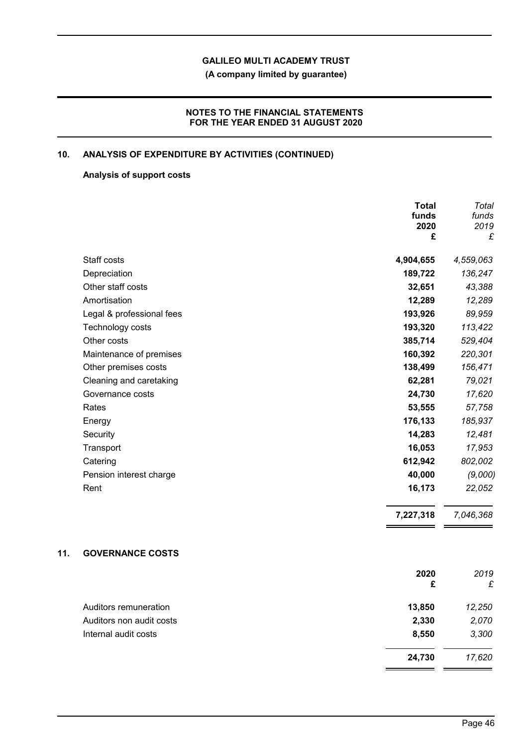**(A company limited by guarantee)**

# **NOTES TO THE FINANCIAL STATEMENTS FOR THE YEAR ENDED 31 AUGUST 2020**

# **10. ANALYSIS OF EXPENDITURE BY ACTIVITIES (CONTINUED)**

### **Analysis of support costs**

|                           | <b>Total</b><br>funds<br>2020<br>£ | Total<br>funds<br>2019<br>£ |
|---------------------------|------------------------------------|-----------------------------|
| Staff costs               | 4,904,655                          | 4,559,063                   |
| Depreciation              | 189,722                            | 136,247                     |
| Other staff costs         | 32,651                             | 43,388                      |
| Amortisation              | 12,289                             | 12,289                      |
| Legal & professional fees | 193,926                            | 89,959                      |
| Technology costs          | 193,320                            | 113,422                     |
| Other costs               | 385,714                            | 529,404                     |
| Maintenance of premises   | 160,392                            | 220,301                     |
| Other premises costs      | 138,499                            | 156,471                     |
| Cleaning and caretaking   | 62,281                             | 79,021                      |
| Governance costs          | 24,730                             | 17,620                      |
| Rates                     | 53,555                             | 57,758                      |
| Energy                    | 176,133                            | 185,937                     |
| Security                  | 14,283                             | 12,481                      |
| Transport                 | 16,053                             | 17,953                      |
| Catering                  | 612,942                            | 802,002                     |
| Pension interest charge   | 40,000                             | (9,000)                     |
| Rent                      | 16,173                             | 22,052                      |
|                           | 7,227,318                          | 7,046,368                   |

# **11. GOVERNANCE COSTS**

|                          | 2020<br>£ | 2019<br>£ |
|--------------------------|-----------|-----------|
| Auditors remuneration    | 13,850    | 12,250    |
| Auditors non audit costs | 2,330     | 2,070     |
| Internal audit costs     | 8,550     | 3,300     |
|                          | 24,730    | 17,620    |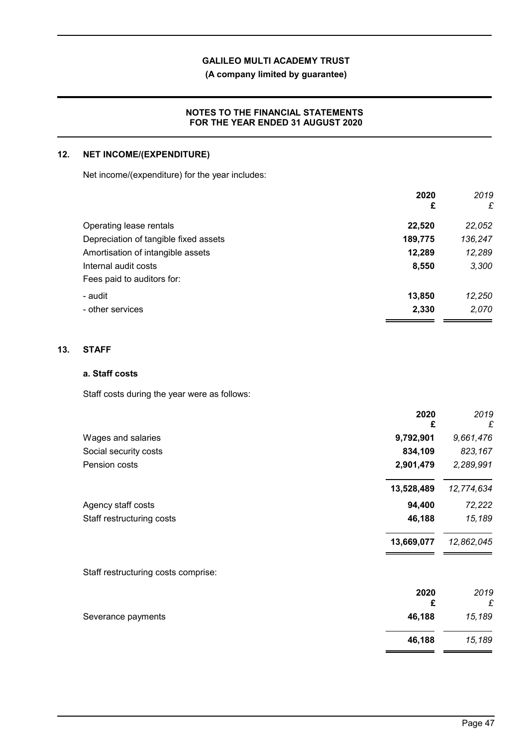**(A company limited by guarantee)**

## **NOTES TO THE FINANCIAL STATEMENTS FOR THE YEAR ENDED 31 AUGUST 2020**

# **12. NET INCOME/(EXPENDITURE)**

Net income/(expenditure) for the year includes:

|                                       | 2020<br>£ | 2019<br>£ |
|---------------------------------------|-----------|-----------|
| Operating lease rentals               | 22,520    | 22,052    |
| Depreciation of tangible fixed assets | 189,775   | 136,247   |
| Amortisation of intangible assets     | 12,289    | 12,289    |
| Internal audit costs                  | 8,550     | 3,300     |
| Fees paid to auditors for:            |           |           |
| - audit                               | 13,850    | 12,250    |
| - other services                      | 2,330     | 2,070     |

### **13. STAFF**

### **a. Staff costs**

Staff costs during the year were as follows:

|                                     | 2020<br>£  | 2019<br>£  |
|-------------------------------------|------------|------------|
| Wages and salaries                  | 9,792,901  | 9,661,476  |
| Social security costs               | 834,109    | 823,167    |
| Pension costs                       | 2,901,479  | 2,289,991  |
|                                     | 13,528,489 | 12,774,634 |
| Agency staff costs                  | 94,400     | 72,222     |
| Staff restructuring costs           | 46,188     | 15,189     |
|                                     | 13,669,077 | 12,862,045 |
| Staff restructuring costs comprise: |            |            |
|                                     | 2020<br>£  | 2019<br>£  |
| Severance payments                  | 46,188     | 15,189     |
|                                     | 46,188     | 15,189     |
|                                     |            |            |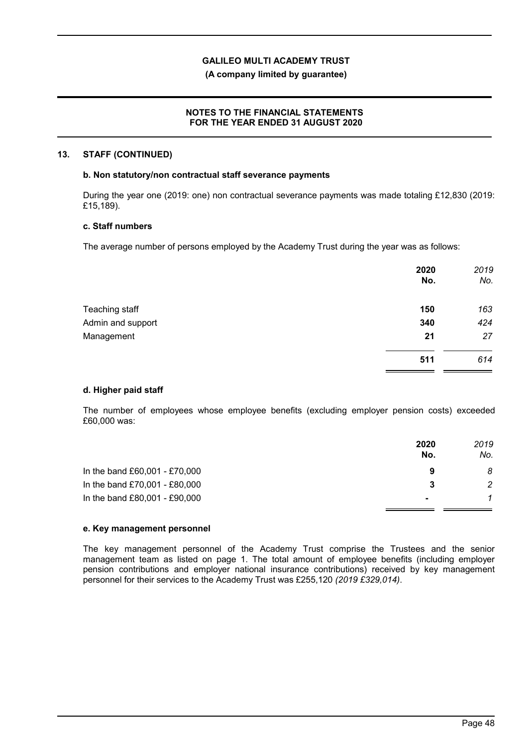### **(A company limited by guarantee)**

### **NOTES TO THE FINANCIAL STATEMENTS FOR THE YEAR ENDED 31 AUGUST 2020**

#### **13. STAFF (CONTINUED)**

#### **b. Non statutory/non contractual staff severance payments**

During the year one (2019: one) non contractual severance payments was made totaling £12,830 (2019: £15,189).

### **c. Staff numbers**

The average number of persons employed by the Academy Trust during the year was as follows:

|                   | 2020<br>No. | 2019<br>No. |
|-------------------|-------------|-------------|
| Teaching staff    | 150         | 163         |
| Admin and support | 340         | 424         |
| Management        | 21          | 27          |
|                   | 511         | 614         |

#### **d. Higher paid staff**

The number of employees whose employee benefits (excluding employer pension costs) exceeded £60,000 was:

|                               | 2020<br>No.    | 2019<br>No. |
|-------------------------------|----------------|-------------|
| In the band £60,001 - £70,000 | 9              | 8           |
| In the band £70,001 - £80,000 | 3              | 2           |
| In the band £80,001 - £90,000 | $\blacksquare$ |             |
|                               |                |             |

### **e. Key management personnel**

The key management personnel of the Academy Trust comprise the Trustees and the senior management team as listed on page 1. The total amount of employee benefits (including employer pension contributions and employer national insurance contributions) received by key management personnel for their services to the Academy Trust was £255,120 *(2019 £329,014)*.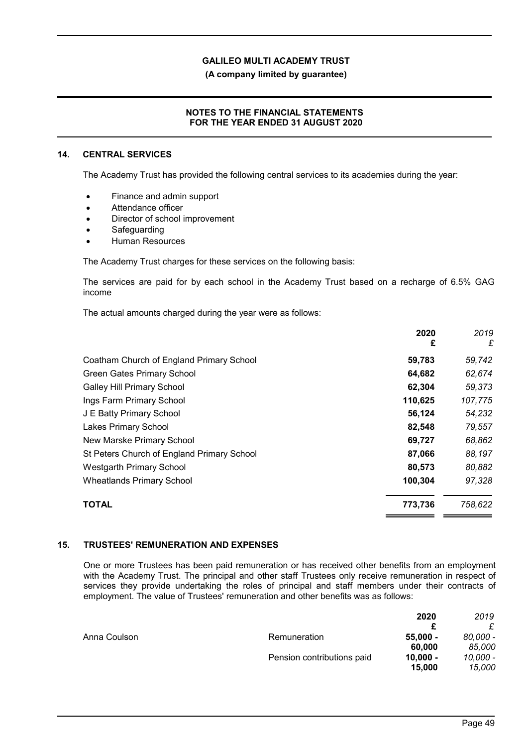**(A company limited by guarantee)**

### **NOTES TO THE FINANCIAL STATEMENTS FOR THE YEAR ENDED 31 AUGUST 2020**

#### **14. CENTRAL SERVICES**

The Academy Trust has provided the following central services to its academies during the year:

- Finance and admin support
- Attendance officer
- Director of school improvement
- **Safeguarding**
- Human Resources

The Academy Trust charges for these services on the following basis:

The services are paid for by each school in the Academy Trust based on a recharge of 6.5% GAG income

The actual amounts charged during the year were as follows:

|                                            | 2020<br>£ | 2019<br>£ |
|--------------------------------------------|-----------|-----------|
| Coatham Church of England Primary School   | 59,783    | 59,742    |
| <b>Green Gates Primary School</b>          | 64,682    | 62,674    |
| <b>Galley Hill Primary School</b>          | 62,304    | 59,373    |
| Ings Farm Primary School                   | 110,625   | 107,775   |
| J E Batty Primary School                   | 56,124    | 54,232    |
| Lakes Primary School                       | 82,548    | 79,557    |
| New Marske Primary School                  | 69,727    | 68,862    |
| St Peters Church of England Primary School | 87,066    | 88,197    |
| <b>Westgarth Primary School</b>            | 80,573    | 80,882    |
| <b>Wheatlands Primary School</b>           | 100,304   | 97,328    |
| <b>TOTAL</b>                               | 773,736   | 758,622   |

#### **15. TRUSTEES' REMUNERATION AND EXPENSES**

One or more Trustees has been paid remuneration or has received other benefits from an employment with the Academy Trust. The principal and other staff Trustees only receive remuneration in respect of services they provide undertaking the roles of principal and staff members under their contracts of employment. The value of Trustees' remuneration and other benefits was as follows:

|              |                            | 2020       | 2019     |
|--------------|----------------------------|------------|----------|
|              |                            |            |          |
| Anna Coulson | Remuneration               | $55,000 -$ | 80.000 - |
|              |                            | 60,000     | 85.000   |
|              | Pension contributions paid | $10.000 -$ | 10,000 - |
|              |                            | 15,000     | 15.000   |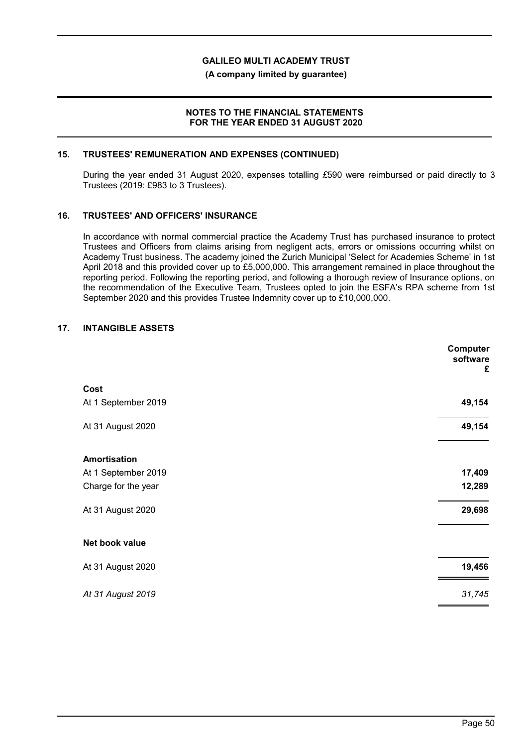**(A company limited by guarantee)**

### **NOTES TO THE FINANCIAL STATEMENTS FOR THE YEAR ENDED 31 AUGUST 2020**

### **15. TRUSTEES' REMUNERATION AND EXPENSES (CONTINUED)**

During the year ended 31 August 2020, expenses totalling *£*590 were reimbursed or paid directly to 3 Trustees (2019: £983 to 3 Trustees).

### **16. TRUSTEES' AND OFFICERS' INSURANCE**

In accordance with normal commercial practice the Academy Trust has purchased insurance to protect Trustees and Officers from claims arising from negligent acts, errors or omissions occurring whilst on Academy Trust business. The academy joined the Zurich Municipal 'Select for Academies Scheme' in 1st April 2018 and this provided cover up to £5,000,000. This arrangement remained in place throughout the reporting period. Following the reporting period, and following a thorough review of Insurance options, on the recommendation of the Executive Team, Trustees opted to join the ESFA's RPA scheme from 1st September 2020 and this provides Trustee Indemnity cover up to £10,000,000.

# **17. INTANGIBLE ASSETS**

|                     | Computer<br>software<br>£ |
|---------------------|---------------------------|
| Cost                |                           |
| At 1 September 2019 | 49,154                    |
| At 31 August 2020   | 49,154                    |
| <b>Amortisation</b> |                           |
| At 1 September 2019 | 17,409                    |
| Charge for the year | 12,289                    |
| At 31 August 2020   | 29,698                    |
| Net book value      |                           |
| At 31 August 2020   | 19,456                    |
| At 31 August 2019   | 31,745                    |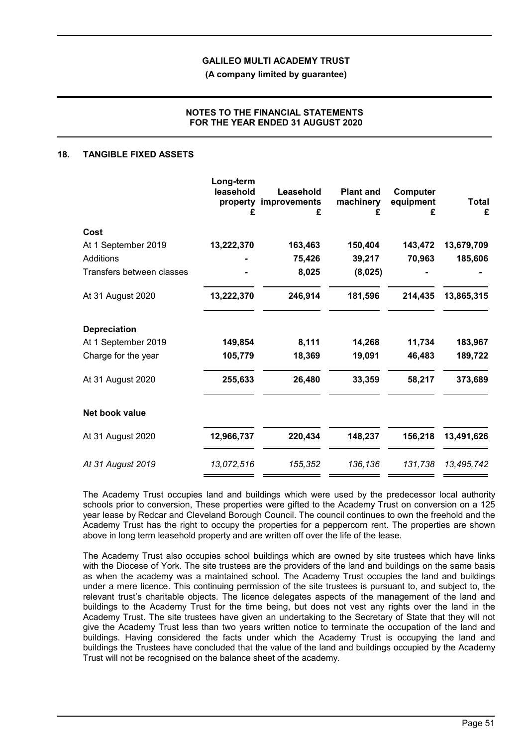**(A company limited by guarantee)**

### **NOTES TO THE FINANCIAL STATEMENTS FOR THE YEAR ENDED 31 AUGUST 2020**

### **18. TANGIBLE FIXED ASSETS**

|                           | Long-term<br>leasehold<br>property<br>£ | Leasehold<br>improvements<br>£ | <b>Plant and</b><br>machinery<br>£ | Computer<br>equipment<br>£ | <b>Total</b><br>£ |
|---------------------------|-----------------------------------------|--------------------------------|------------------------------------|----------------------------|-------------------|
| Cost                      |                                         |                                |                                    |                            |                   |
| At 1 September 2019       | 13,222,370                              | 163,463                        | 150,404                            | 143,472                    | 13,679,709        |
| <b>Additions</b>          |                                         | 75,426                         | 39,217                             | 70,963                     | 185,606           |
| Transfers between classes |                                         | 8,025                          | (8,025)                            |                            |                   |
| At 31 August 2020         | 13,222,370                              | 246,914                        | 181,596                            | 214,435                    | 13,865,315        |
| <b>Depreciation</b>       |                                         |                                |                                    |                            |                   |
| At 1 September 2019       | 149,854                                 | 8,111                          | 14,268                             | 11,734                     | 183,967           |
| Charge for the year       | 105,779                                 | 18,369                         | 19,091                             | 46,483                     | 189,722           |
| At 31 August 2020         | 255,633                                 | 26,480                         | 33,359                             | 58,217                     | 373,689           |
| Net book value            |                                         |                                |                                    |                            |                   |
| At 31 August 2020         | 12,966,737                              | 220,434                        | 148,237                            | 156,218                    | 13,491,626        |
| At 31 August 2019         | 13,072,516                              | 155,352                        | 136,136                            | 131,738                    | 13,495,742        |

The Academy Trust occupies land and buildings which were used by the predecessor local authority schools prior to conversion, These properties were gifted to the Academy Trust on conversion on a 125 year lease by Redcar and Cleveland Borough Council. The council continues to own the freehold and the Academy Trust has the right to occupy the properties for a peppercorn rent. The properties are shown above in long term leasehold property and are written off over the life of the lease.

The Academy Trust also occupies school buildings which are owned by site trustees which have links with the Diocese of York. The site trustees are the providers of the land and buildings on the same basis as when the academy was a maintained school. The Academy Trust occupies the land and buildings under a mere licence. This continuing permission of the site trustees is pursuant to, and subject to, the relevant trust's charitable objects. The licence delegates aspects of the management of the land and buildings to the Academy Trust for the time being, but does not vest any rights over the land in the Academy Trust. The site trustees have given an undertaking to the Secretary of State that they will not give the Academy Trust less than two years written notice to terminate the occupation of the land and buildings. Having considered the facts under which the Academy Trust is occupying the land and buildings the Trustees have concluded that the value of the land and buildings occupied by the Academy Trust will not be recognised on the balance sheet of the academy.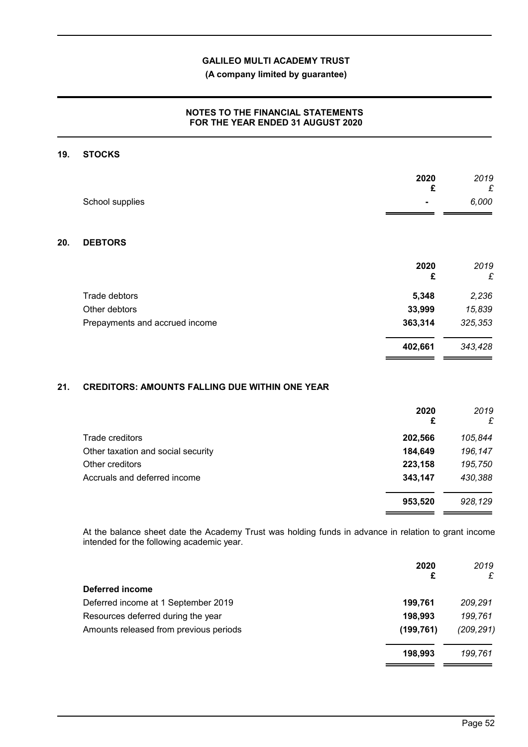# **(A company limited by guarantee)**

# **NOTES TO THE FINANCIAL STATEMENTS FOR THE YEAR ENDED 31 AUGUST 2020**

#### **19. STOCKS**

**20.** 

| School supplies                | 2020<br>£ | 2019<br>£<br>6,000 |
|--------------------------------|-----------|--------------------|
| <b>DEBTORS</b>                 |           |                    |
|                                | 2020<br>£ | 2019<br>£          |
| Trade debtors                  | 5,348     | 2,236              |
| Other debtors                  | 33,999    | 15,839             |
| Prepayments and accrued income | 363,314   | 325,353            |
|                                | 402,661   | 343,428            |

# **21. CREDITORS: AMOUNTS FALLING DUE WITHIN ONE YEAR**

|                                    | 2020<br>£ | 2019<br>£ |
|------------------------------------|-----------|-----------|
| Trade creditors                    | 202,566   | 105,844   |
| Other taxation and social security | 184,649   | 196,147   |
| Other creditors                    | 223,158   | 195,750   |
| Accruals and deferred income       | 343,147   | 430,388   |
|                                    | 953,520   | 928,129   |

At the balance sheet date the Academy Trust was holding funds in advance in relation to grant income intended for the following academic year.

|                                        | 2020<br>£  | 2019<br>£  |
|----------------------------------------|------------|------------|
| Deferred income                        |            |            |
| Deferred income at 1 September 2019    | 199,761    | 209,291    |
| Resources deferred during the year     | 198,993    | 199,761    |
| Amounts released from previous periods | (199, 761) | (209, 291) |
|                                        | 198,993    | 199.761    |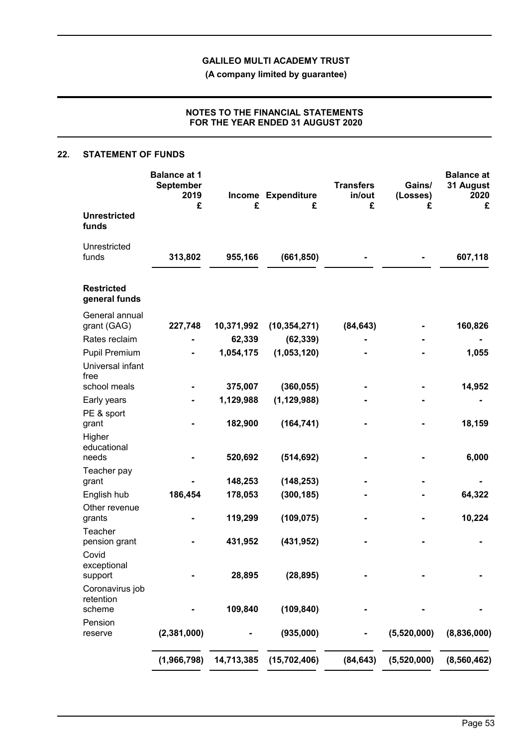**(A company limited by guarantee)**

# **NOTES TO THE FINANCIAL STATEMENTS FOR THE YEAR ENDED 31 AUGUST 2020**

### **22. STATEMENT OF FUNDS**

|                                    | <b>Balance at 1</b><br><b>September</b><br>2019<br>£ | £          | Income Expenditure<br>£ | <b>Transfers</b><br>in/out<br>£ | Gains/<br>(Losses)<br>£ | <b>Balance</b> at<br>31 August<br>2020<br>£ |
|------------------------------------|------------------------------------------------------|------------|-------------------------|---------------------------------|-------------------------|---------------------------------------------|
| <b>Unrestricted</b><br>funds       |                                                      |            |                         |                                 |                         |                                             |
| Unrestricted                       |                                                      |            |                         |                                 |                         |                                             |
| funds                              | 313,802                                              | 955,166    | (661, 850)              |                                 |                         | 607,118                                     |
| <b>Restricted</b><br>general funds |                                                      |            |                         |                                 |                         |                                             |
| General annual                     |                                                      |            |                         |                                 |                         |                                             |
| grant (GAG)                        | 227,748                                              | 10,371,992 | (10, 354, 271)          | (84, 643)                       |                         | 160,826                                     |
| Rates reclaim                      |                                                      | 62,339     | (62, 339)               |                                 |                         |                                             |
| <b>Pupil Premium</b>               |                                                      | 1,054,175  | (1,053,120)             |                                 |                         | 1,055                                       |
| Universal infant<br>free           |                                                      |            |                         |                                 |                         |                                             |
| school meals                       |                                                      | 375,007    | (360, 055)              |                                 |                         | 14,952                                      |
| Early years                        |                                                      | 1,129,988  | (1, 129, 988)           |                                 |                         |                                             |
| PE & sport                         |                                                      |            |                         |                                 |                         |                                             |
| grant                              |                                                      | 182,900    | (164, 741)              |                                 |                         | 18,159                                      |
| Higher                             |                                                      |            |                         |                                 |                         |                                             |
| educational<br>needs               |                                                      | 520,692    | (514, 692)              |                                 |                         | 6,000                                       |
| Teacher pay                        |                                                      |            |                         |                                 |                         |                                             |
| grant                              |                                                      | 148,253    | (148, 253)              |                                 |                         |                                             |
| English hub                        | 186,454                                              | 178,053    | (300, 185)              |                                 |                         | 64,322                                      |
| Other revenue                      |                                                      |            |                         |                                 |                         |                                             |
| grants                             |                                                      | 119,299    | (109, 075)              |                                 |                         | 10,224                                      |
| Teacher                            |                                                      |            |                         |                                 |                         |                                             |
| pension grant<br>Covid             |                                                      | 431,952    | (431, 952)              |                                 |                         |                                             |
| exceptional                        |                                                      |            |                         |                                 |                         |                                             |
| support                            |                                                      | 28,895     | (28, 895)               |                                 |                         |                                             |
| Coronavirus job                    |                                                      |            |                         |                                 |                         |                                             |
| retention                          |                                                      |            |                         |                                 |                         |                                             |
| scheme<br>Pension                  |                                                      | 109,840    | (109, 840)              |                                 |                         |                                             |
| reserve                            | (2,381,000)                                          |            | (935,000)               |                                 | (5,520,000)             | (8,836,000)                                 |
|                                    | (1,966,798)                                          | 14,713,385 | (15,702,406)            | (84, 643)                       | (5,520,000)             | (8,560,462)                                 |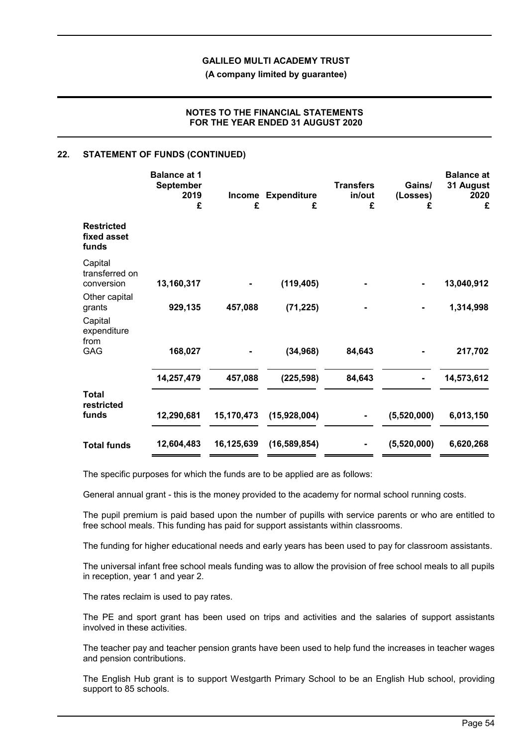**(A company limited by guarantee)**

### **NOTES TO THE FINANCIAL STATEMENTS FOR THE YEAR ENDED 31 AUGUST 2020**

### **22. STATEMENT OF FUNDS (CONTINUED)**

|                                                   | <b>Balance at 1</b><br><b>September</b><br>2019<br>£ | <b>Income</b><br>£ | <b>Expenditure</b><br>£ | <b>Transfers</b><br>in/out<br>£ | Gains/<br>(Losses)<br>£ | <b>Balance at</b><br>31 August<br>2020<br>£ |
|---------------------------------------------------|------------------------------------------------------|--------------------|-------------------------|---------------------------------|-------------------------|---------------------------------------------|
| <b>Restricted</b><br>fixed asset<br>funds         |                                                      |                    |                         |                                 |                         |                                             |
| Capital<br>transferred on<br>conversion           | 13,160,317                                           |                    | (119, 405)              |                                 |                         | 13,040,912                                  |
| Other capital<br>grants<br>Capital<br>expenditure | 929,135                                              | 457,088            | (71, 225)               |                                 |                         | 1,314,998                                   |
| from<br><b>GAG</b>                                | 168,027                                              |                    | (34, 968)               | 84,643                          |                         | 217,702                                     |
|                                                   | 14,257,479                                           | 457,088            | (225, 598)              | 84,643                          |                         | 14,573,612                                  |
| <b>Total</b><br>restricted<br>funds               | 12,290,681                                           | 15,170,473         | (15,928,004)            |                                 | (5,520,000)             | 6,013,150                                   |
| <b>Total funds</b>                                | 12,604,483                                           | 16,125,639         | (16, 589, 854)          |                                 | (5,520,000)             | 6,620,268                                   |

The specific purposes for which the funds are to be applied are as follows:

General annual grant - this is the money provided to the academy for normal school running costs.

The pupil premium is paid based upon the number of pupills with service parents or who are entitled to free school meals. This funding has paid for support assistants within classrooms.

The funding for higher educational needs and early years has been used to pay for classroom assistants.

The universal infant free school meals funding was to allow the provision of free school meals to all pupils in reception, year 1 and year 2.

The rates reclaim is used to pay rates.

The PE and sport grant has been used on trips and activities and the salaries of support assistants involved in these activities.

The teacher pay and teacher pension grants have been used to help fund the increases in teacher wages and pension contributions.

The English Hub grant is to support Westgarth Primary School to be an English Hub school, providing support to 85 schools.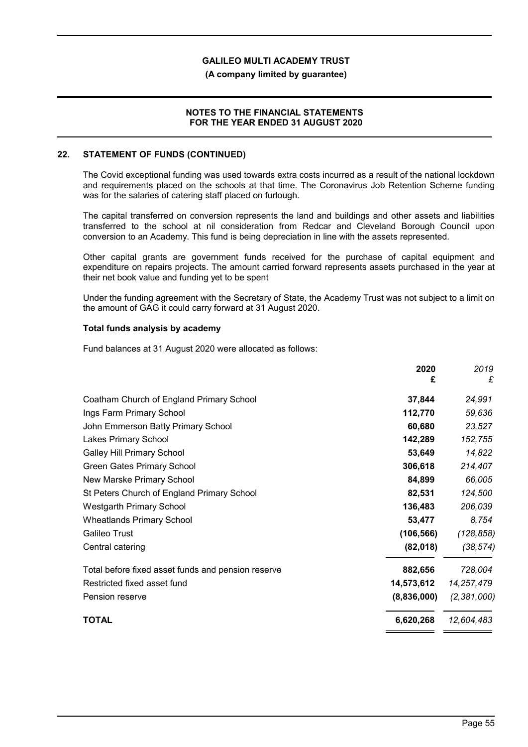### **(A company limited by guarantee)**

### **NOTES TO THE FINANCIAL STATEMENTS FOR THE YEAR ENDED 31 AUGUST 2020**

#### **22. STATEMENT OF FUNDS (CONTINUED)**

The Covid exceptional funding was used towards extra costs incurred as a result of the national lockdown and requirements placed on the schools at that time. The Coronavirus Job Retention Scheme funding was for the salaries of catering staff placed on furlough.

The capital transferred on conversion represents the land and buildings and other assets and liabilities transferred to the school at nil consideration from Redcar and Cleveland Borough Council upon conversion to an Academy. This fund is being depreciation in line with the assets represented.

Other capital grants are government funds received for the purchase of capital equipment and expenditure on repairs projects. The amount carried forward represents assets purchased in the year at their net book value and funding yet to be spent

Under the funding agreement with the Secretary of State, the Academy Trust was not subject to a limit on the amount of GAG it could carry forward at 31 August 2020.

### **Total funds analysis by academy**

Fund balances at 31 August 2020 were allocated as follows:

|                                                    | 2020<br>£  | 2019<br>£   |
|----------------------------------------------------|------------|-------------|
| Coatham Church of England Primary School           | 37,844     | 24,991      |
| Ings Farm Primary School                           | 112,770    | 59,636      |
| John Emmerson Batty Primary School                 | 60,680     | 23,527      |
| <b>Lakes Primary School</b>                        | 142,289    | 152,755     |
| <b>Galley Hill Primary School</b>                  | 53,649     | 14,822      |
| <b>Green Gates Primary School</b>                  | 306,618    | 214,407     |
| New Marske Primary School                          | 84,899     | 66,005      |
| St Peters Church of England Primary School         | 82,531     | 124,500     |
| <b>Westgarth Primary School</b>                    | 136,483    | 206,039     |
| <b>Wheatlands Primary School</b>                   | 53,477     | 8,754       |
| <b>Galileo Trust</b>                               | (106, 566) | (128, 858)  |
| Central catering                                   | (82,018)   | (38, 574)   |
| Total before fixed asset funds and pension reserve | 882,656    | 728,004     |
| Restricted fixed asset fund<br>14,573,612          |            | 14,257,479  |
| (8,836,000)<br>Pension reserve                     |            | (2,381,000) |
| TOTAL<br>6,620,268                                 |            | 12,604,483  |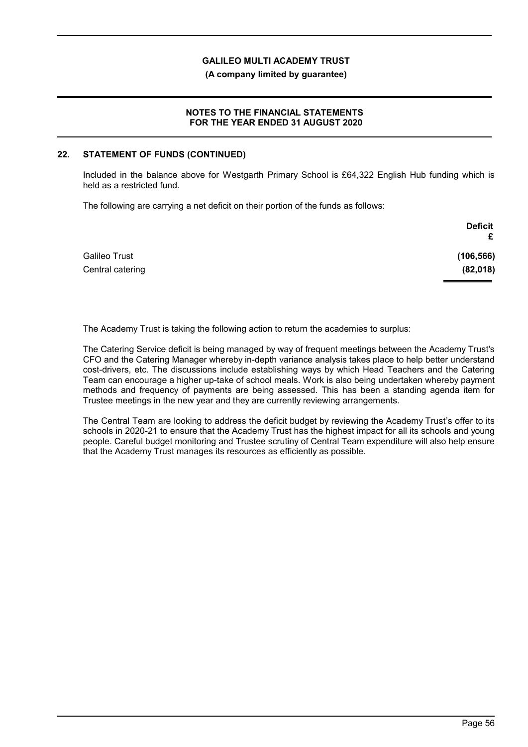**(A company limited by guarantee)**

### **NOTES TO THE FINANCIAL STATEMENTS FOR THE YEAR ENDED 31 AUGUST 2020**

### **22. STATEMENT OF FUNDS (CONTINUED)**

Included in the balance above for Westgarth Primary School is £64,322 English Hub funding which is held as a restricted fund.

The following are carrying a net deficit on their portion of the funds as follows:

|                  | <b>Deficit</b> |
|------------------|----------------|
|                  | £              |
| Galileo Trust    | (106, 566)     |
| Central catering | (82, 018)      |
|                  |                |

The Academy Trust is taking the following action to return the academies to surplus:

The Catering Service deficit is being managed by way of frequent meetings between the Academy Trust's CFO and the Catering Manager whereby in-depth variance analysis takes place to help better understand cost-drivers, etc. The discussions include establishing ways by which Head Teachers and the Catering Team can encourage a higher up-take of school meals. Work is also being undertaken whereby payment methods and frequency of payments are being assessed. This has been a standing agenda item for Trustee meetings in the new year and they are currently reviewing arrangements.

The Central Team are looking to address the deficit budget by reviewing the Academy Trust's offer to its schools in 2020-21 to ensure that the Academy Trust has the highest impact for all its schools and young people. Careful budget monitoring and Trustee scrutiny of Central Team expenditure will also help ensure that the Academy Trust manages its resources as efficiently as possible.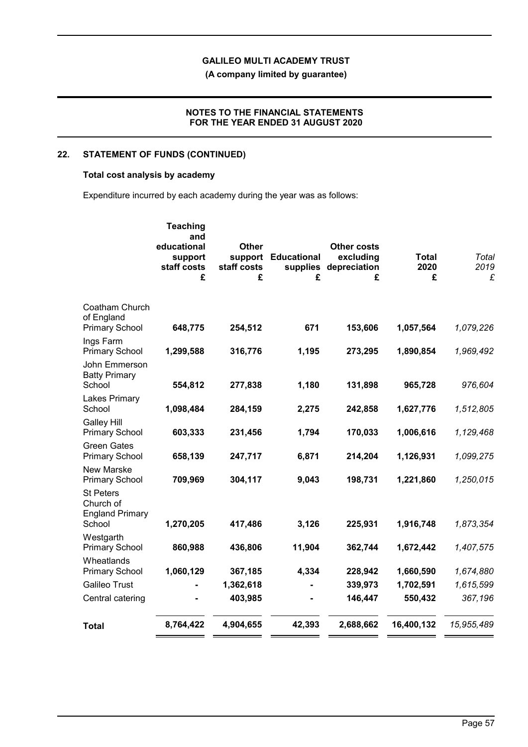**(A company limited by guarantee)**

### **NOTES TO THE FINANCIAL STATEMENTS FOR THE YEAR ENDED 31 AUGUST 2020**

# **22. STATEMENT OF FUNDS (CONTINUED)**

### **Total cost analysis by academy**

Expenditure incurred by each academy during the year was as follows:

|                                                                   | <b>Teaching</b><br>and<br>educational<br>support<br>staff costs<br>£ | <b>Other</b><br>support<br>staff costs<br>£ | <b>Educational</b><br>£ | <b>Other costs</b><br>excluding<br>supplies depreciation<br>£ | <b>Total</b><br>2020<br>£ | Total<br>2019<br>£ |
|-------------------------------------------------------------------|----------------------------------------------------------------------|---------------------------------------------|-------------------------|---------------------------------------------------------------|---------------------------|--------------------|
| Coatham Church<br>of England<br><b>Primary School</b>             | 648,775                                                              | 254,512                                     | 671                     | 153,606                                                       | 1,057,564                 | 1,079,226          |
| Ings Farm<br><b>Primary School</b>                                | 1,299,588                                                            | 316,776                                     | 1,195                   | 273,295                                                       | 1,890,854                 | 1,969,492          |
| John Emmerson<br><b>Batty Primary</b><br>School                   | 554,812                                                              | 277,838                                     | 1,180                   | 131,898                                                       | 965,728                   | 976,604            |
| <b>Lakes Primary</b><br>School                                    | 1,098,484                                                            | 284,159                                     | 2,275                   | 242,858                                                       | 1,627,776                 | 1,512,805          |
| <b>Galley Hill</b><br><b>Primary School</b>                       | 603,333                                                              | 231,456                                     | 1,794                   | 170,033                                                       | 1,006,616                 | 1,129,468          |
| <b>Green Gates</b><br><b>Primary School</b>                       | 658,139                                                              | 247,717                                     | 6,871                   | 214,204                                                       | 1,126,931                 | 1,099,275          |
| <b>New Marske</b><br><b>Primary School</b>                        | 709,969                                                              | 304,117                                     | 9,043                   | 198,731                                                       | 1,221,860                 | 1,250,015          |
| <b>St Peters</b><br>Church of<br><b>England Primary</b><br>School | 1,270,205                                                            | 417,486                                     | 3,126                   | 225,931                                                       | 1,916,748                 | 1,873,354          |
| Westgarth<br><b>Primary School</b>                                | 860,988                                                              | 436,806                                     | 11,904                  | 362,744                                                       | 1,672,442                 | 1,407,575          |
| Wheatlands<br><b>Primary School</b>                               | 1,060,129                                                            | 367,185                                     | 4,334                   | 228,942                                                       | 1,660,590                 | 1,674,880          |
| <b>Galileo Trust</b>                                              |                                                                      | 1,362,618                                   |                         | 339,973                                                       | 1,702,591                 | 1,615,599          |
| Central catering                                                  |                                                                      | 403,985                                     |                         | 146,447                                                       | 550,432                   | 367,196            |
| <b>Total</b>                                                      | 8,764,422                                                            | 4,904,655                                   | 42,393                  | 2,688,662                                                     | 16,400,132                | 15,955,489         |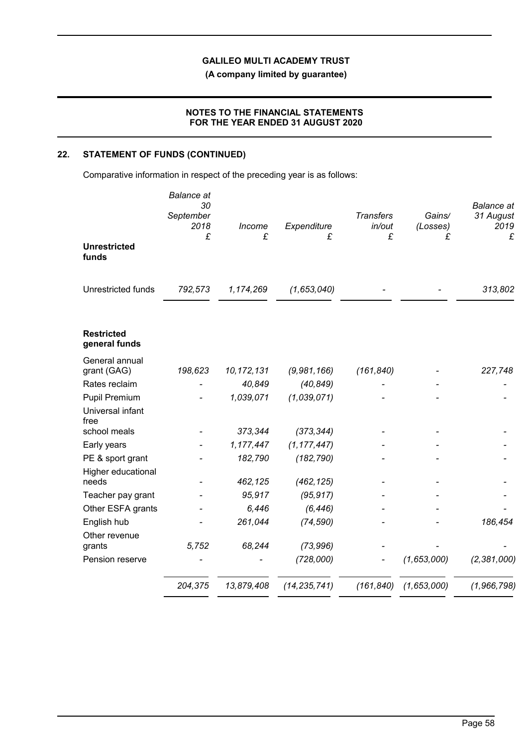**(A company limited by guarantee)**

## **NOTES TO THE FINANCIAL STATEMENTS FOR THE YEAR ENDED 31 AUGUST 2020**

# **22. STATEMENT OF FUNDS (CONTINUED)**

Comparative information in respect of the preceding year is as follows:

|                                    | <b>Balance</b> at<br>30<br>September<br>2018<br>£ | Income<br>£  | Expenditure<br>£ | <b>Transfers</b><br>in/out<br>£ | Gains/<br>(Losses)<br>£ | <b>Balance</b> at<br>31 August<br>2019<br>£ |
|------------------------------------|---------------------------------------------------|--------------|------------------|---------------------------------|-------------------------|---------------------------------------------|
| <b>Unrestricted</b><br>funds       |                                                   |              |                  |                                 |                         |                                             |
| <b>Unrestricted funds</b>          | 792,573                                           | 1,174,269    | (1,653,040)      |                                 |                         | 313,802                                     |
| <b>Restricted</b><br>general funds |                                                   |              |                  |                                 |                         |                                             |
| General annual<br>grant (GAG)      | 198,623                                           | 10, 172, 131 | (9,981,166)      | (161, 840)                      |                         | 227,748                                     |
| Rates reclaim                      |                                                   | 40,849       | (40, 849)        |                                 |                         |                                             |
| <b>Pupil Premium</b>               |                                                   | 1,039,071    | (1,039,071)      |                                 |                         |                                             |
| Universal infant<br>free           |                                                   |              |                  |                                 |                         |                                             |
| school meals                       |                                                   | 373,344      | (373, 344)       |                                 |                         |                                             |
| Early years                        |                                                   | 1,177,447    | (1, 177, 447)    |                                 |                         |                                             |
| PE & sport grant                   |                                                   | 182,790      | (182, 790)       |                                 |                         |                                             |
| Higher educational<br>needs        |                                                   | 462,125      | (462, 125)       |                                 |                         |                                             |
| Teacher pay grant                  |                                                   | 95,917       | (95, 917)        |                                 |                         |                                             |
| Other ESFA grants                  |                                                   | 6,446        | (6, 446)         |                                 |                         |                                             |
| English hub                        |                                                   | 261,044      | (74, 590)        |                                 |                         | 186,454                                     |
| Other revenue<br>grants            | 5,752                                             | 68,244       | (73, 996)        |                                 |                         |                                             |
| Pension reserve                    |                                                   |              | (728,000)        |                                 | (1,653,000)             | (2,381,000)                                 |
|                                    | 204,375                                           | 13,879,408   | (14, 235, 741)   | (161, 840)                      | (1,653,000)             | (1,966,798)                                 |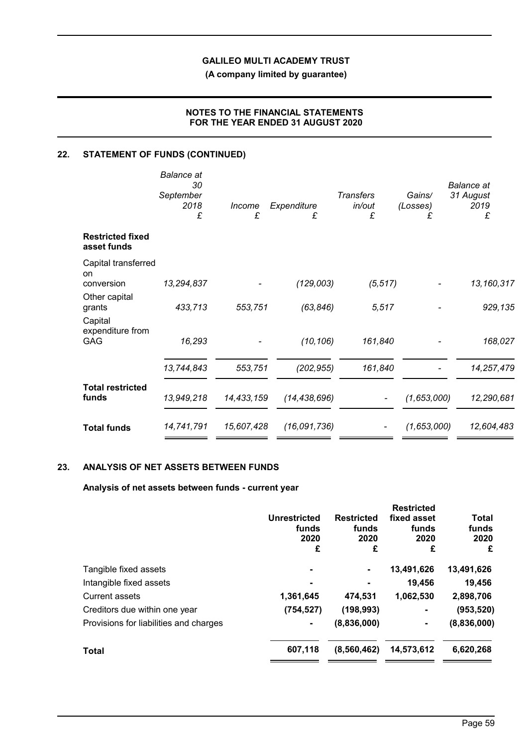**(A company limited by guarantee)**

# **NOTES TO THE FINANCIAL STATEMENTS FOR THE YEAR ENDED 31 AUGUST 2020**

# **22. STATEMENT OF FUNDS (CONTINUED)**

|                                        | Balance at<br>30<br>September<br>2018<br>£ | Income<br>£ | Expenditure<br>£ | <b>Transfers</b><br>in/out<br>£ | Gains/<br>(Losses)<br>£ | <b>Balance</b> at<br>31 August<br>2019<br>£ |
|----------------------------------------|--------------------------------------------|-------------|------------------|---------------------------------|-------------------------|---------------------------------------------|
| <b>Restricted fixed</b><br>asset funds |                                            |             |                  |                                 |                         |                                             |
| Capital transferred<br><sub>on</sub>   |                                            |             |                  |                                 |                         |                                             |
| conversion                             | 13,294,837                                 |             | (129,003)        | (5, 517)                        |                         | 13,160,317                                  |
| Other capital<br>grants                | 433,713                                    | 553,751     | (63, 846)        | 5,517                           |                         | 929,135                                     |
| Capital<br>expenditure from            |                                            |             |                  |                                 |                         |                                             |
| GAG                                    | 16,293                                     |             | (10, 106)        | 161,840                         |                         | 168,027                                     |
|                                        | 13,744,843                                 | 553,751     | (202, 955)       | 161,840                         |                         | 14,257,479                                  |
| <b>Total restricted</b>                |                                            |             |                  |                                 |                         |                                             |
| funds                                  | 13,949,218                                 | 14,433,159  | (14, 438, 696)   |                                 | (1,653,000)             | 12,290,681                                  |
| <b>Total funds</b>                     | 14,741,791                                 | 15,607,428  | (16,091,736)     |                                 | (1,653,000)             | 12,604,483                                  |
|                                        |                                            |             |                  |                                 |                         |                                             |

# **23. ANALYSIS OF NET ASSETS BETWEEN FUNDS**

# **Analysis of net assets between funds - current year**

|                                        |                     |                   | <b>Restricted</b> |             |
|----------------------------------------|---------------------|-------------------|-------------------|-------------|
|                                        | <b>Unrestricted</b> | <b>Restricted</b> | fixed asset       | Total       |
|                                        | funds               | funds             | funds             | funds       |
|                                        | 2020                | 2020              | 2020              | 2020        |
|                                        | £                   | £                 | £                 | £           |
| Tangible fixed assets                  |                     | ٠                 | 13,491,626        | 13,491,626  |
| Intangible fixed assets                |                     |                   | 19,456            | 19,456      |
| Current assets                         | 1,361,645           | 474,531           | 1,062,530         | 2,898,706   |
| Creditors due within one year          | (754, 527)          | (198, 993)        | ۰                 | (953, 520)  |
| Provisions for liabilities and charges |                     | (8,836,000)       | ٠                 | (8,836,000) |
| Total                                  | 607,118             | (8,560,462)       | 14,573,612        | 6,620,268   |
|                                        |                     |                   |                   |             |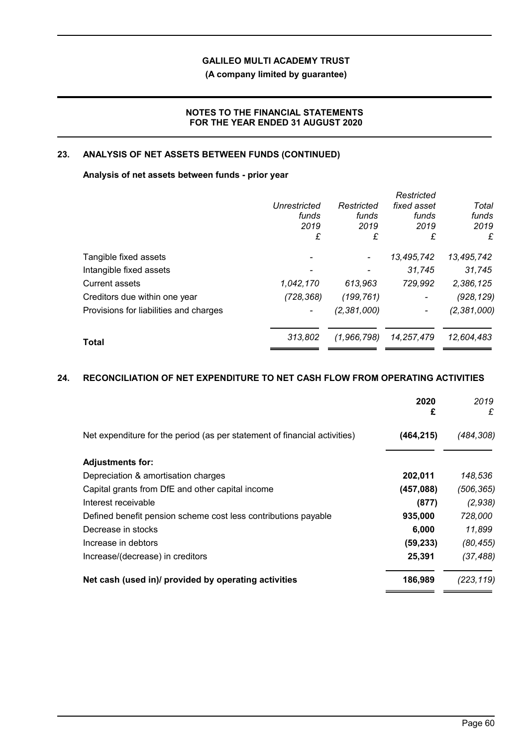# **(A company limited by guarantee)**

## **NOTES TO THE FINANCIAL STATEMENTS FOR THE YEAR ENDED 31 AUGUST 2020**

### **23. ANALYSIS OF NET ASSETS BETWEEN FUNDS (CONTINUED)**

# **Analysis of net assets between funds - prior year**

|                                        |              |               | Restricted               |             |
|----------------------------------------|--------------|---------------|--------------------------|-------------|
|                                        | Unrestricted | Restricted    | fixed asset              | Total       |
|                                        | funds        | funds         | funds                    | funds       |
|                                        | 2019         | 2019          | 2019                     | 2019        |
|                                        | £            | £             | £                        | £           |
| Tangible fixed assets                  |              |               | 13,495,742               | 13,495,742  |
| Intangible fixed assets                |              |               | 31.745                   | 31,745      |
| <b>Current assets</b>                  | 1,042,170    | 613,963       | 729,992                  | 2,386,125   |
| Creditors due within one year          | (728, 368)   | (199,761)     | $\overline{\phantom{a}}$ | (928, 129)  |
| Provisions for liabilities and charges |              | (2, 381, 000) |                          | (2,381,000) |
| <b>Total</b>                           | 313,802      | (1,966,798)   | 14,257,479               | 12,604,483  |
|                                        |              |               |                          |             |

# **24. RECONCILIATION OF NET EXPENDITURE TO NET CASH FLOW FROM OPERATING ACTIVITIES**

|                                                                           | 2020<br>£  | 2019<br>£  |
|---------------------------------------------------------------------------|------------|------------|
| Net expenditure for the period (as per statement of financial activities) | (464, 215) | (484, 308) |
| <b>Adjustments for:</b>                                                   |            |            |
| Depreciation & amortisation charges                                       | 202,011    | 148,536    |
| Capital grants from DfE and other capital income                          | (457,088)  | (506, 365) |
| Interest receivable                                                       | (877)      | (2,938)    |
| Defined benefit pension scheme cost less contributions payable            | 935,000    | 728,000    |
| Decrease in stocks                                                        | 6,000      | 11,899     |
| Increase in debtors                                                       | (59, 233)  | (80, 455)  |
| Increase/(decrease) in creditors                                          | 25,391     | (37, 488)  |
| Net cash (used in)/ provided by operating activities                      | 186,989    | (223.119)  |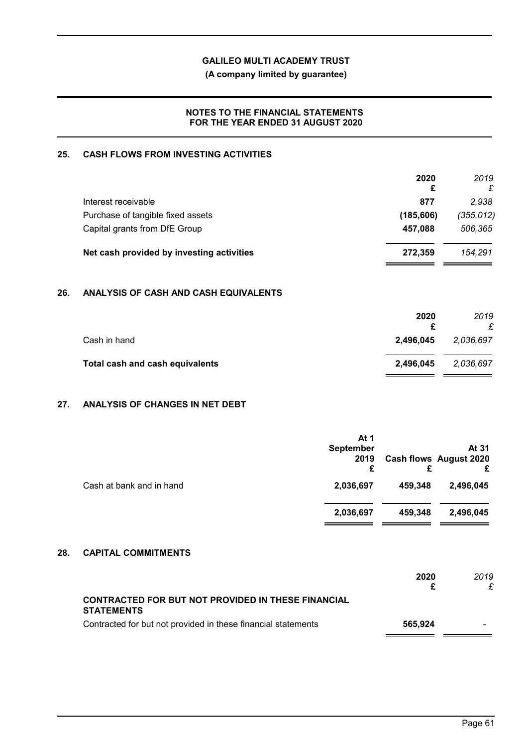**(A company limited by guarantee)**

## **NOTES TO THE FINANCIAL STATEMENTS FOR THE YEAR ENDED 31 AUGUST 2020**

# **25. CASH FLOWS FROM INVESTING ACTIVITIES**

|                                           | 2020<br>£  | 2019<br>£  |
|-------------------------------------------|------------|------------|
| Interest receivable                       | 877        | 2.938      |
| Purchase of tangible fixed assets         | (185, 606) | (355, 012) |
| Capital grants from DfE Group             | 457,088    | 506,365    |
| Net cash provided by investing activities | 272.359    | 154.291    |

# **26. ANALYSIS OF CASH AND CASH EQUIVALENTS**

| 2020      | 2019<br>£ |
|-----------|-----------|
| 2,496,045 | 2,036,697 |
| 2,496,045 | 2,036,697 |
|           |           |

# **27. ANALYSIS OF CHANGES IN NET DEBT**

|                          | At 1<br><b>September</b><br>2019<br>£ | £       | At 31<br>Cash flows August 2020<br>£ |
|--------------------------|---------------------------------------|---------|--------------------------------------|
| Cash at bank and in hand | 2,036,697                             | 459,348 | 2,496,045                            |
|                          | 2,036,697                             | 459,348 | 2,496,045                            |

# **28. CAPITAL COMMITMENTS**

|                                                                                | 2020    | 2019 |
|--------------------------------------------------------------------------------|---------|------|
| <b>CONTRACTED FOR BUT NOT PROVIDED IN THESE FINANCIAL</b><br><b>STATEMENTS</b> |         |      |
| Contracted for but not provided in these financial statements                  | 565,924 |      |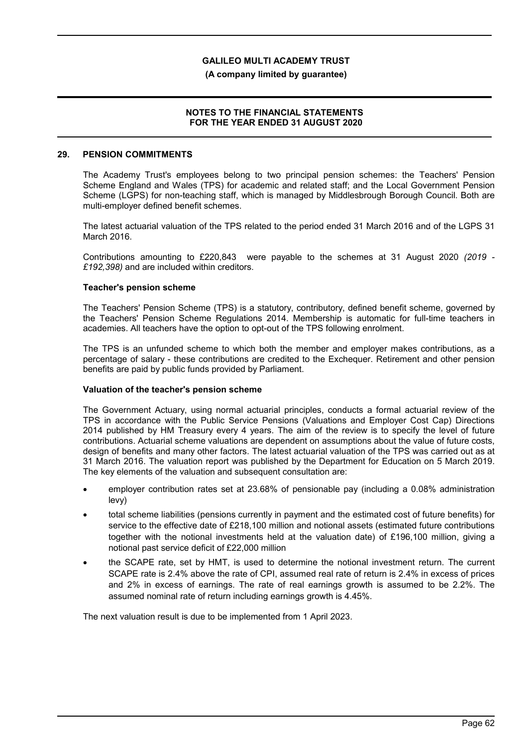**(A company limited by guarantee)**

### **NOTES TO THE FINANCIAL STATEMENTS FOR THE YEAR ENDED 31 AUGUST 2020**

#### **29. PENSION COMMITMENTS**

The Academy Trust's employees belong to two principal pension schemes: the Teachers' Pension Scheme England and Wales (TPS) for academic and related staff; and the Local Government Pension Scheme (LGPS) for non-teaching staff, which is managed by Middlesbrough Borough Council. Both are multi-employer defined benefit schemes.

The latest actuarial valuation of the TPS related to the period ended 31 March 2016 and of the LGPS 31 March 2016.

Contributions amounting to £220,843 were payable to the schemes at 31 August 2020 *(2019 - £192,398)* and are included within creditors.

### **Teacher's pension scheme**

The Teachers' Pension Scheme (TPS) is a statutory, contributory, defined benefit scheme, governed by the Teachers' Pension Scheme Regulations 2014. Membership is automatic for full-time teachers in academies. All teachers have the option to opt-out of the TPS following enrolment.

The TPS is an unfunded scheme to which both the member and employer makes contributions, as a percentage of salary - these contributions are credited to the Exchequer. Retirement and other pension benefits are paid by public funds provided by Parliament.

### **Valuation of the teacher's pension scheme**

The Government Actuary, using normal actuarial principles, conducts a formal actuarial review of the TPS in accordance with the Public Service Pensions (Valuations and Employer Cost Cap) Directions 2014 published by HM Treasury every 4 years. The aim of the review is to specify the level of future contributions. Actuarial scheme valuations are dependent on assumptions about the value of future costs, design of benefits and many other factors. The latest actuarial valuation of the TPS was carried out as at 31 March 2016. The valuation report was published by the Department for Education on 5 March 2019. The key elements of the valuation and subsequent consultation are:

- employer contribution rates set at 23.68% of pensionable pay (including a 0.08% administration levy)
- total scheme liabilities (pensions currently in payment and the estimated cost of future benefits) for service to the effective date of £218,100 million and notional assets (estimated future contributions together with the notional investments held at the valuation date) of £196,100 million, giving a notional past service deficit of £22,000 million
- the SCAPE rate, set by HMT, is used to determine the notional investment return. The current SCAPE rate is 2.4% above the rate of CPI, assumed real rate of return is 2.4% in excess of prices and 2% in excess of earnings. The rate of real earnings growth is assumed to be 2.2%. The assumed nominal rate of return including earnings growth is 4.45%.

The next valuation result is due to be implemented from 1 April 2023.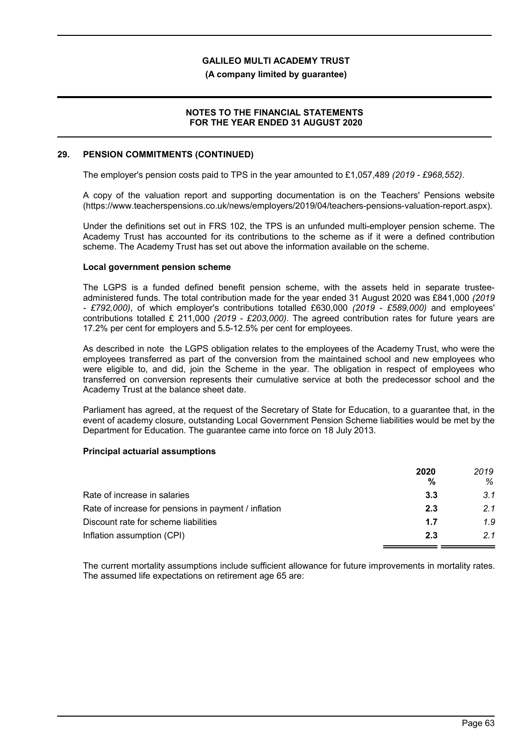**(A company limited by guarantee)**

### **NOTES TO THE FINANCIAL STATEMENTS FOR THE YEAR ENDED 31 AUGUST 2020**

#### **29. PENSION COMMITMENTS (CONTINUED)**

The employer's pension costs paid to TPS in the year amounted to £1,057,489 *(2019 - £968,552)*.

A copy of the valuation report and supporting documentation is on the Teachers' Pensions website (https://www.teacherspensions.co.uk/news/employers/2019/04/teachers-pensions-valuation-report.aspx).

Under the definitions set out in FRS 102, the TPS is an unfunded multi-employer pension scheme. The Academy Trust has accounted for its contributions to the scheme as if it were a defined contribution scheme. The Academy Trust has set out above the information available on the scheme.

### **Local government pension scheme**

The LGPS is a funded defined benefit pension scheme, with the assets held in separate trusteeadministered funds. The total contribution made for the year ended 31 August 2020 was £841,000 *(2019 - £792,000)*, of which employer's contributions totalled £630,000 *(2019 - £589,000)* and employees' contributions totalled £ 211,000 *(2019 - £203,000)*. The agreed contribution rates for future years are 17.2% per cent for employers and 5.5-12.5% per cent for employees.

As described in note the LGPS obligation relates to the employees of the Academy Trust, who were the employees transferred as part of the conversion from the maintained school and new employees who were eligible to, and did, join the Scheme in the year. The obligation in respect of employees who transferred on conversion represents their cumulative service at both the predecessor school and the Academy Trust at the balance sheet date.

Parliament has agreed, at the request of the Secretary of State for Education, to a guarantee that, in the event of academy closure, outstanding Local Government Pension Scheme liabilities would be met by the Department for Education. The guarantee came into force on 18 July 2013.

### **Principal actuarial assumptions**

|                                                      | 2020 | 2019 |
|------------------------------------------------------|------|------|
|                                                      | %    | %    |
| Rate of increase in salaries                         | 3.3  | 3.1  |
| Rate of increase for pensions in payment / inflation | 2.3  | 2.1  |
| Discount rate for scheme liabilities                 | 1.7  | 1.9  |
| Inflation assumption (CPI)                           | 2.3  | 21   |

The current mortality assumptions include sufficient allowance for future improvements in mortality rates. The assumed life expectations on retirement age 65 are: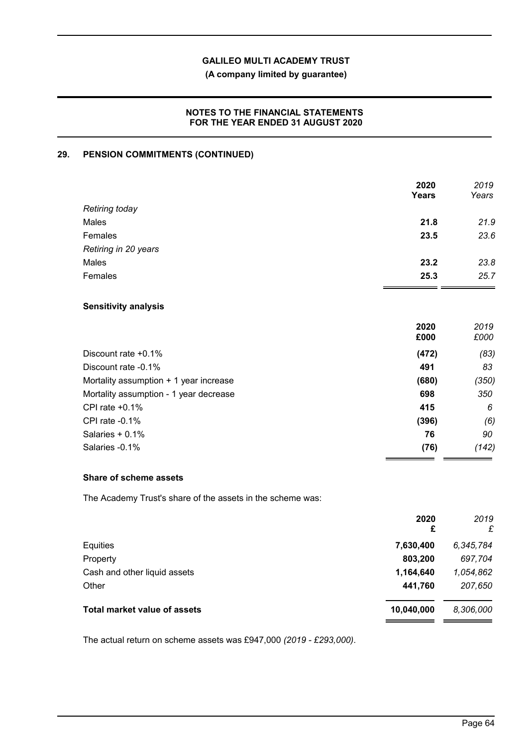# **(A company limited by guarantee)**

### **NOTES TO THE FINANCIAL STATEMENTS FOR THE YEAR ENDED 31 AUGUST 2020**

# **29. PENSION COMMITMENTS (CONTINUED)**

|                                        | 2020<br><b>Years</b> | 2019<br>Years |
|----------------------------------------|----------------------|---------------|
| Retiring today                         |                      |               |
| Males                                  | 21.8                 | 21.9          |
| Females                                | 23.5                 | 23.6          |
| Retiring in 20 years                   |                      |               |
| Males                                  | 23.2                 | 23.8          |
| Females                                | 25.3                 | 25.7          |
| <b>Sensitivity analysis</b>            |                      |               |
|                                        | 2020<br>£000         | 2019<br>£000  |
| Discount rate +0.1%                    | (472)                | (83)          |
| Discount rate -0.1%                    | 491                  | 83            |
| Mortality assumption + 1 year increase | (680)                | (350)         |
| Mortality assumption - 1 year decrease | 698                  | 350           |
| CPI rate +0.1%                         | 415                  | 6             |
| CPI rate -0.1%                         | (396)                | (6)           |
| Salaries + 0.1%                        | 76                   | 90            |
| Salaries - 0.1%                        | (76)                 | (142)         |

### **Share of scheme assets**

The Academy Trust's share of the assets in the scheme was:

|                                     | 2020<br>£  | 2019<br>£ |
|-------------------------------------|------------|-----------|
| Equities                            | 7,630,400  | 6,345,784 |
| Property                            | 803,200    | 697,704   |
| Cash and other liquid assets        | 1,164,640  | 1,054,862 |
| Other                               | 441,760    | 207,650   |
| <b>Total market value of assets</b> | 10,040,000 | 8,306,000 |
|                                     |            |           |

The actual return on scheme assets was £947,000 *(2019 - £293,000)*.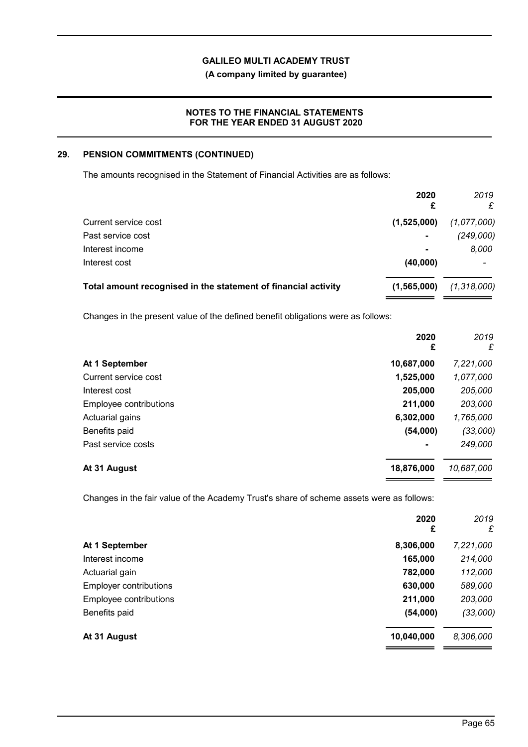# **(A company limited by guarantee)**

### **NOTES TO THE FINANCIAL STATEMENTS FOR THE YEAR ENDED 31 AUGUST 2020**

# **29. PENSION COMMITMENTS (CONTINUED)**

The amounts recognised in the Statement of Financial Activities are as follows:

|                                                                | 2020<br>£      | 2019<br>£   |
|----------------------------------------------------------------|----------------|-------------|
| Current service cost                                           | (1,525,000)    | (1,077,000) |
| Past service cost                                              | $\blacksquare$ | (249,000)   |
| Interest income                                                | $\blacksquare$ | 8,000       |
| Interest cost                                                  | (40,000)       |             |
| Total amount recognised in the statement of financial activity | (1,565,000)    | (1,318,000) |

Changes in the present value of the defined benefit obligations were as follows:

|                        | 2020<br>£  | 2019<br>£  |
|------------------------|------------|------------|
| At 1 September         | 10,687,000 | 7,221,000  |
| Current service cost   | 1,525,000  | 1,077,000  |
| Interest cost          | 205,000    | 205,000    |
| Employee contributions | 211,000    | 203,000    |
| Actuarial gains        | 6,302,000  | 1,765,000  |
| Benefits paid          | (54,000)   | (33,000)   |
| Past service costs     |            | 249,000    |
| At 31 August           | 18,876,000 | 10,687,000 |

Changes in the fair value of the Academy Trust's share of scheme assets were as follows:

|                               | 2020<br>£  | 2019<br>£ |
|-------------------------------|------------|-----------|
| At 1 September                | 8,306,000  | 7,221,000 |
| Interest income               | 165,000    | 214,000   |
| Actuarial gain                | 782,000    | 112,000   |
| <b>Employer contributions</b> | 630,000    | 589,000   |
| Employee contributions        | 211,000    | 203,000   |
| Benefits paid                 | (54,000)   | (33,000)  |
| At 31 August                  | 10,040,000 | 8,306,000 |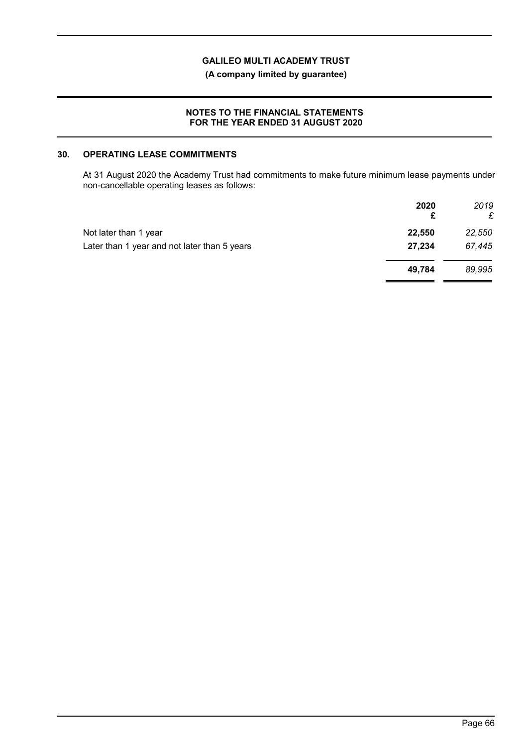**(A company limited by guarantee)**

### **NOTES TO THE FINANCIAL STATEMENTS FOR THE YEAR ENDED 31 AUGUST 2020**

### **30. OPERATING LEASE COMMITMENTS**

At 31 August 2020 the Academy Trust had commitments to make future minimum lease payments under non-cancellable operating leases as follows:

|                                              | 2020<br>£ | 2019<br>£ |
|----------------------------------------------|-----------|-----------|
| Not later than 1 year                        | 22,550    | 22,550    |
| Later than 1 year and not later than 5 years | 27,234    | 67,445    |
|                                              | 49.784    | 89,995    |
|                                              |           |           |